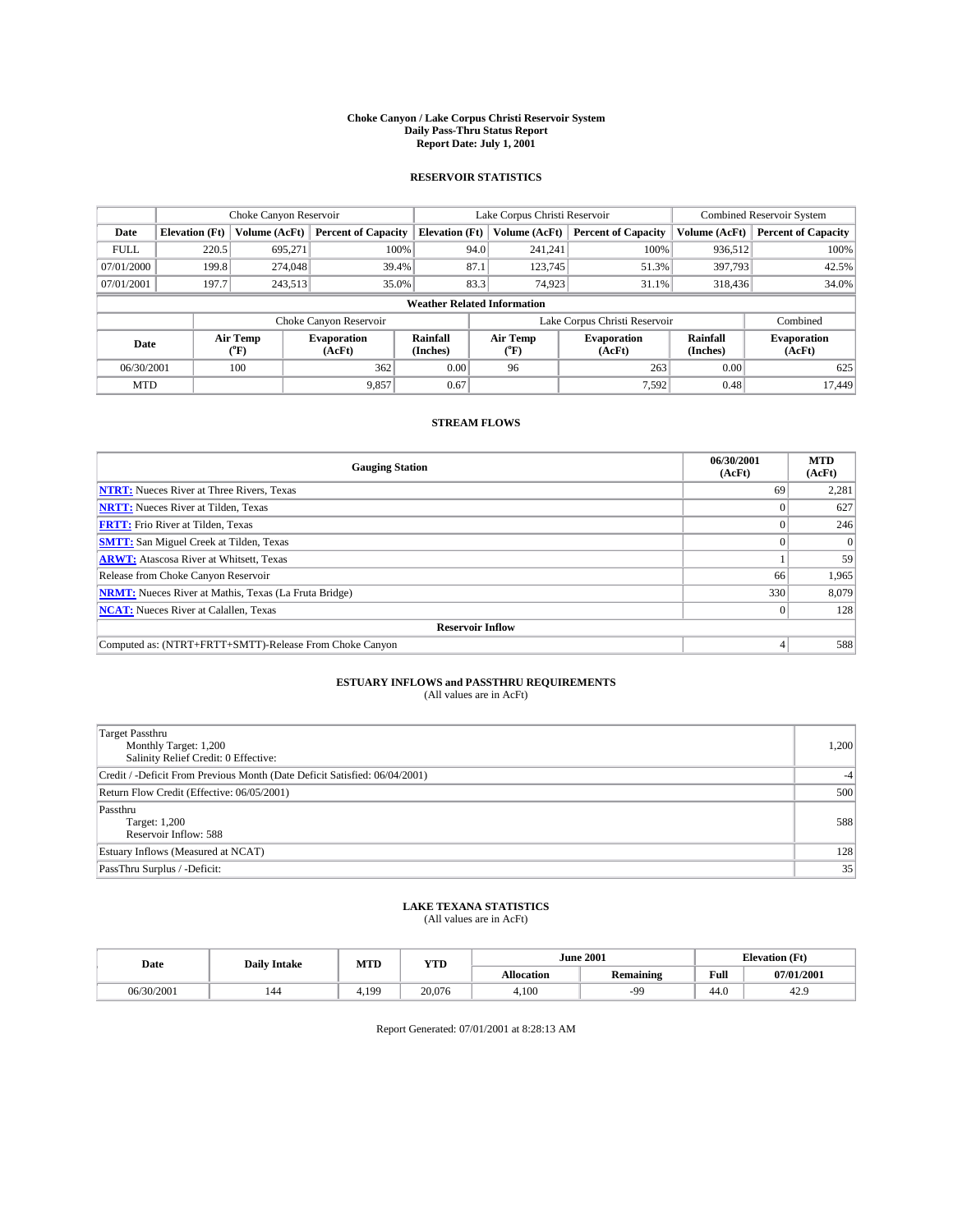#### **Choke Canyon / Lake Corpus Christi Reservoir System Daily Pass-Thru Status Report Report Date: July 1, 2001**

### **RESERVOIR STATISTICS**

|                          | Choke Canyon Reservoir                                               |                  |                              |                                    | Lake Corpus Christi Reservoir | <b>Combined Reservoir System</b> |                      |                              |
|--------------------------|----------------------------------------------------------------------|------------------|------------------------------|------------------------------------|-------------------------------|----------------------------------|----------------------|------------------------------|
| Date                     | <b>Percent of Capacity</b><br><b>Elevation</b> (Ft)<br>Volume (AcFt) |                  |                              | <b>Elevation</b> (Ft)              | Volume (AcFt)                 | <b>Percent of Capacity</b>       | Volume (AcFt)        | <b>Percent of Capacity</b>   |
| <b>FULL</b>              | 220.5                                                                | 695,271          | 100%                         |                                    | 94.0<br>241,241               | 100%                             | 936,512              | 100%                         |
| 07/01/2000               | 199.8                                                                | 274,048          | 39.4%                        | 87.1                               | 123,745                       | 51.3%                            | 397,793              | 42.5%                        |
| 07/01/2001               | 197.7                                                                | 243,513          | 35.0%                        |                                    | 83.3<br>74,923                | 31.1%                            | 318,436              | 34.0%                        |
|                          |                                                                      |                  |                              | <b>Weather Related Information</b> |                               |                                  |                      |                              |
|                          |                                                                      |                  | Choke Canyon Reservoir       |                                    |                               | Lake Corpus Christi Reservoir    |                      | Combined                     |
| Date                     |                                                                      | Air Temp<br>(°F) | <b>Evaporation</b><br>(AcFt) | Rainfall<br>(Inches)               | Air Temp<br>("F)              | <b>Evaporation</b><br>(AcFt)     | Rainfall<br>(Inches) | <b>Evaporation</b><br>(AcFt) |
| 06/30/2001<br>100<br>362 |                                                                      |                  | 0.00                         | 96                                 | 263                           | 0.00                             | 625                  |                              |
| <b>MTD</b>               |                                                                      |                  | 9.857                        | 0.67                               |                               | 7.592                            | 0.48                 | 17.449                       |

## **STREAM FLOWS**

| <b>Gauging Station</b>                                       | 06/30/2001<br>(AcFt) | <b>MTD</b><br>(AcFt) |
|--------------------------------------------------------------|----------------------|----------------------|
| <b>NTRT:</b> Nueces River at Three Rivers, Texas             | 69                   | 2,281                |
| <b>NRTT:</b> Nueces River at Tilden, Texas                   |                      | 627                  |
| <b>FRTT:</b> Frio River at Tilden, Texas                     |                      | 246                  |
| <b>SMTT:</b> San Miguel Creek at Tilden, Texas               |                      | $\Omega$             |
| <b>ARWT:</b> Atascosa River at Whitsett, Texas               |                      | 59                   |
| Release from Choke Canyon Reservoir                          | 66                   | 1,965                |
| <b>NRMT:</b> Nueces River at Mathis, Texas (La Fruta Bridge) | 330                  | 8,079                |
| <b>NCAT:</b> Nueces River at Calallen, Texas                 |                      | 128                  |
| <b>Reservoir Inflow</b>                                      |                      |                      |
| Computed as: (NTRT+FRTT+SMTT)-Release From Choke Canyon      |                      | 588                  |

## **ESTUARY INFLOWS and PASSTHRU REQUIREMENTS**<br>(All values are in AcFt)

| <b>Target Passthru</b><br>Monthly Target: 1,200<br>Salinity Relief Credit: 0 Effective: | 1,200 |
|-----------------------------------------------------------------------------------------|-------|
| Credit / -Deficit From Previous Month (Date Deficit Satisfied: 06/04/2001)              | $-4$  |
| Return Flow Credit (Effective: 06/05/2001)                                              | 500   |
| Passthru<br>Target: 1,200<br>Reservoir Inflow: 588                                      | 588   |
| Estuary Inflows (Measured at NCAT)                                                      | 128   |
| PassThru Surplus / -Deficit:                                                            | 35    |

## **LAKE TEXANA STATISTICS** (All values are in AcFt)

| Date       | <b>Daily Intake</b> | MTD  | VTT<br>1 I D |                   | <b>June 2001</b> | (Ft<br><b>Elevation</b> |            |
|------------|---------------------|------|--------------|-------------------|------------------|-------------------------|------------|
|            |                     |      |              | <b>Allocation</b> | <b>Remaining</b> | Full                    | 07/01/2001 |
| 06/30/2001 | 144                 | .199 | 20,076       | 4,100             | $-90^{\circ}$    | 44.0                    | 44.5       |

Report Generated: 07/01/2001 at 8:28:13 AM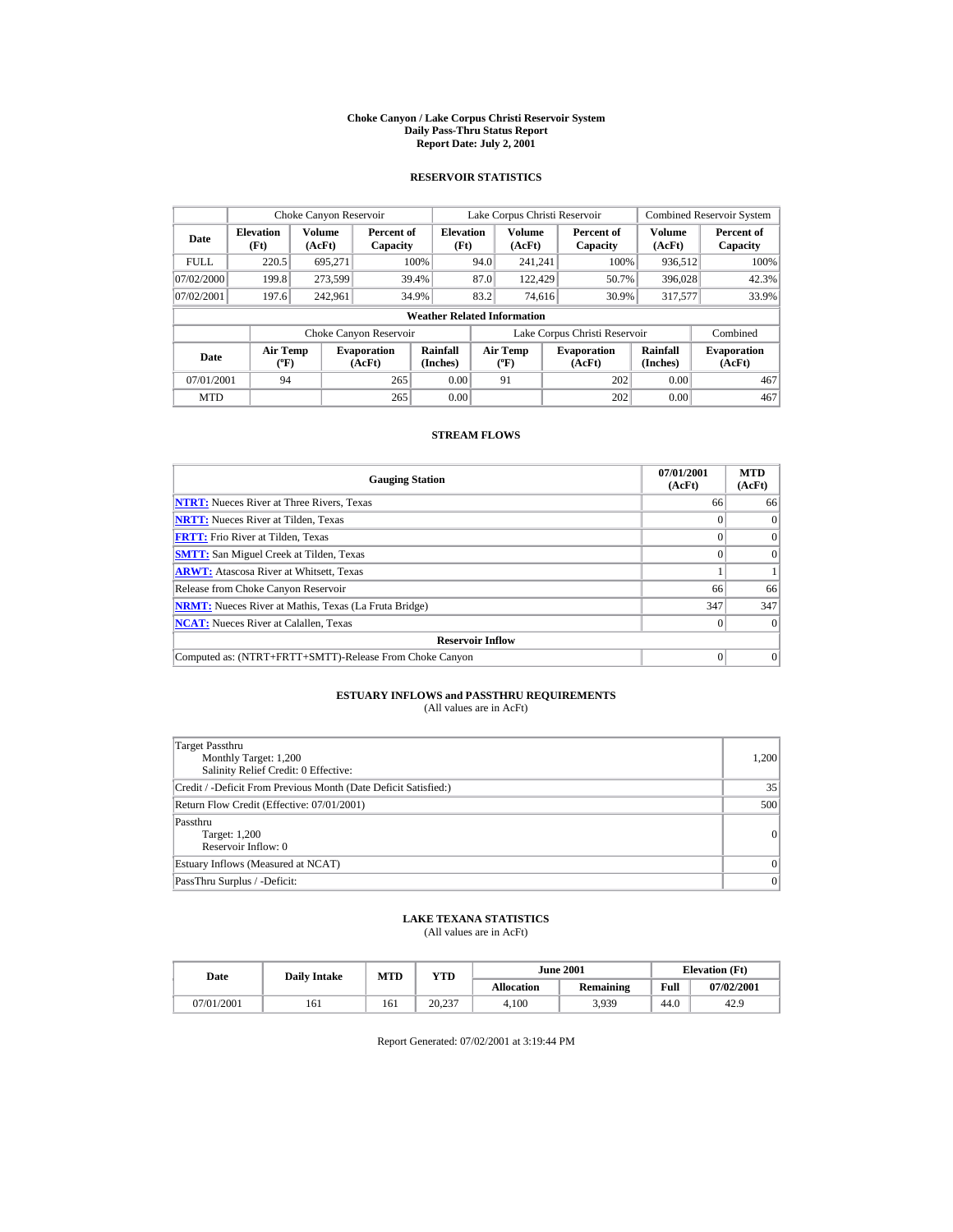#### **Choke Canyon / Lake Corpus Christi Reservoir System Daily Pass-Thru Status Report Report Date: July 2, 2001**

### **RESERVOIR STATISTICS**

| Choke Canyon Reservoir                     |                                             |               |                              |                          |      | Lake Corpus Christi Reservoir            |     |                               |                         | <b>Combined Reservoir System</b> |  |  |
|--------------------------------------------|---------------------------------------------|---------------|------------------------------|--------------------------|------|------------------------------------------|-----|-------------------------------|-------------------------|----------------------------------|--|--|
| <b>Elevation</b><br>Date<br>(AcFt)<br>(Ft) |                                             | <b>Volume</b> | Percent of<br>Capacity       | <b>Elevation</b><br>(Ft) |      | <b>Volume</b><br>(AcFt)                  |     | Percent of<br>Capacity        | <b>Volume</b><br>(AcFt) | Percent of<br>Capacity           |  |  |
| <b>FULL</b>                                | 220.5                                       | 695,271       |                              | 100%                     | 94.0 | 241.241                                  |     | 100%                          | 936.512                 | 100%                             |  |  |
| 07/02/2000                                 | 199.8                                       | 273.599       |                              | 39.4%                    | 87.0 | 122,429                                  |     | 50.7%                         | 396,028                 | 42.3%                            |  |  |
| 07/02/2001                                 | 197.6                                       | 242.961       |                              | 34.9%                    | 83.2 | 74.616                                   |     | 30.9%                         | 317,577                 | 33.9%                            |  |  |
|                                            | <b>Weather Related Information</b>          |               |                              |                          |      |                                          |     |                               |                         |                                  |  |  |
|                                            |                                             |               | Choke Canyon Reservoir       |                          |      |                                          |     | Lake Corpus Christi Reservoir |                         | Combined                         |  |  |
| Date                                       | <b>Air Temp</b><br>$({}^{\circ}\mathrm{F})$ |               | <b>Evaporation</b><br>(AcFt) | Rainfall<br>(Inches)     |      | <b>Air Temp</b><br>$({}^{\circ}{\rm F})$ |     | <b>Evaporation</b><br>(AcFt)  | Rainfall<br>(Inches)    | <b>Evaporation</b><br>(AcFt)     |  |  |
| 265<br>07/01/2001<br>94                    |                                             |               | 0.00                         |                          | 91   |                                          | 202 | 0.00                          | 467                     |                                  |  |  |
| <b>MTD</b>                                 |                                             |               | 265                          | 0.00                     |      |                                          |     | 202                           | 0.00                    | 467                              |  |  |

### **STREAM FLOWS**

| <b>Gauging Station</b>                                       | 07/01/2001<br>(AcFt) | <b>MTD</b><br>(AcFt) |
|--------------------------------------------------------------|----------------------|----------------------|
| <b>NTRT:</b> Nueces River at Three Rivers, Texas             | 66                   | 66                   |
| <b>NRTT:</b> Nueces River at Tilden, Texas                   |                      | $\Omega$             |
| <b>FRTT:</b> Frio River at Tilden, Texas                     |                      | $\mathbf{0}$         |
| <b>SMTT:</b> San Miguel Creek at Tilden, Texas               |                      | $\Omega$             |
| <b>ARWT:</b> Atascosa River at Whitsett, Texas               |                      |                      |
| Release from Choke Canyon Reservoir                          | 66                   | 66                   |
| <b>NRMT:</b> Nueces River at Mathis, Texas (La Fruta Bridge) | 347                  | 347                  |
| <b>NCAT:</b> Nueces River at Calallen, Texas                 |                      | $\Omega$             |
| <b>Reservoir Inflow</b>                                      |                      |                      |
| Computed as: (NTRT+FRTT+SMTT)-Release From Choke Canyon      |                      | $\Omega$             |

## **ESTUARY INFLOWS and PASSTHRU REQUIREMENTS**<br>(All values are in AcFt)

| Target Passthru<br>Monthly Target: 1,200<br>Salinity Relief Credit: 0 Effective: | 1,200           |
|----------------------------------------------------------------------------------|-----------------|
| Credit / -Deficit From Previous Month (Date Deficit Satisfied:)                  | 35              |
| Return Flow Credit (Effective: 07/01/2001)                                       | 500             |
| Passthru<br>Target: 1,200<br>Reservoir Inflow: 0                                 | $\Omega$        |
| Estuary Inflows (Measured at NCAT)                                               | $\Omega$        |
| PassThru Surplus / -Deficit:                                                     | $\vert 0 \vert$ |

## **LAKE TEXANA STATISTICS**

(All values are in AcFt)

| Date       | <b>Daily Intake</b> | <b>MTD</b> | YTD    |                   | <b>June 2001</b> | <b>Elevation</b> (Ft) |            |
|------------|---------------------|------------|--------|-------------------|------------------|-----------------------|------------|
|            |                     |            |        | <b>Allocation</b> | <b>Remaining</b> | Full                  | 07/02/2001 |
| 07/01/2001 | 161                 | 161        | 20.237 | 4.100             | 3,939            | 44.0                  | 42.9       |

Report Generated: 07/02/2001 at 3:19:44 PM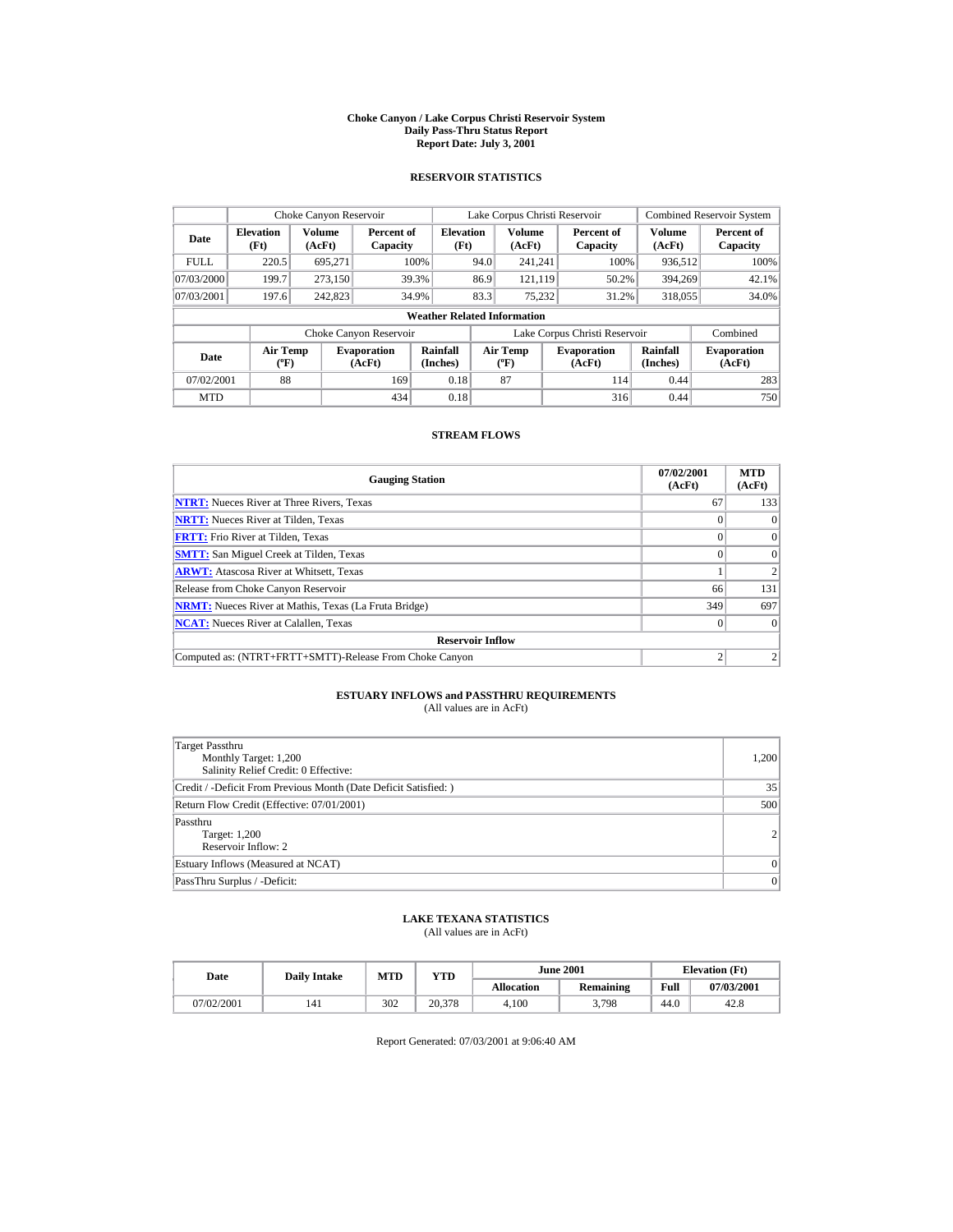#### **Choke Canyon / Lake Corpus Christi Reservoir System Daily Pass-Thru Status Report Report Date: July 3, 2001**

### **RESERVOIR STATISTICS**

|                                                      | Choke Canyon Reservoir                      |         |                              |                          |      | Lake Corpus Christi Reservoir            |      |                               |                         | <b>Combined Reservoir System</b> |  |  |
|------------------------------------------------------|---------------------------------------------|---------|------------------------------|--------------------------|------|------------------------------------------|------|-------------------------------|-------------------------|----------------------------------|--|--|
| Volume<br><b>Elevation</b><br>Date<br>(AcFt)<br>(Ft) |                                             |         | Percent of<br>Capacity       | <b>Elevation</b><br>(Ft) |      | <b>Volume</b><br>(AcFt)                  |      | Percent of<br>Capacity        | <b>Volume</b><br>(AcFt) | Percent of<br>Capacity           |  |  |
| <b>FULL</b>                                          | 220.5                                       | 695,271 |                              | 100%                     | 94.0 | 241.241                                  |      | 100%                          | 936.512                 | 100%                             |  |  |
| 07/03/2000                                           | 199.7                                       | 273.150 |                              | 39.3%                    | 86.9 | 121.119                                  |      | 50.2%                         | 394.269                 | 42.1%                            |  |  |
| 07/03/2001                                           | 197.6                                       | 242,823 |                              | 34.9%                    | 83.3 | 75.232                                   |      | 31.2%                         | 318,055                 | 34.0%                            |  |  |
|                                                      | <b>Weather Related Information</b>          |         |                              |                          |      |                                          |      |                               |                         |                                  |  |  |
|                                                      |                                             |         | Choke Canyon Reservoir       |                          |      |                                          |      | Lake Corpus Christi Reservoir |                         | Combined                         |  |  |
| Date                                                 | <b>Air Temp</b><br>$({}^{\circ}\mathrm{F})$ |         | <b>Evaporation</b><br>(AcFt) | Rainfall<br>(Inches)     |      | <b>Air Temp</b><br>$({}^{\circ}{\rm F})$ |      | <b>Evaporation</b><br>(AcFt)  | Rainfall<br>(Inches)    | <b>Evaporation</b><br>(AcFt)     |  |  |
| 88<br>07/02/2001<br>169                              |                                             | 0.18    |                              | 87                       |      | 114                                      | 0.44 | 283                           |                         |                                  |  |  |
| <b>MTD</b>                                           |                                             |         | 434                          | 0.18                     |      |                                          |      | 316                           | 0.44                    | 750                              |  |  |

### **STREAM FLOWS**

| <b>Gauging Station</b>                                       | 07/02/2001<br>(AcFt) | <b>MTD</b><br>(AcFt) |
|--------------------------------------------------------------|----------------------|----------------------|
| <b>NTRT:</b> Nueces River at Three Rivers, Texas             | 67                   | 133                  |
| <b>NRTT:</b> Nueces River at Tilden, Texas                   |                      | $\Omega$             |
| <b>FRTT:</b> Frio River at Tilden, Texas                     |                      | $\Omega$             |
| <b>SMTT:</b> San Miguel Creek at Tilden, Texas               |                      | $\Omega$             |
| <b>ARWT:</b> Atascosa River at Whitsett, Texas               |                      |                      |
| Release from Choke Canyon Reservoir                          | 66                   | 131                  |
| <b>NRMT:</b> Nueces River at Mathis, Texas (La Fruta Bridge) | 349                  | 697                  |
| <b>NCAT:</b> Nueces River at Calallen, Texas                 |                      | $\Omega$             |
| <b>Reservoir Inflow</b>                                      |                      |                      |
| Computed as: (NTRT+FRTT+SMTT)-Release From Choke Canyon      |                      |                      |

## **ESTUARY INFLOWS and PASSTHRU REQUIREMENTS**<br>(All values are in AcFt)

| Target Passthru<br>Monthly Target: 1,200<br>Salinity Relief Credit: 0 Effective: | 1,200           |
|----------------------------------------------------------------------------------|-----------------|
| Credit / -Deficit From Previous Month (Date Deficit Satisfied: )                 | 35              |
| Return Flow Credit (Effective: 07/01/2001)                                       | 500             |
| Passthru<br>Target: 1,200<br>Reservoir Inflow: 2                                 | $\overline{2}$  |
| Estuary Inflows (Measured at NCAT)                                               | $\Omega$        |
| PassThru Surplus / -Deficit:                                                     | $\vert 0 \vert$ |

## **LAKE TEXANA STATISTICS**

(All values are in AcFt)

| Date       | <b>Daily Intake</b> | <b>MTD</b> | YTD    |                   | <b>June 2001</b> | <b>Elevation</b> (Ft) |            |
|------------|---------------------|------------|--------|-------------------|------------------|-----------------------|------------|
|            |                     |            |        | <b>Allocation</b> | <b>Remaining</b> | Full                  | 07/03/2001 |
| 07/02/2001 | 141                 | 302        | 20.378 | 4.100             | 3,798            | 44.0                  | 42.8       |

Report Generated: 07/03/2001 at 9:06:40 AM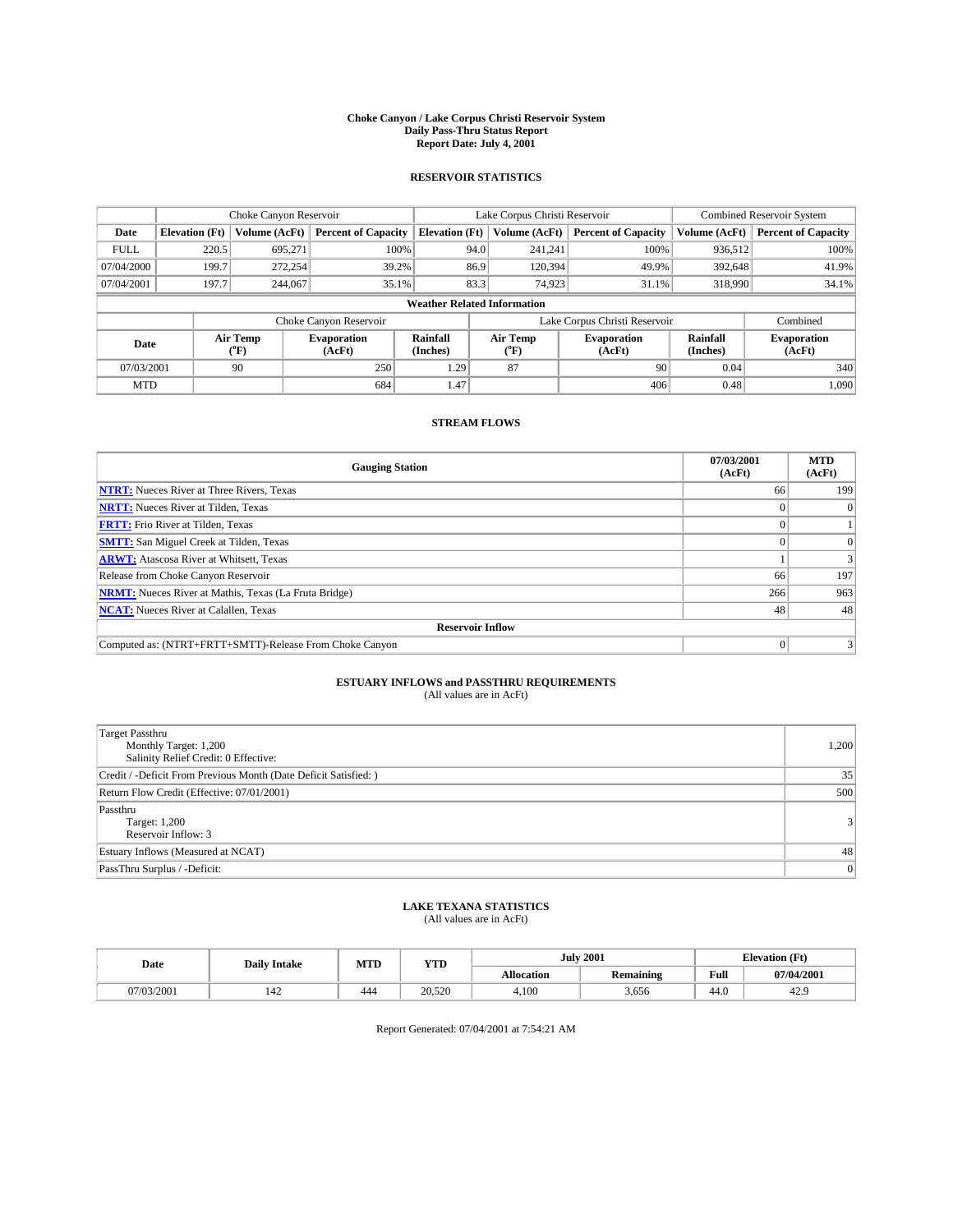#### **Choke Canyon / Lake Corpus Christi Reservoir System Daily Pass-Thru Status Report Report Date: July 4, 2001**

### **RESERVOIR STATISTICS**

|                                    | Choke Canyon Reservoir |                      |                              |                       | Lake Corpus Christi Reservoir | <b>Combined Reservoir System</b> |                      |                              |
|------------------------------------|------------------------|----------------------|------------------------------|-----------------------|-------------------------------|----------------------------------|----------------------|------------------------------|
| Date                               | <b>Elevation</b> (Ft)  | <b>Volume (AcFt)</b> | <b>Percent of Capacity</b>   | <b>Elevation</b> (Ft) | Volume (AcFt)                 | <b>Percent of Capacity</b>       | Volume (AcFt)        | <b>Percent of Capacity</b>   |
| <b>FULL</b>                        | 220.5                  | 695,271              | 100%                         | 94.0                  | 241,241                       | 100%                             | 936.512              | 100%                         |
| 07/04/2000                         | 199.7                  | 272,254              | 39.2%                        | 86.9                  | 120,394                       | 49.9%                            | 392,648              | 41.9%                        |
| 07/04/2001                         | 197.7                  | 244,067              | 35.1%                        | 83.3                  | 74,923                        | 31.1%                            | 318,990              | 34.1%                        |
| <b>Weather Related Information</b> |                        |                      |                              |                       |                               |                                  |                      |                              |
|                                    |                        |                      | Choke Canyon Reservoir       |                       |                               | Lake Corpus Christi Reservoir    |                      | Combined                     |
| Date                               |                        | Air Temp<br>(°F)     | <b>Evaporation</b><br>(AcFt) | Rainfall<br>(Inches)  | Air Temp<br>("F)              | <b>Evaporation</b><br>(AcFt)     | Rainfall<br>(Inches) | <b>Evaporation</b><br>(AcFt) |
| 07/03/2001                         |                        | 90                   | 250                          | 1.29                  | 87                            | 90                               | 0.04                 | 340                          |
| <b>MTD</b>                         |                        |                      | 684                          | 1.47                  |                               | 406                              | 0.48                 | 1,090                        |

## **STREAM FLOWS**

| <b>Gauging Station</b>                                       | 07/03/2001<br>(AcFt) | <b>MTD</b><br>(AcFt) |  |  |  |  |  |
|--------------------------------------------------------------|----------------------|----------------------|--|--|--|--|--|
| <b>NTRT:</b> Nueces River at Three Rivers, Texas             | 66                   | 199                  |  |  |  |  |  |
| <b>NRTT:</b> Nueces River at Tilden, Texas                   |                      |                      |  |  |  |  |  |
| <b>FRTT:</b> Frio River at Tilden, Texas                     |                      |                      |  |  |  |  |  |
| <b>SMTT:</b> San Miguel Creek at Tilden, Texas               |                      |                      |  |  |  |  |  |
| <b>ARWT:</b> Atascosa River at Whitsett, Texas               |                      |                      |  |  |  |  |  |
| Release from Choke Canyon Reservoir                          | 66                   | 197                  |  |  |  |  |  |
| <b>NRMT:</b> Nueces River at Mathis, Texas (La Fruta Bridge) | 266                  | 963                  |  |  |  |  |  |
| <b>NCAT:</b> Nueces River at Calallen, Texas                 | 48                   | 48                   |  |  |  |  |  |
| <b>Reservoir Inflow</b>                                      |                      |                      |  |  |  |  |  |
| Computed as: (NTRT+FRTT+SMTT)-Release From Choke Canyon      |                      |                      |  |  |  |  |  |

## **ESTUARY INFLOWS and PASSTHRU REQUIREMENTS**

(All values are in AcFt)

| <b>Target Passthru</b><br>Monthly Target: 1,200<br>Salinity Relief Credit: 0 Effective: | 1,200          |
|-----------------------------------------------------------------------------------------|----------------|
| Credit / -Deficit From Previous Month (Date Deficit Satisfied: )                        | 35             |
| Return Flow Credit (Effective: 07/01/2001)                                              | 500            |
| Passthru<br>Target: 1,200<br>Reservoir Inflow: 3                                        | 3 <sup>1</sup> |
| Estuary Inflows (Measured at NCAT)                                                      | 48             |
| PassThru Surplus / -Deficit:                                                            | $\overline{0}$ |

## **LAKE TEXANA STATISTICS** (All values are in AcFt)

| Date       | <b>Daily Intake</b> | MTD | <b>VTT</b><br>1 I.D |                   | <b>July 2001</b> | <b>Elevation (Ft)</b><br>$\mathbf{r}$ |            |
|------------|---------------------|-----|---------------------|-------------------|------------------|---------------------------------------|------------|
|            |                     |     |                     | <b>Allocation</b> | <b>Remaining</b> | Full                                  | 07/04/2001 |
| 17/03/2001 | 142                 | 444 | 20.520              | 4,100             | .656             | 44.0                                  | 42.5       |

Report Generated: 07/04/2001 at 7:54:21 AM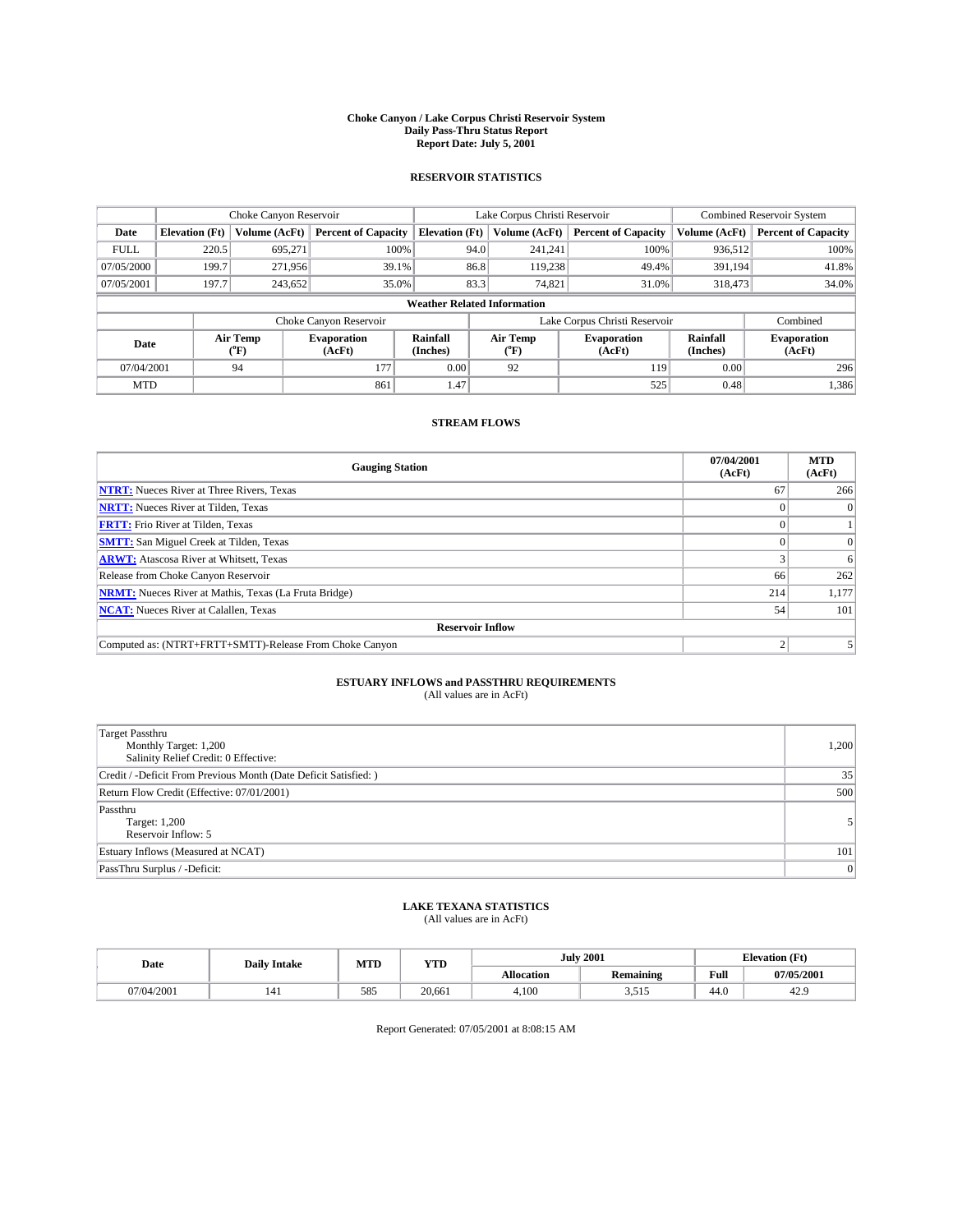#### **Choke Canyon / Lake Corpus Christi Reservoir System Daily Pass-Thru Status Report Report Date: July 5, 2001**

### **RESERVOIR STATISTICS**

|                                    |                       | Choke Canyon Reservoir |                              |                       | Lake Corpus Christi Reservoir | <b>Combined Reservoir System</b> |                      |                              |
|------------------------------------|-----------------------|------------------------|------------------------------|-----------------------|-------------------------------|----------------------------------|----------------------|------------------------------|
| Date                               | <b>Elevation</b> (Ft) | <b>Volume (AcFt)</b>   | <b>Percent of Capacity</b>   | <b>Elevation</b> (Ft) | Volume (AcFt)                 | <b>Percent of Capacity</b>       | Volume (AcFt)        | <b>Percent of Capacity</b>   |
| <b>FULL</b>                        | 220.5                 | 695,271                | 100%                         | 94.0                  | 241,241                       | 100%                             | 936.512              | 100%                         |
| 07/05/2000                         | 199.7                 | 271.956                | 39.1%                        | 86.8                  | 119,238                       | 49.4%                            | 391,194              | 41.8%                        |
| 07/05/2001                         | 197.7                 | 243.652                | 35.0%                        | 83.3                  | 74,821                        | 31.0%                            | 318,473              | 34.0%                        |
| <b>Weather Related Information</b> |                       |                        |                              |                       |                               |                                  |                      |                              |
|                                    |                       |                        | Choke Canyon Reservoir       |                       |                               | Lake Corpus Christi Reservoir    |                      | Combined                     |
| Date                               |                       | Air Temp<br>(°F)       | <b>Evaporation</b><br>(AcFt) | Rainfall<br>(Inches)  | Air Temp<br>("F)              | <b>Evaporation</b><br>(AcFt)     | Rainfall<br>(Inches) | <b>Evaporation</b><br>(AcFt) |
| 07/04/2001                         |                       | 94                     | 177                          | 0.00                  | 92                            | 119                              | 0.00                 | 296                          |
| <b>MTD</b>                         |                       |                        | 861                          | 1.47                  |                               | 525                              | 0.48                 | 1,386                        |

## **STREAM FLOWS**

| <b>Gauging Station</b>                                       | 07/04/2001<br>(AcFt) | <b>MTD</b><br>(AcFt) |  |  |  |  |  |
|--------------------------------------------------------------|----------------------|----------------------|--|--|--|--|--|
| <b>NTRT:</b> Nueces River at Three Rivers, Texas             | 67                   | 266                  |  |  |  |  |  |
| <b>NRTT:</b> Nueces River at Tilden, Texas                   |                      |                      |  |  |  |  |  |
| <b>FRTT:</b> Frio River at Tilden, Texas                     |                      |                      |  |  |  |  |  |
| <b>SMTT:</b> San Miguel Creek at Tilden, Texas               |                      |                      |  |  |  |  |  |
| <b>ARWT:</b> Atascosa River at Whitsett, Texas               |                      | 6                    |  |  |  |  |  |
| Release from Choke Canyon Reservoir                          | 66                   | 262                  |  |  |  |  |  |
| <b>NRMT:</b> Nueces River at Mathis, Texas (La Fruta Bridge) | 214                  | 1,177                |  |  |  |  |  |
| <b>NCAT:</b> Nueces River at Calallen, Texas                 | 54                   | 101                  |  |  |  |  |  |
| <b>Reservoir Inflow</b>                                      |                      |                      |  |  |  |  |  |
| Computed as: (NTRT+FRTT+SMTT)-Release From Choke Canyon      |                      |                      |  |  |  |  |  |

## **ESTUARY INFLOWS and PASSTHRU REQUIREMENTS**

(All values are in AcFt)

| Target Passthru<br>Monthly Target: 1,200<br>Salinity Relief Credit: 0 Effective: | 1,200 |
|----------------------------------------------------------------------------------|-------|
| Credit / -Deficit From Previous Month (Date Deficit Satisfied: )                 | 35    |
| Return Flow Credit (Effective: 07/01/2001)                                       | 500   |
| Passthru<br>Target: 1,200<br>Reservoir Inflow: 5                                 |       |
| Estuary Inflows (Measured at NCAT)                                               | 101   |
| PassThru Surplus / -Deficit:                                                     | 0     |

## **LAKE TEXANA STATISTICS** (All values are in AcFt)

| Date       | <b>Daily Intake</b> | MTD | <b>VTT</b><br>1 I.D | <b>July 2001</b>  |                   | <b>Elevation (Ft)</b><br>$\mathbf{r}$ |            |
|------------|---------------------|-----|---------------------|-------------------|-------------------|---------------------------------------|------------|
|            |                     |     |                     | <b>Allocation</b> | <b>Remaining</b>  | Full                                  | 07/05/2001 |
| 07/04/2001 | 141                 | 585 | 20.661              | 4,100             | 51.<br>-<br>ن 1 ب | 44.0                                  | 42.5       |

Report Generated: 07/05/2001 at 8:08:15 AM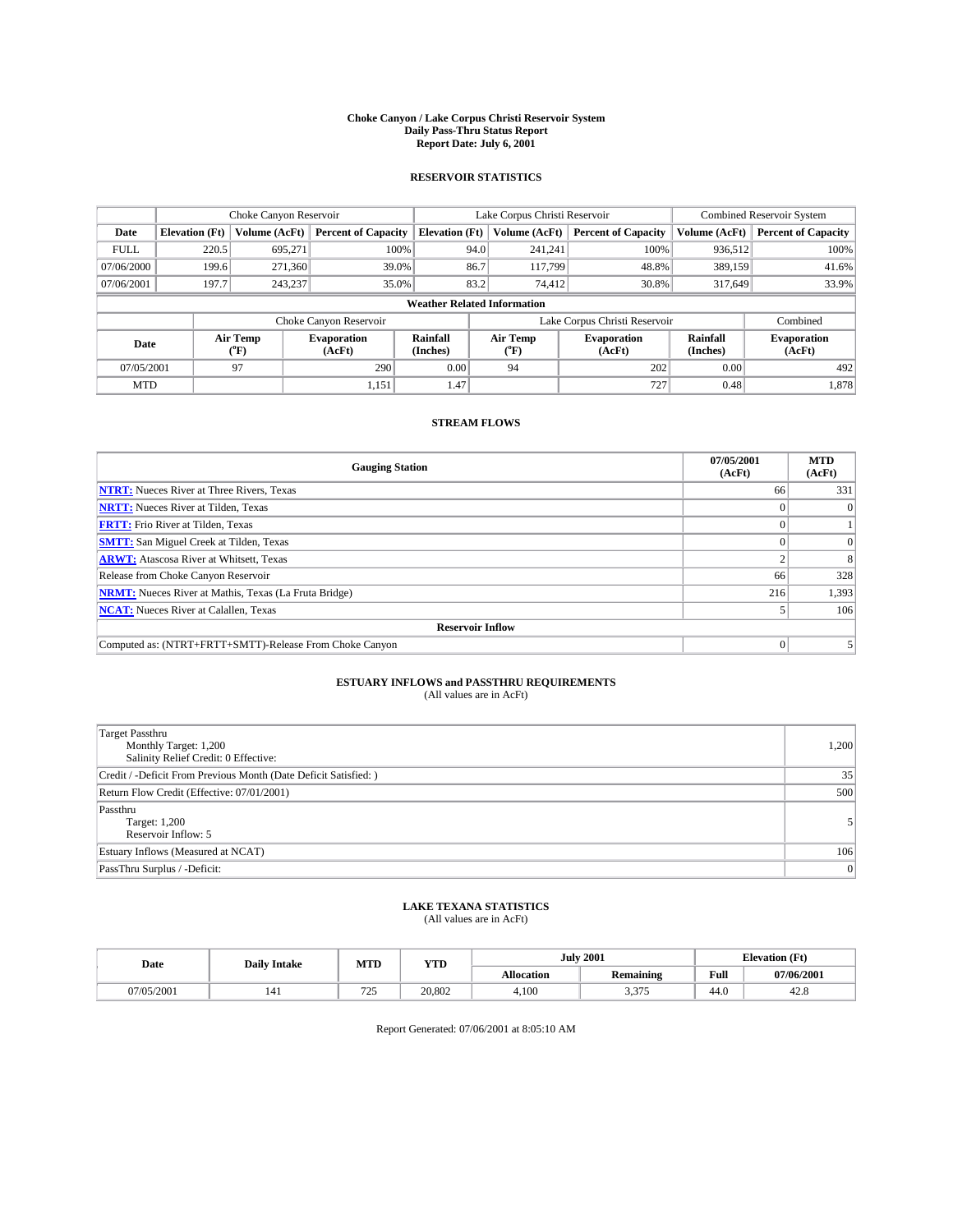#### **Choke Canyon / Lake Corpus Christi Reservoir System Daily Pass-Thru Status Report Report Date: July 6, 2001**

### **RESERVOIR STATISTICS**

|                                    | Choke Canyon Reservoir                                              |                      |                              |                       | Lake Corpus Christi Reservoir | <b>Combined Reservoir System</b> |                      |                              |  |
|------------------------------------|---------------------------------------------------------------------|----------------------|------------------------------|-----------------------|-------------------------------|----------------------------------|----------------------|------------------------------|--|
| Date                               | <b>Elevation</b> (Ft)                                               | <b>Volume (AcFt)</b> | <b>Percent of Capacity</b>   | <b>Elevation</b> (Ft) | Volume (AcFt)                 | <b>Percent of Capacity</b>       | Volume (AcFt)        | <b>Percent of Capacity</b>   |  |
| <b>FULL</b>                        | 220.5                                                               | 695,271              | 100%                         | 94.0                  | 241,241                       | 100%                             | 936.512              | 100%                         |  |
| 07/06/2000                         | 199.6                                                               | 271,360              | 39.0%                        | 86.7                  | 117,799                       | 48.8%                            | 389,159              | 41.6%                        |  |
| 07/06/2001                         | 197.7                                                               | 243.237              | 35.0%                        | 83.2                  | 74,412                        | 30.8%                            | 317,649              | 33.9%                        |  |
| <b>Weather Related Information</b> |                                                                     |                      |                              |                       |                               |                                  |                      |                              |  |
|                                    | Lake Corpus Christi Reservoir<br>Choke Canyon Reservoir<br>Combined |                      |                              |                       |                               |                                  |                      |                              |  |
| Date                               |                                                                     | Air Temp<br>(°F)     | <b>Evaporation</b><br>(AcFt) | Rainfall<br>(Inches)  | Air Temp<br>("F)              | <b>Evaporation</b><br>(AcFt)     | Rainfall<br>(Inches) | <b>Evaporation</b><br>(AcFt) |  |
| 07/05/2001                         |                                                                     | 97                   | 290                          | 0.00                  | 94                            | 202                              | 0.00                 | 492                          |  |
| <b>MTD</b>                         |                                                                     |                      | 1,151                        | 1.47                  |                               | 727                              | 0.48                 | 1,878                        |  |

## **STREAM FLOWS**

| <b>Gauging Station</b>                                       | 07/05/2001<br>(AcFt) | <b>MTD</b><br>(AcFt) |  |  |  |  |  |
|--------------------------------------------------------------|----------------------|----------------------|--|--|--|--|--|
| <b>NTRT:</b> Nueces River at Three Rivers, Texas             | 66                   | 331                  |  |  |  |  |  |
| <b>NRTT:</b> Nueces River at Tilden, Texas                   |                      |                      |  |  |  |  |  |
| <b>FRTT:</b> Frio River at Tilden, Texas                     |                      |                      |  |  |  |  |  |
| <b>SMTT:</b> San Miguel Creek at Tilden, Texas               |                      |                      |  |  |  |  |  |
| <b>ARWT:</b> Atascosa River at Whitsett, Texas               |                      |                      |  |  |  |  |  |
| Release from Choke Canyon Reservoir                          | 66                   | 328                  |  |  |  |  |  |
| <b>NRMT:</b> Nueces River at Mathis, Texas (La Fruta Bridge) | 216                  | 1,393                |  |  |  |  |  |
| <b>NCAT:</b> Nueces River at Calallen, Texas                 |                      | 106                  |  |  |  |  |  |
| <b>Reservoir Inflow</b>                                      |                      |                      |  |  |  |  |  |
| Computed as: (NTRT+FRTT+SMTT)-Release From Choke Canyon      |                      |                      |  |  |  |  |  |

## **ESTUARY INFLOWS and PASSTHRU REQUIREMENTS**

(All values are in AcFt)

| <b>Target Passthru</b><br>Monthly Target: 1,200<br>Salinity Relief Credit: 0 Effective: | 1,200 |
|-----------------------------------------------------------------------------------------|-------|
| Credit / -Deficit From Previous Month (Date Deficit Satisfied: )                        | 35    |
| Return Flow Credit (Effective: 07/01/2001)                                              | 500   |
| Passthru<br>Target: 1,200<br>Reservoir Inflow: 5                                        | 5     |
| Estuary Inflows (Measured at NCAT)                                                      | 106   |
| PassThru Surplus / -Deficit:                                                            | 0     |

## **LAKE TEXANA STATISTICS** (All values are in AcFt)

| Date      | <b>Daily Intake</b> | MTD                               | <b>XZTPT</b><br>1 I.D |                   | <b>July 2001</b>       | <b>Tlevation</b> (Ft)<br>-- |            |
|-----------|---------------------|-----------------------------------|-----------------------|-------------------|------------------------|-----------------------------|------------|
|           |                     |                                   |                       | <b>Allocation</b> | Remaining              | Full                        | 07/06/2001 |
| 7/05/2001 | 141                 | $\overline{\phantom{a}}$<br>ں ہے۔ | 20.802                | 4,100             | 2.27<br>27F<br>ر ر د د | 44.0                        | 42.6       |

Report Generated: 07/06/2001 at 8:05:10 AM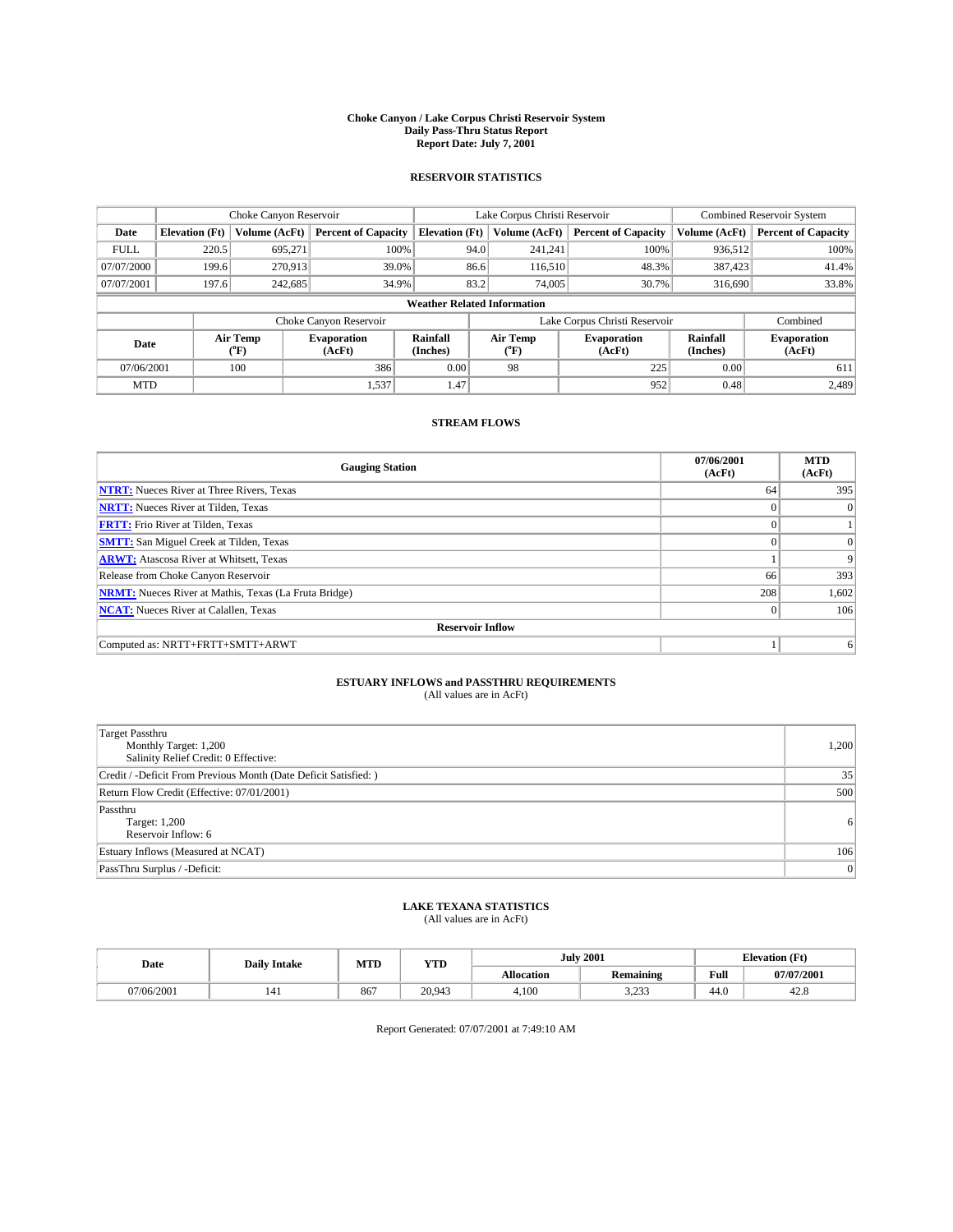#### **Choke Canyon / Lake Corpus Christi Reservoir System Daily Pass-Thru Status Report Report Date: July 7, 2001**

### **RESERVOIR STATISTICS**

|                                    | Choke Canyon Reservoir |                      |                              |                       | Lake Corpus Christi Reservoir | <b>Combined Reservoir System</b> |                      |                              |
|------------------------------------|------------------------|----------------------|------------------------------|-----------------------|-------------------------------|----------------------------------|----------------------|------------------------------|
| Date                               | <b>Elevation</b> (Ft)  | <b>Volume (AcFt)</b> | <b>Percent of Capacity</b>   | <b>Elevation</b> (Ft) | Volume (AcFt)                 | <b>Percent of Capacity</b>       | Volume (AcFt)        | <b>Percent of Capacity</b>   |
| <b>FULL</b>                        | 220.5                  | 695,271              | 100%                         |                       | 241,241<br>94.0               | 100%                             | 936.512              | 100%                         |
| 07/07/2000                         | 199.6                  | 270,913              | 39.0%                        |                       | 86.6<br>116,510               | 48.3%                            | 387,423              | 41.4%                        |
| 07/07/2001                         | 197.6                  | 242.685              | 34.9%                        |                       | 83.2<br>74,005                | 30.7%                            | 316,690              | 33.8%                        |
| <b>Weather Related Information</b> |                        |                      |                              |                       |                               |                                  |                      |                              |
|                                    |                        |                      | Choke Canyon Reservoir       |                       |                               | Lake Corpus Christi Reservoir    |                      | Combined                     |
| Date                               |                        | Air Temp<br>(°F)     | <b>Evaporation</b><br>(AcFt) | Rainfall<br>(Inches)  | Air Temp<br>("F)              | <b>Evaporation</b><br>(AcFt)     | Rainfall<br>(Inches) | <b>Evaporation</b><br>(AcFt) |
| 07/06/2001                         |                        | 100                  | 386                          | 0.00                  | 98                            | 225                              | 0.00                 | 611                          |
| <b>MTD</b>                         |                        |                      | 1,537                        | 1.47                  |                               | 952                              | 0.48                 | 2,489                        |

## **STREAM FLOWS**

| <b>Gauging Station</b>                                       | 07/06/2001<br>(AcFt) | <b>MTD</b><br>(AcFt) |  |  |  |  |
|--------------------------------------------------------------|----------------------|----------------------|--|--|--|--|
| <b>NTRT:</b> Nueces River at Three Rivers, Texas             | 64                   | 395                  |  |  |  |  |
| <b>NRTT:</b> Nueces River at Tilden, Texas                   |                      | $\Omega$             |  |  |  |  |
| <b>FRTT:</b> Frio River at Tilden, Texas                     |                      |                      |  |  |  |  |
| <b>SMTT:</b> San Miguel Creek at Tilden, Texas               |                      | $\Omega$             |  |  |  |  |
| <b>ARWT:</b> Atascosa River at Whitsett, Texas               |                      | 9                    |  |  |  |  |
| Release from Choke Canyon Reservoir                          | 66                   | 393                  |  |  |  |  |
| <b>NRMT:</b> Nueces River at Mathis, Texas (La Fruta Bridge) | 208                  | 1,602                |  |  |  |  |
| <b>NCAT:</b> Nueces River at Calallen, Texas                 | $\mathbf{0}$         | 106                  |  |  |  |  |
| <b>Reservoir Inflow</b>                                      |                      |                      |  |  |  |  |
| Computed as: NRTT+FRTT+SMTT+ARWT                             |                      | 6                    |  |  |  |  |

#### **ESTUARY INFLOWS and PASSTHRU REQUIREMENTS** (All values are in AcFt)

| <b>Target Passthru</b><br>Monthly Target: 1,200<br>Salinity Relief Credit: 0 Effective: | 1,200 |
|-----------------------------------------------------------------------------------------|-------|
| Credit / -Deficit From Previous Month (Date Deficit Satisfied: )                        | 35    |
| Return Flow Credit (Effective: 07/01/2001)                                              | 500   |
| Passthru<br>Target: 1,200<br>Reservoir Inflow: 6                                        | 6     |
| Estuary Inflows (Measured at NCAT)                                                      | 106   |
| PassThru Surplus / -Deficit:                                                            | 0     |

## **LAKE TEXANA STATISTICS** (All values are in AcFt)

| Date       | <b>Daily Intake</b> | MTD | <b>YTD</b> |                   | <b>July 2001</b> | <b>Elevation</b> (Ft) |            |
|------------|---------------------|-----|------------|-------------------|------------------|-----------------------|------------|
|            |                     |     |            | <b>Allocation</b> | Remaining        | Full                  | 07/07/2001 |
| 07/06/2001 | 141                 | 867 | 20.943     | 4,100             | 222<br>ر رے د    | 44.0                  | 44.0       |

Report Generated: 07/07/2001 at 7:49:10 AM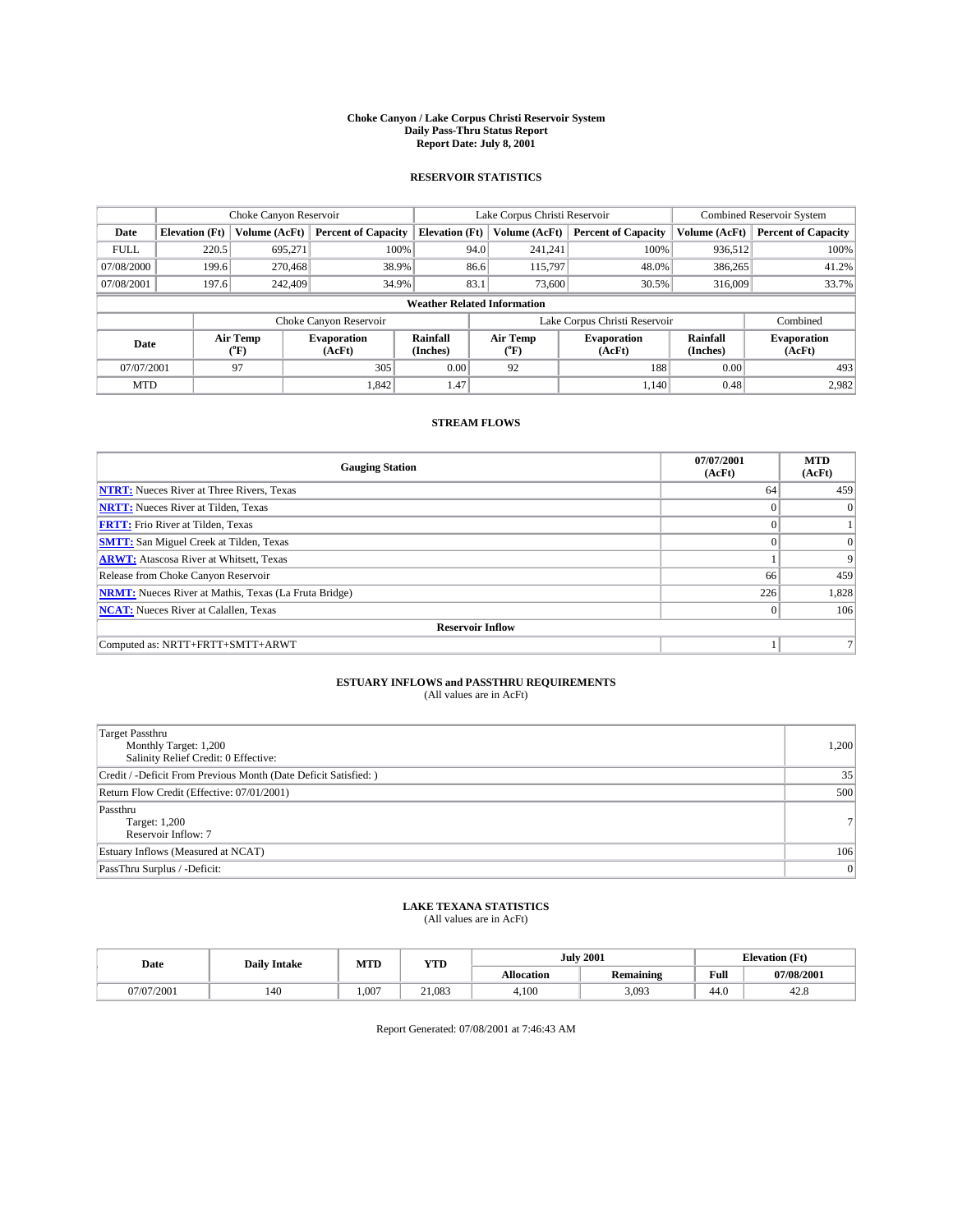#### **Choke Canyon / Lake Corpus Christi Reservoir System Daily Pass-Thru Status Report Report Date: July 8, 2001**

### **RESERVOIR STATISTICS**

|                                    | Choke Canyon Reservoir |                      |                              |                       | Lake Corpus Christi Reservoir |                  |                               |                      | <b>Combined Reservoir System</b> |  |
|------------------------------------|------------------------|----------------------|------------------------------|-----------------------|-------------------------------|------------------|-------------------------------|----------------------|----------------------------------|--|
| Date                               | <b>Elevation</b> (Ft)  | <b>Volume (AcFt)</b> | <b>Percent of Capacity</b>   | <b>Elevation</b> (Ft) |                               | Volume (AcFt)    | <b>Percent of Capacity</b>    | Volume (AcFt)        | <b>Percent of Capacity</b>       |  |
| <b>FULL</b>                        | 220.5                  | 695,271              | 100%                         |                       | 94.0                          | 241,241          | 100%                          | 936.512              | 100%                             |  |
| 07/08/2000                         | 199.6                  | 270,468              | 38.9%                        |                       | 86.6                          | 115,797          | 48.0%                         | 386,265              | 41.2%                            |  |
| 07/08/2001                         | 197.6                  | 242,409              | 34.9%                        |                       | 83.1                          | 73,600           | 30.5%                         | 316,009              | 33.7%                            |  |
| <b>Weather Related Information</b> |                        |                      |                              |                       |                               |                  |                               |                      |                                  |  |
|                                    |                        |                      | Choke Canyon Reservoir       |                       |                               |                  | Lake Corpus Christi Reservoir |                      | Combined                         |  |
| Date                               |                        | Air Temp<br>(°F)     | <b>Evaporation</b><br>(AcFt) | Rainfall<br>(Inches)  |                               | Air Temp<br>("F) | <b>Evaporation</b><br>(AcFt)  | Rainfall<br>(Inches) | <b>Evaporation</b><br>(AcFt)     |  |
| 07/07/2001                         |                        | 97                   | 305                          | 0.00                  |                               | 92               | 188                           | 0.00                 | 493                              |  |
| <b>MTD</b>                         |                        |                      | 1.842                        | 1.47                  |                               |                  | 1.140                         | 0.48                 | 2.982                            |  |

## **STREAM FLOWS**

| <b>Gauging Station</b>                                       | 07/07/2001<br>(AcFt) | <b>MTD</b><br>(AcFt) |  |  |  |  |
|--------------------------------------------------------------|----------------------|----------------------|--|--|--|--|
| <b>NTRT:</b> Nueces River at Three Rivers, Texas             | 64                   | 459                  |  |  |  |  |
| <b>NRTT:</b> Nueces River at Tilden, Texas                   |                      | $\Omega$             |  |  |  |  |
| <b>FRTT:</b> Frio River at Tilden, Texas                     |                      |                      |  |  |  |  |
| <b>SMTT:</b> San Miguel Creek at Tilden, Texas               |                      | $\Omega$             |  |  |  |  |
| <b>ARWT:</b> Atascosa River at Whitsett, Texas               |                      | 9                    |  |  |  |  |
| Release from Choke Canyon Reservoir                          | 66                   | 459                  |  |  |  |  |
| <b>NRMT:</b> Nueces River at Mathis, Texas (La Fruta Bridge) | 226                  | 1,828                |  |  |  |  |
| <b>NCAT:</b> Nueces River at Calallen, Texas                 | $\mathbf{0}$         | 106                  |  |  |  |  |
| <b>Reservoir Inflow</b>                                      |                      |                      |  |  |  |  |
| Computed as: NRTT+FRTT+SMTT+ARWT                             |                      |                      |  |  |  |  |

#### **ESTUARY INFLOWS and PASSTHRU REQUIREMENTS** (All values are in AcFt)

| <b>Target Passthru</b><br>Monthly Target: 1,200<br>Salinity Relief Credit: 0 Effective: | 1,200          |
|-----------------------------------------------------------------------------------------|----------------|
| Credit / -Deficit From Previous Month (Date Deficit Satisfied: )                        | 35             |
| Return Flow Credit (Effective: 07/01/2001)                                              | 500            |
| Passthru<br>Target: 1,200<br>Reservoir Inflow: 7                                        | 7 <sup>1</sup> |
| Estuary Inflows (Measured at NCAT)                                                      | 106            |
| PassThru Surplus / -Deficit:                                                            | 0              |

# **LAKE TEXANA STATISTICS** (All values are in AcFt)

| Date       | <b>Daily Intake</b> | MTD | YTD    |                   | <b>July 2001</b> | <b>Elevation (Ft)</b> |            |
|------------|---------------------|-----|--------|-------------------|------------------|-----------------------|------------|
|            |                     |     |        | <b>Allocation</b> | <b>Remaining</b> | Full                  | 07/08/2001 |
| 07/07/2001 | 140                 | 007 | 21.083 | 4.100             | 3,093            | 44.0                  | 42.8       |

Report Generated: 07/08/2001 at 7:46:43 AM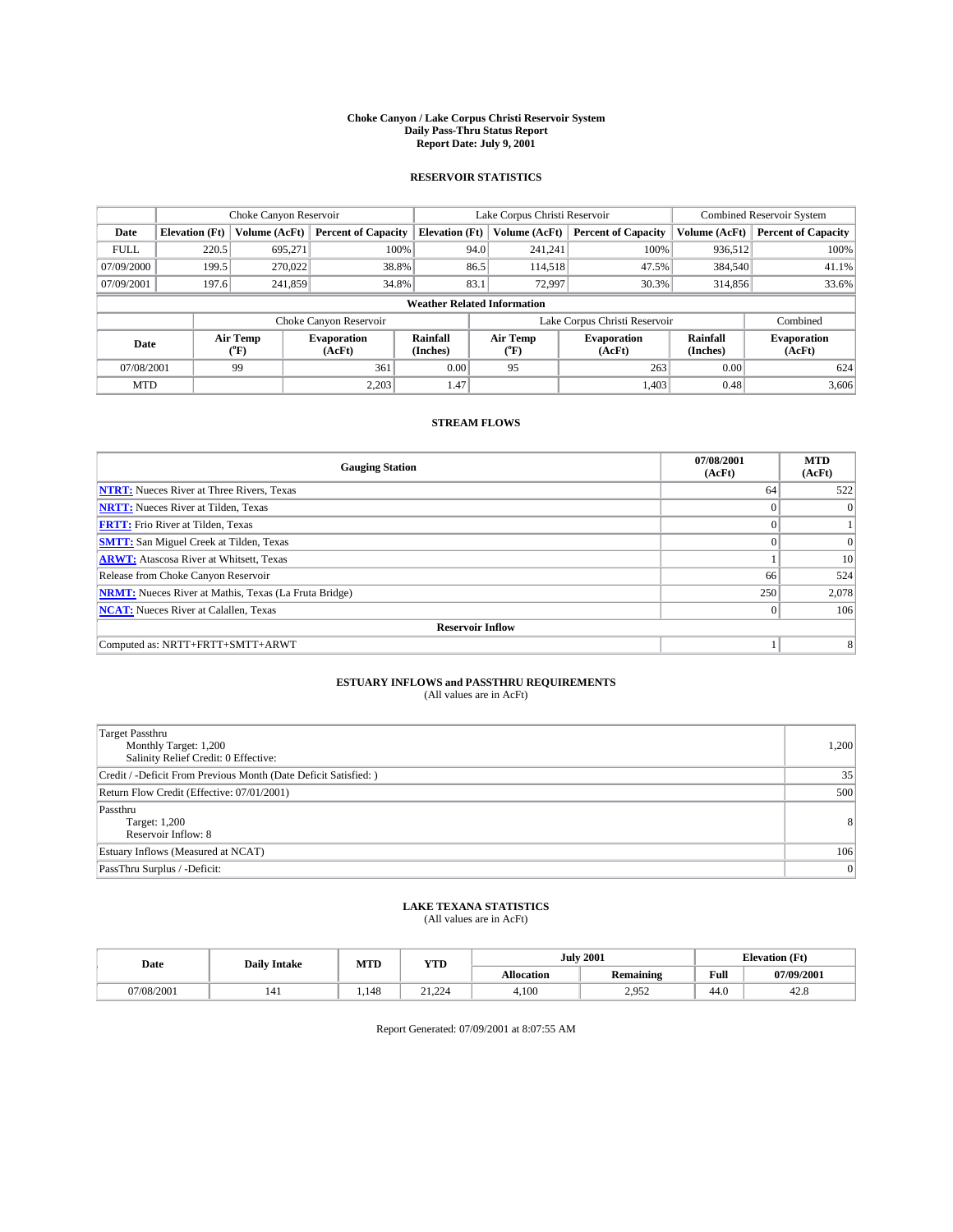#### **Choke Canyon / Lake Corpus Christi Reservoir System Daily Pass-Thru Status Report Report Date: July 9, 2001**

### **RESERVOIR STATISTICS**

|                                    | Choke Canyon Reservoir |                      |                              |                       | Lake Corpus Christi Reservoir | <b>Combined Reservoir System</b> |                      |                              |
|------------------------------------|------------------------|----------------------|------------------------------|-----------------------|-------------------------------|----------------------------------|----------------------|------------------------------|
| Date                               | <b>Elevation</b> (Ft)  | <b>Volume (AcFt)</b> | <b>Percent of Capacity</b>   | <b>Elevation</b> (Ft) | Volume (AcFt)                 | <b>Percent of Capacity</b>       | Volume (AcFt)        | <b>Percent of Capacity</b>   |
| <b>FULL</b>                        | 220.5                  | 695,271              | 100%                         | 94.0                  | 241,241                       | 100%                             | 936.512              | 100%                         |
| 07/09/2000                         | 199.5                  | 270,022              | 38.8%                        | 86.5                  | 114,518                       | 47.5%                            | 384,540              | 41.1%                        |
| 07/09/2001                         | 197.6                  | 241.859              | 34.8%                        | 83.1                  | 72,997                        | 30.3%                            | 314,856              | 33.6%                        |
| <b>Weather Related Information</b> |                        |                      |                              |                       |                               |                                  |                      |                              |
|                                    |                        |                      | Choke Canyon Reservoir       |                       |                               | Lake Corpus Christi Reservoir    |                      | Combined                     |
| Date                               |                        | Air Temp<br>(°F)     | <b>Evaporation</b><br>(AcFt) | Rainfall<br>(Inches)  | Air Temp<br>("F)              | <b>Evaporation</b><br>(AcFt)     | Rainfall<br>(Inches) | <b>Evaporation</b><br>(AcFt) |
| 07/08/2001                         |                        | 99                   | 361                          | 0.00                  | 95                            | 263                              | 0.00                 | 624                          |
| <b>MTD</b>                         |                        |                      | 2.203                        | 1.47                  |                               | 1.403                            | 0.48                 | 3,606                        |

## **STREAM FLOWS**

| <b>Gauging Station</b>                                       | 07/08/2001<br>(AcFt) | <b>MTD</b><br>(AcFt) |  |  |  |  |
|--------------------------------------------------------------|----------------------|----------------------|--|--|--|--|
| <b>NTRT:</b> Nueces River at Three Rivers, Texas             | 64                   | 522                  |  |  |  |  |
| <b>NRTT:</b> Nueces River at Tilden, Texas                   |                      | $\Omega$             |  |  |  |  |
| <b>FRTT:</b> Frio River at Tilden, Texas                     |                      |                      |  |  |  |  |
| <b>SMTT:</b> San Miguel Creek at Tilden, Texas               |                      | $\Omega$             |  |  |  |  |
| <b>ARWT:</b> Atascosa River at Whitsett, Texas               |                      | 10                   |  |  |  |  |
| Release from Choke Canyon Reservoir                          | 66                   | 524                  |  |  |  |  |
| <b>NRMT:</b> Nueces River at Mathis, Texas (La Fruta Bridge) | 250                  | 2,078                |  |  |  |  |
| <b>NCAT:</b> Nueces River at Calallen, Texas                 | $\mathbf{0}$         | 106                  |  |  |  |  |
| <b>Reservoir Inflow</b>                                      |                      |                      |  |  |  |  |
| Computed as: NRTT+FRTT+SMTT+ARWT                             |                      | 8                    |  |  |  |  |

## **ESTUARY INFLOWS and PASSTHRU REQUIREMENTS**

(All values are in AcFt)

| <b>Target Passthru</b><br>Monthly Target: 1,200<br>Salinity Relief Credit: 0 Effective: | 1,200          |
|-----------------------------------------------------------------------------------------|----------------|
| Credit / -Deficit From Previous Month (Date Deficit Satisfied: )                        | 35             |
| Return Flow Credit (Effective: 07/01/2001)                                              | 500            |
| Passthru<br>Target: 1,200<br>Reservoir Inflow: 8                                        | 8 <sup>1</sup> |
| Estuary Inflows (Measured at NCAT)                                                      | 106            |
| PassThru Surplus / -Deficit:                                                            | 0              |

## **LAKE TEXANA STATISTICS** (All values are in AcFt)

| Date       | <b>Daily Intake</b> | MTD  | <b>XZTPT</b><br>1 I.D         |                   | <b>July 2001</b>       | <b>Tlevation (Ft)</b><br>-- |            |
|------------|---------------------|------|-------------------------------|-------------------|------------------------|-----------------------------|------------|
|            |                     |      |                               | <b>Allocation</b> | <b>Remaining</b>       | Full                        | 07/09/2001 |
| 07/08/2001 | 141                 | .148 | $^{\sim}$<br>$\sim$<br>41.444 | 4,100             | $2.95^\circ$<br>ساردها | 44.0                        | 42.6       |

Report Generated: 07/09/2001 at 8:07:55 AM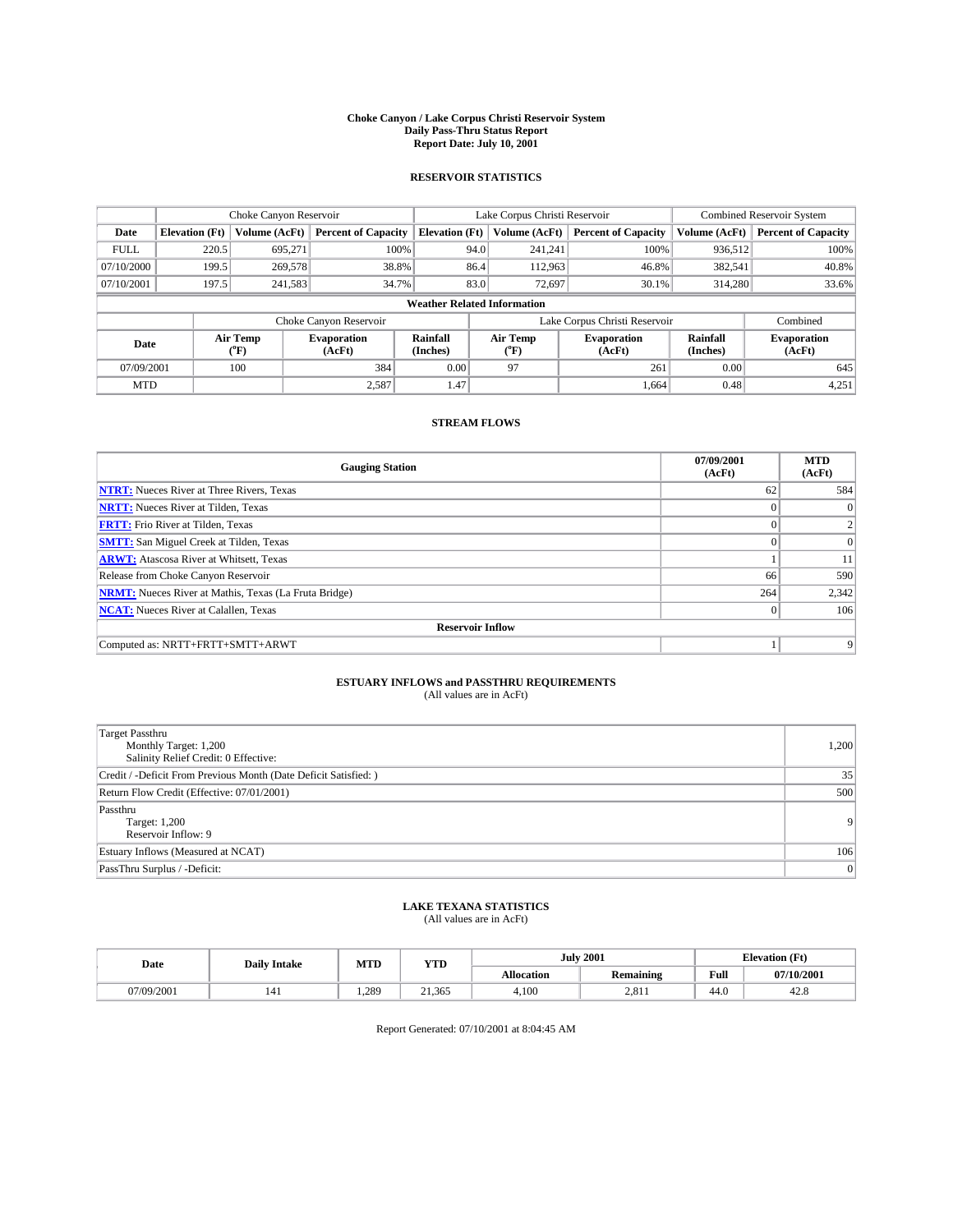#### **Choke Canyon / Lake Corpus Christi Reservoir System Daily Pass-Thru Status Report Report Date: July 10, 2001**

### **RESERVOIR STATISTICS**

|             | Choke Canyon Reservoir             |                  |                              |                       | Lake Corpus Christi Reservoir | <b>Combined Reservoir System</b> |                      |                              |  |
|-------------|------------------------------------|------------------|------------------------------|-----------------------|-------------------------------|----------------------------------|----------------------|------------------------------|--|
| Date        | <b>Elevation</b> (Ft)              | Volume (AcFt)    | <b>Percent of Capacity</b>   | <b>Elevation</b> (Ft) | Volume (AcFt)                 | <b>Percent of Capacity</b>       | Volume (AcFt)        | <b>Percent of Capacity</b>   |  |
| <b>FULL</b> | 220.5                              | 695,271          | 100%                         | 94.0                  | 241,241                       | 100%                             | 936,512              | 100%                         |  |
| 07/10/2000  | 199.5                              | 269,578          | 38.8%                        | 86.4                  | 112,963                       | 46.8%                            | 382,541              | 40.8%                        |  |
| 07/10/2001  | 197.5                              | 241,583          | 34.7%                        | 83.0                  | 72,697                        | 30.1%                            | 314,280              | 33.6%                        |  |
|             | <b>Weather Related Information</b> |                  |                              |                       |                               |                                  |                      |                              |  |
|             |                                    |                  | Choke Canyon Reservoir       |                       |                               | Lake Corpus Christi Reservoir    |                      | Combined                     |  |
| Date        |                                    | Air Temp<br>(°F) | <b>Evaporation</b><br>(AcFt) | Rainfall<br>(Inches)  | Air Temp<br>("F)              | <b>Evaporation</b><br>(AcFt)     | Rainfall<br>(Inches) | <b>Evaporation</b><br>(AcFt) |  |
| 07/09/2001  |                                    | 100              | 384                          | 0.00                  | 97                            | 261                              | 0.00                 | 645                          |  |
| <b>MTD</b>  |                                    |                  | 2.587                        | 1.47                  |                               | 1.664                            | 0.48                 | 4,251                        |  |

## **STREAM FLOWS**

| <b>Gauging Station</b>                                       | 07/09/2001<br>(AcFt) | <b>MTD</b><br>(AcFt) |  |  |  |  |
|--------------------------------------------------------------|----------------------|----------------------|--|--|--|--|
| <b>NTRT:</b> Nueces River at Three Rivers, Texas             | 62                   | 584                  |  |  |  |  |
| <b>NRTT:</b> Nueces River at Tilden, Texas                   |                      |                      |  |  |  |  |
| <b>FRTT:</b> Frio River at Tilden, Texas                     |                      |                      |  |  |  |  |
| <b>SMTT:</b> San Miguel Creek at Tilden, Texas               | $\Omega$             |                      |  |  |  |  |
| <b>ARWT:</b> Atascosa River at Whitsett, Texas               |                      | 11                   |  |  |  |  |
| Release from Choke Canyon Reservoir                          | 66                   | 590                  |  |  |  |  |
| <b>NRMT:</b> Nueces River at Mathis, Texas (La Fruta Bridge) | 264                  | 2,342                |  |  |  |  |
| <b>NCAT:</b> Nueces River at Calallen, Texas                 | $\theta$             | 106                  |  |  |  |  |
| <b>Reservoir Inflow</b>                                      |                      |                      |  |  |  |  |
| Computed as: NRTT+FRTT+SMTT+ARWT                             |                      | 9                    |  |  |  |  |

#### **ESTUARY INFLOWS and PASSTHRU REQUIREMENTS** (All values are in AcFt)

| <b>Target Passthru</b><br>Monthly Target: 1,200<br>Salinity Relief Credit: 0 Effective: | 1,200          |
|-----------------------------------------------------------------------------------------|----------------|
| Credit / -Deficit From Previous Month (Date Deficit Satisfied: )                        | 35             |
| Return Flow Credit (Effective: 07/01/2001)                                              | 500            |
| Passthru<br>Target: 1,200<br>Reservoir Inflow: 9                                        | 9 <sup>1</sup> |
| Estuary Inflows (Measured at NCAT)                                                      | 106            |
| PassThru Surplus / -Deficit:                                                            | 0              |

# **LAKE TEXANA STATISTICS** (All values are in AcFt)

| Date       | <b>Daily Intake</b> | MTD   | YTD    |                   | <b>July 2001</b> | <b>Elevation (Ft)</b> |            |
|------------|---------------------|-------|--------|-------------------|------------------|-----------------------|------------|
|            |                     |       |        | <b>Allocation</b> | <b>Remaining</b> | Full                  | 07/10/2001 |
| 07/09/2001 | 141                 | 1.289 | 21.365 | 4.100             | 2,811            | 44.0                  | 42.8       |

Report Generated: 07/10/2001 at 8:04:45 AM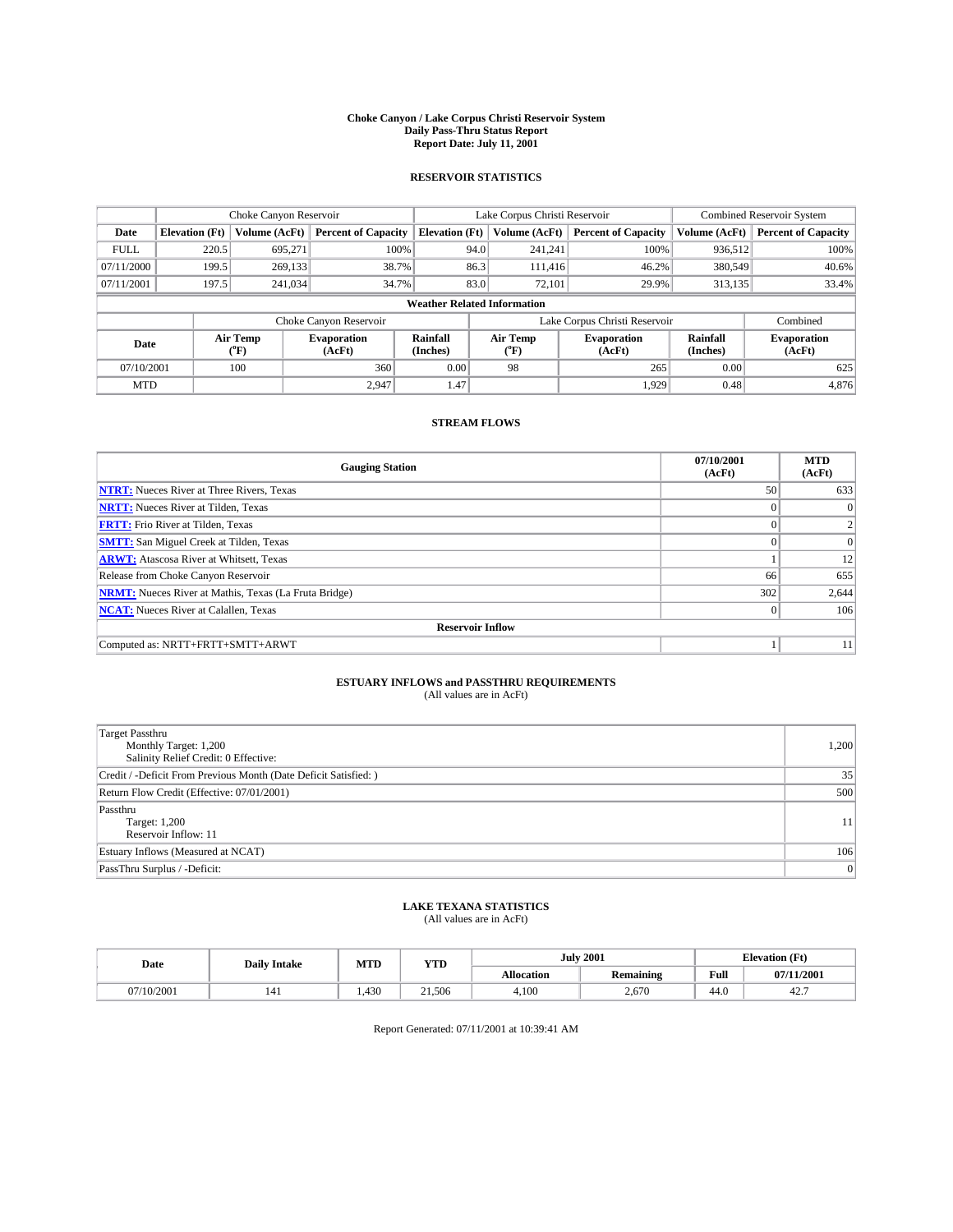#### **Choke Canyon / Lake Corpus Christi Reservoir System Daily Pass-Thru Status Report Report Date: July 11, 2001**

### **RESERVOIR STATISTICS**

|                                    |                       | Choke Canyon Reservoir |                              |                       | Lake Corpus Christi Reservoir | <b>Combined Reservoir System</b> |                      |                              |
|------------------------------------|-----------------------|------------------------|------------------------------|-----------------------|-------------------------------|----------------------------------|----------------------|------------------------------|
| Date                               | <b>Elevation</b> (Ft) | Volume (AcFt)          | <b>Percent of Capacity</b>   | <b>Elevation</b> (Ft) | Volume (AcFt)                 | <b>Percent of Capacity</b>       | Volume (AcFt)        | <b>Percent of Capacity</b>   |
| <b>FULL</b>                        | 220.5                 | 695,271                | 100%                         |                       | 94.0<br>241,241               | 100%                             | 936,512              | 100%                         |
| 07/11/2000                         | 199.5                 | 269,133                | 38.7%                        | 86.3                  | 111.416                       | 46.2%                            | 380,549              | 40.6%                        |
| 07/11/2001                         | 197.5                 | 241,034                | 34.7%                        | 83.0                  | 72,101                        | 29.9%                            | 313,135              | 33.4%                        |
| <b>Weather Related Information</b> |                       |                        |                              |                       |                               |                                  |                      |                              |
|                                    |                       |                        | Choke Canyon Reservoir       |                       |                               | Lake Corpus Christi Reservoir    |                      | Combined                     |
| Date                               |                       | Air Temp<br>(°F)       | <b>Evaporation</b><br>(AcFt) | Rainfall<br>(Inches)  | Air Temp<br>("F)              | <b>Evaporation</b><br>(AcFt)     | Rainfall<br>(Inches) | <b>Evaporation</b><br>(AcFt) |
| 07/10/2001                         |                       | 100                    | 360                          | 0.00                  | 98                            | 265                              | 0.00                 | 625                          |
| <b>MTD</b>                         |                       |                        | 2.947                        | 1.47                  |                               | 1.929                            | 0.48                 | 4,876                        |

## **STREAM FLOWS**

| <b>Gauging Station</b>                                       | 07/10/2001<br>(AcFt) | <b>MTD</b><br>(AcFt) |  |  |  |  |
|--------------------------------------------------------------|----------------------|----------------------|--|--|--|--|
| <b>NTRT:</b> Nueces River at Three Rivers, Texas             | 50                   | 633                  |  |  |  |  |
| <b>NRTT:</b> Nueces River at Tilden, Texas                   |                      |                      |  |  |  |  |
| <b>FRTT:</b> Frio River at Tilden, Texas                     |                      |                      |  |  |  |  |
| <b>SMTT:</b> San Miguel Creek at Tilden, Texas               | $\Omega$             |                      |  |  |  |  |
| <b>ARWT:</b> Atascosa River at Whitsett, Texas               |                      | 12                   |  |  |  |  |
| Release from Choke Canyon Reservoir                          | 66                   | 655                  |  |  |  |  |
| <b>NRMT:</b> Nueces River at Mathis, Texas (La Fruta Bridge) | 302                  | 2,644                |  |  |  |  |
| <b>NCAT:</b> Nueces River at Calallen, Texas                 | $\theta$             | 106                  |  |  |  |  |
| <b>Reservoir Inflow</b>                                      |                      |                      |  |  |  |  |
| Computed as: NRTT+FRTT+SMTT+ARWT                             |                      | 11                   |  |  |  |  |

#### **ESTUARY INFLOWS and PASSTHRU REQUIREMENTS** (All values are in AcFt)

| <b>Target Passthru</b><br>Monthly Target: 1,200<br>Salinity Relief Credit: 0 Effective: | 1,200 |
|-----------------------------------------------------------------------------------------|-------|
| Credit / -Deficit From Previous Month (Date Deficit Satisfied: )                        | 35    |
| Return Flow Credit (Effective: 07/01/2001)                                              | 500   |
| Passthru<br>Target: 1,200<br>Reservoir Inflow: 11                                       | 11    |
| Estuary Inflows (Measured at NCAT)                                                      | 106   |
| PassThru Surplus / -Deficit:                                                            | 0     |

## **LAKE TEXANA STATISTICS** (All values are in AcFt)

| Date     | <b>Daily Intake</b> | MTD  | <b>YTD</b> | <b>July 2001</b>  |                  | <b>Elevation</b> (Ft) |            |
|----------|---------------------|------|------------|-------------------|------------------|-----------------------|------------|
|          |                     |      |            | <b>Allocation</b> | <b>Remaining</b> | Full                  | 07/11/2001 |
| 710/2001 | 141                 | .430 | 21.506     | 4,100             | 2.670            | 44.0                  | 44.        |

Report Generated: 07/11/2001 at 10:39:41 AM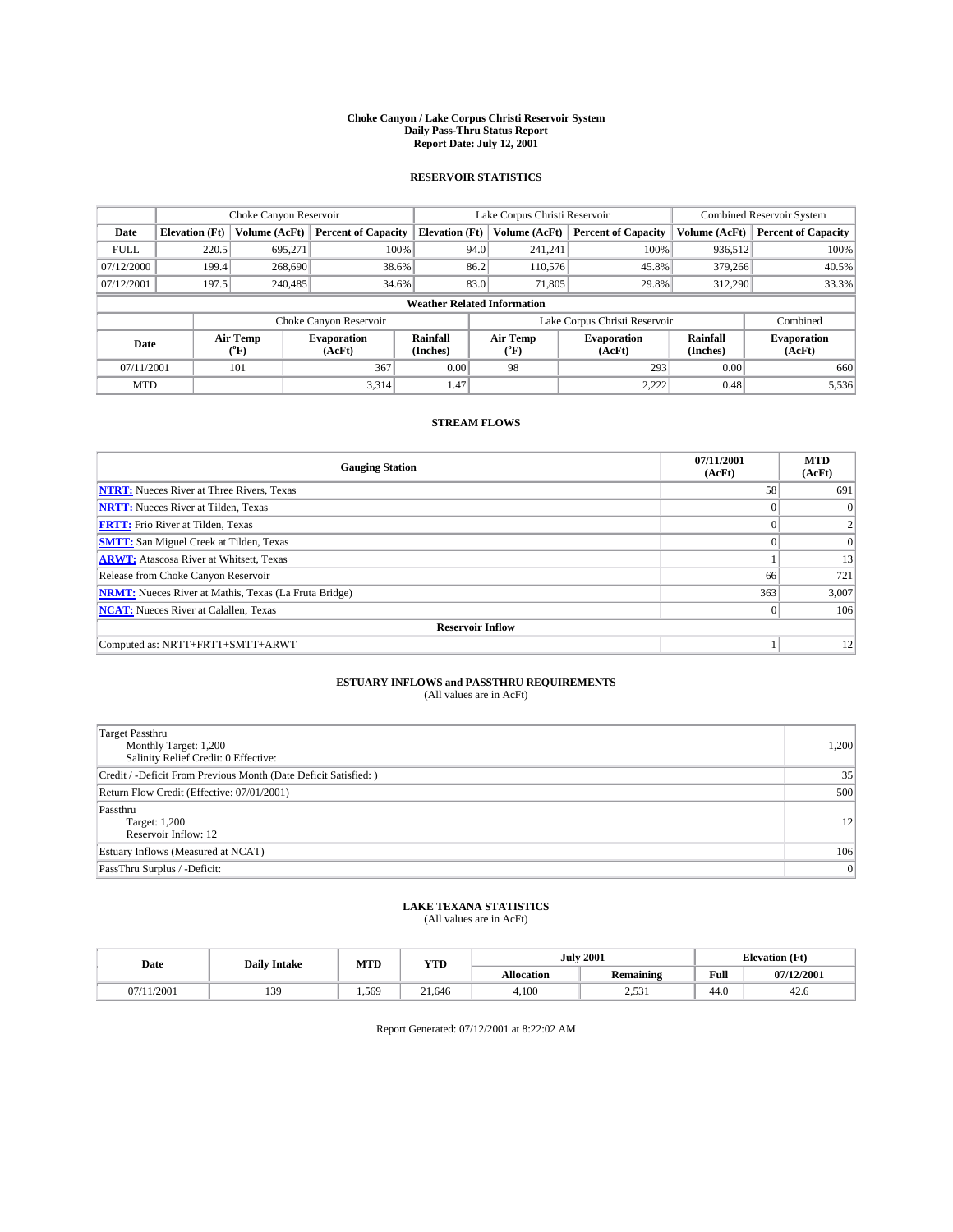#### **Choke Canyon / Lake Corpus Christi Reservoir System Daily Pass-Thru Status Report Report Date: July 12, 2001**

### **RESERVOIR STATISTICS**

|                                    | Choke Canyon Reservoir |                      |                              |                       | Lake Corpus Christi Reservoir |                  |                               |                      | <b>Combined Reservoir System</b> |  |
|------------------------------------|------------------------|----------------------|------------------------------|-----------------------|-------------------------------|------------------|-------------------------------|----------------------|----------------------------------|--|
| Date                               | <b>Elevation</b> (Ft)  | <b>Volume (AcFt)</b> | <b>Percent of Capacity</b>   | <b>Elevation</b> (Ft) |                               | Volume (AcFt)    | <b>Percent of Capacity</b>    | Volume (AcFt)        | <b>Percent of Capacity</b>       |  |
| <b>FULL</b>                        | 220.5                  | 695,271              | 100%                         |                       | 94.0                          | 241,241          | 100%                          | 936.512              | 100%                             |  |
| 07/12/2000                         | 199.4                  | 268,690              | 38.6%                        |                       | 86.2                          | 110,576          | 45.8%                         | 379,266              | 40.5%                            |  |
| 07/12/2001                         | 197.5                  | 240,485              | 34.6%                        |                       | 83.0                          | 71,805           | 29.8%                         | 312,290              | 33.3%                            |  |
| <b>Weather Related Information</b> |                        |                      |                              |                       |                               |                  |                               |                      |                                  |  |
|                                    |                        |                      | Choke Canyon Reservoir       |                       |                               |                  | Lake Corpus Christi Reservoir |                      | Combined                         |  |
| Date                               |                        | Air Temp<br>(°F)     | <b>Evaporation</b><br>(AcFt) | Rainfall<br>(Inches)  |                               | Air Temp<br>("F) | <b>Evaporation</b><br>(AcFt)  | Rainfall<br>(Inches) | <b>Evaporation</b><br>(AcFt)     |  |
| 07/11/2001                         |                        | 101                  | 367                          | 0.00                  |                               | 98               | 293                           | 0.00                 | 660                              |  |
| <b>MTD</b>                         |                        |                      | 3,314                        | 1.47                  |                               |                  | 2,222                         | 0.48                 | 5,536                            |  |

## **STREAM FLOWS**

| <b>Gauging Station</b>                                       | 07/11/2001<br>(AcFt) | <b>MTD</b><br>(AcFt) |  |  |  |  |
|--------------------------------------------------------------|----------------------|----------------------|--|--|--|--|
| <b>NTRT:</b> Nueces River at Three Rivers, Texas             | 58                   | 691                  |  |  |  |  |
| <b>NRTT:</b> Nueces River at Tilden, Texas                   |                      | $\Omega$             |  |  |  |  |
| <b>FRTT:</b> Frio River at Tilden, Texas                     |                      |                      |  |  |  |  |
| <b>SMTT:</b> San Miguel Creek at Tilden, Texas               |                      | 0                    |  |  |  |  |
| <b>ARWT:</b> Atascosa River at Whitsett, Texas               |                      | 13                   |  |  |  |  |
| Release from Choke Canyon Reservoir                          | 66                   | 721                  |  |  |  |  |
| <b>NRMT:</b> Nueces River at Mathis, Texas (La Fruta Bridge) | 363                  | 3,007                |  |  |  |  |
| <b>NCAT:</b> Nueces River at Calallen, Texas                 | $\mathbf{0}$         | 106                  |  |  |  |  |
| <b>Reservoir Inflow</b>                                      |                      |                      |  |  |  |  |
| Computed as: NRTT+FRTT+SMTT+ARWT                             |                      | 12                   |  |  |  |  |

#### **ESTUARY INFLOWS and PASSTHRU REQUIREMENTS** (All values are in AcFt)

| <b>Target Passthru</b><br>Monthly Target: 1,200<br>Salinity Relief Credit: 0 Effective: | 1,200 |
|-----------------------------------------------------------------------------------------|-------|
| Credit / -Deficit From Previous Month (Date Deficit Satisfied: )                        | 35    |
| Return Flow Credit (Effective: 07/01/2001)                                              | 500   |
| Passthru<br>Target: 1,200<br>Reservoir Inflow: 12                                       | 12    |
| Estuary Inflows (Measured at NCAT)                                                      | 106   |
| PassThru Surplus / -Deficit:                                                            | 0     |

## **LAKE TEXANA STATISTICS** (All values are in AcFt)

| Date   | <b>Daily Intake</b> | MTD   | VTT<br>1 I D        | <b>July 2001</b>  |                  | <b>Elevation</b> (Ft) |            |
|--------|---------------------|-------|---------------------|-------------------|------------------|-----------------------|------------|
|        |                     |       |                     | <b>Allocation</b> | <b>Remaining</b> | Full                  | 07/12/2001 |
| 1/2001 | 120<br>ر ب          | 1.569 | $^{\sim}$<br>21.646 | 4,100             | 53<br>⊥ ت.ب∠     | 44.0                  | 42.G       |

Report Generated: 07/12/2001 at 8:22:02 AM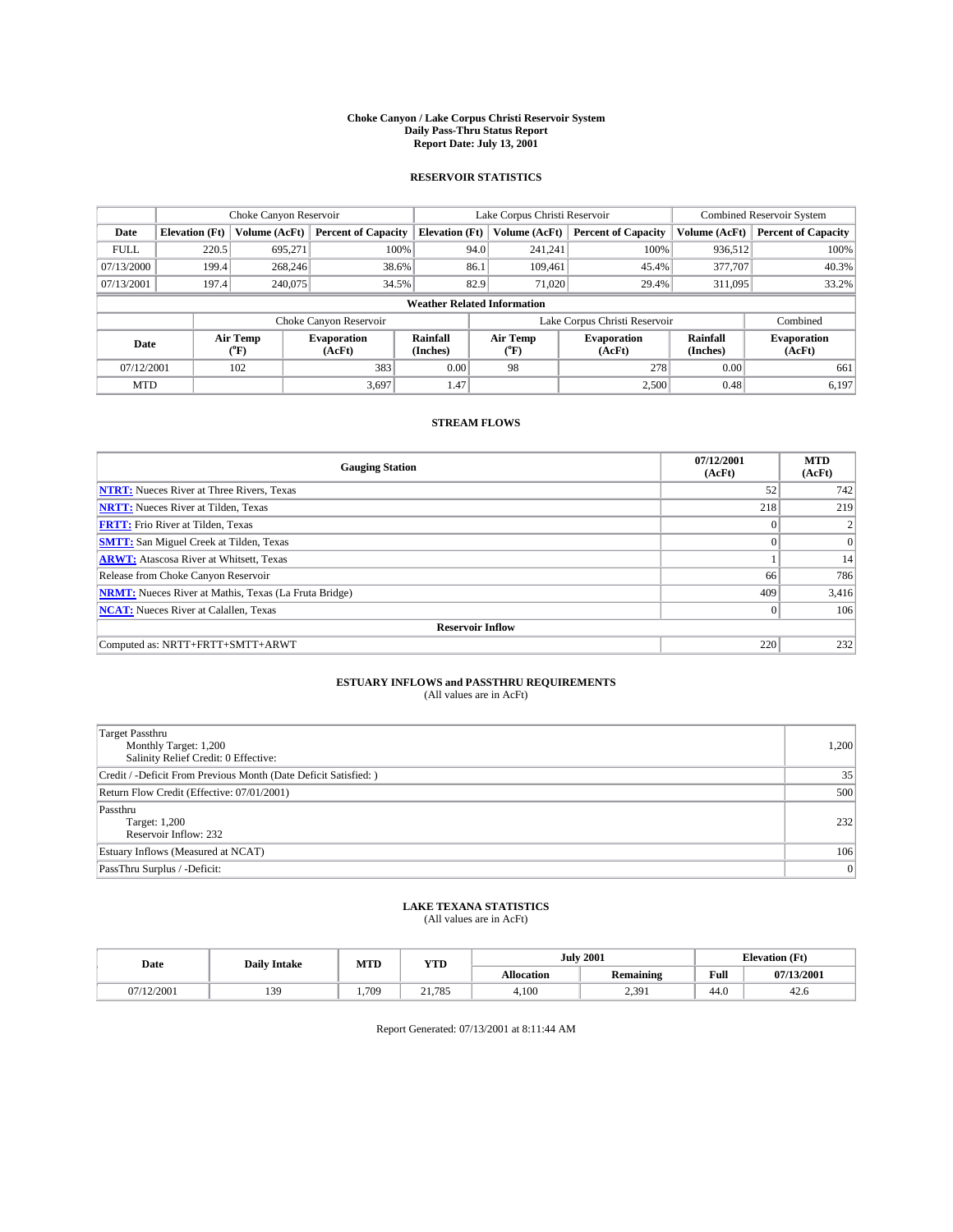#### **Choke Canyon / Lake Corpus Christi Reservoir System Daily Pass-Thru Status Report Report Date: July 13, 2001**

### **RESERVOIR STATISTICS**

|                                    | Choke Canyon Reservoir                                              |                  |                              |                       | Lake Corpus Christi Reservoir | <b>Combined Reservoir System</b> |                      |                              |  |
|------------------------------------|---------------------------------------------------------------------|------------------|------------------------------|-----------------------|-------------------------------|----------------------------------|----------------------|------------------------------|--|
| Date                               | <b>Elevation</b> (Ft)                                               | Volume (AcFt)    | <b>Percent of Capacity</b>   | <b>Elevation</b> (Ft) | Volume (AcFt)                 | <b>Percent of Capacity</b>       | Volume (AcFt)        | <b>Percent of Capacity</b>   |  |
| <b>FULL</b>                        | 220.5                                                               | 695,271          | 100%                         | 94.0                  | 241,241                       | 100%                             | 936,512              | 100%                         |  |
| 07/13/2000                         | 199.4                                                               | 268,246          | 38.6%                        | 86.1                  | 109,461                       | 45.4%                            | 377,707              | 40.3%                        |  |
| 07/13/2001                         | 197.4                                                               | 240,075          | 34.5%                        | 82.9                  | 71,020                        | 29.4%                            | 311,095              | 33.2%                        |  |
| <b>Weather Related Information</b> |                                                                     |                  |                              |                       |                               |                                  |                      |                              |  |
|                                    | Combined<br>Choke Canyon Reservoir<br>Lake Corpus Christi Reservoir |                  |                              |                       |                               |                                  |                      |                              |  |
| Date                               |                                                                     | Air Temp<br>(°F) | <b>Evaporation</b><br>(AcFt) | Rainfall<br>(Inches)  | Air Temp<br>("F)              | <b>Evaporation</b><br>(AcFt)     | Rainfall<br>(Inches) | <b>Evaporation</b><br>(AcFt) |  |
| 07/12/2001                         |                                                                     | 102              | 383                          | 0.00                  | 98                            | 278                              | 0.00                 | 661                          |  |
| <b>MTD</b>                         |                                                                     |                  | 3.697                        | 1.47                  |                               | 2,500                            | 0.48                 | 6,197                        |  |

## **STREAM FLOWS**

| <b>Gauging Station</b>                                       | 07/12/2001<br>(AcFt) | <b>MTD</b><br>(AcFt) |
|--------------------------------------------------------------|----------------------|----------------------|
| <b>NTRT:</b> Nueces River at Three Rivers, Texas             | 52                   | 742                  |
| <b>NRTT:</b> Nueces River at Tilden, Texas                   | 218                  | 219                  |
| <b>FRTT:</b> Frio River at Tilden, Texas                     |                      |                      |
| <b>SMTT:</b> San Miguel Creek at Tilden, Texas               | $\Omega$             | $\vert$ 0            |
| <b>ARWT:</b> Atascosa River at Whitsett, Texas               |                      | 14                   |
| Release from Choke Canyon Reservoir                          | 66                   | 786                  |
| <b>NRMT:</b> Nueces River at Mathis, Texas (La Fruta Bridge) | 409                  | 3,416                |
| <b>NCAT:</b> Nueces River at Calallen, Texas                 | $\theta$             | 106                  |
| <b>Reservoir Inflow</b>                                      |                      |                      |
| Computed as: NRTT+FRTT+SMTT+ARWT                             | 220                  | 232                  |

## **ESTUARY INFLOWS and PASSTHRU REQUIREMENTS**

(All values are in AcFt)

| <b>Target Passthru</b><br>Monthly Target: 1,200<br>Salinity Relief Credit: 0 Effective: | 1,200 |
|-----------------------------------------------------------------------------------------|-------|
| Credit / -Deficit From Previous Month (Date Deficit Satisfied: )                        | 35    |
| Return Flow Credit (Effective: 07/01/2001)                                              | 500   |
| Passthru<br>Target: 1,200<br>Reservoir Inflow: 232                                      | 232   |
| Estuary Inflows (Measured at NCAT)                                                      | 106   |
| PassThru Surplus / -Deficit:                                                            | 0     |

## **LAKE TEXANA STATISTICS** (All values are in AcFt)

| Date     | <b>Daily Intake</b> | MTD  | VTT<br>1 I D |                   | <b>July 2001</b> | <b>Elevation</b> (Ft) |            |
|----------|---------------------|------|--------------|-------------------|------------------|-----------------------|------------|
|          |                     |      |              | <b>Allocation</b> | <b>Remaining</b> | Full                  | 07/13/2001 |
| (12/2001 | 120<br>             | .709 | 21.785       | 4,100             | 2,391            | 44.0                  | 42.G       |

Report Generated: 07/13/2001 at 8:11:44 AM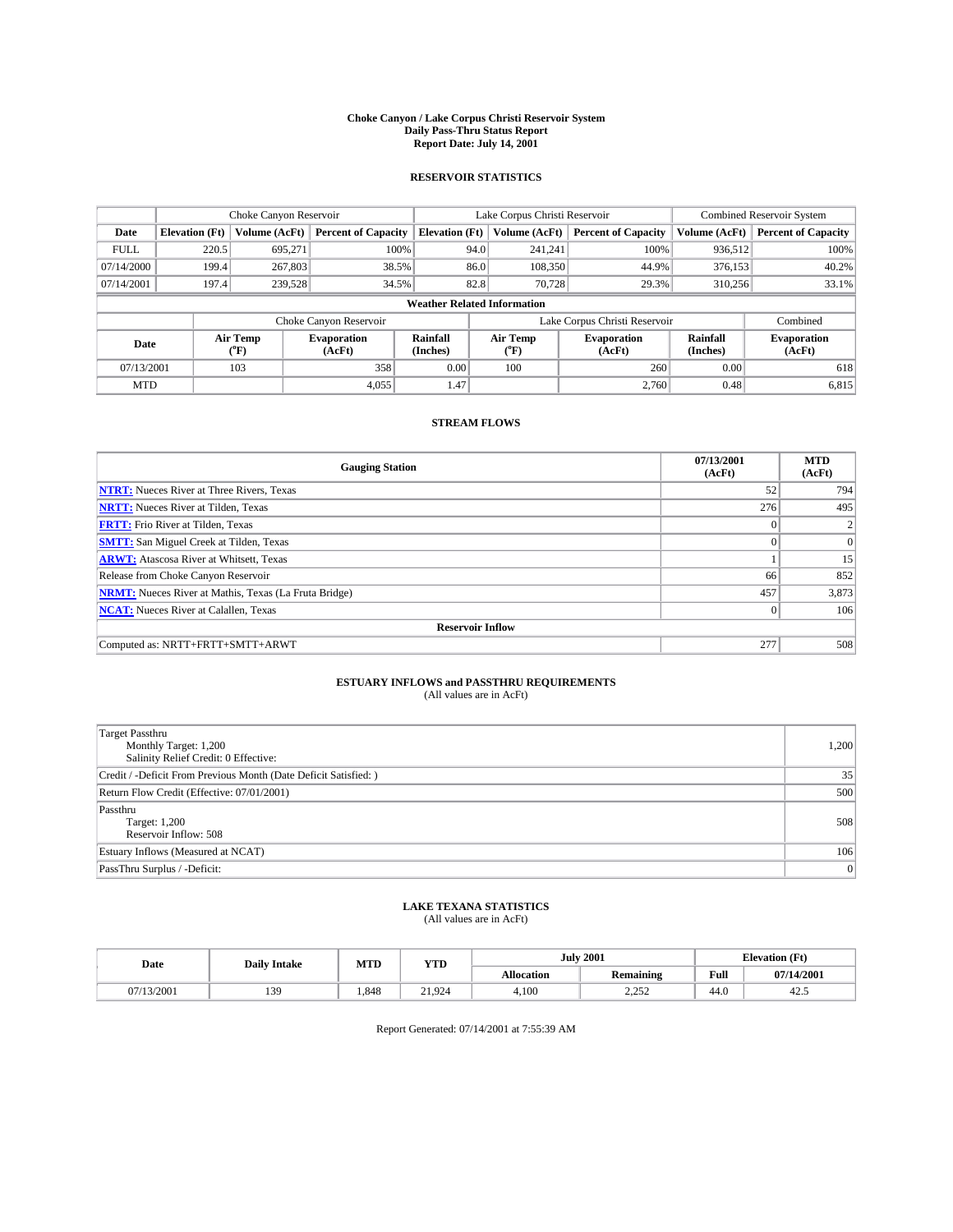#### **Choke Canyon / Lake Corpus Christi Reservoir System Daily Pass-Thru Status Report Report Date: July 14, 2001**

### **RESERVOIR STATISTICS**

|                                    | Choke Canyon Reservoir |                      |                              |                       | Lake Corpus Christi Reservoir |                  |                               |                      | <b>Combined Reservoir System</b> |  |
|------------------------------------|------------------------|----------------------|------------------------------|-----------------------|-------------------------------|------------------|-------------------------------|----------------------|----------------------------------|--|
| Date                               | <b>Elevation</b> (Ft)  | <b>Volume (AcFt)</b> | <b>Percent of Capacity</b>   | <b>Elevation</b> (Ft) |                               | Volume (AcFt)    | <b>Percent of Capacity</b>    | Volume (AcFt)        | <b>Percent of Capacity</b>       |  |
| <b>FULL</b>                        | 220.5                  | 695,271              | 100%                         |                       | 94.0                          | 241,241          | 100%                          | 936.512              | 100%                             |  |
| 07/14/2000                         | 199.4                  | 267,803              | 38.5%                        |                       | 86.0                          | 108,350          | 44.9%                         | 376,153              | 40.2%                            |  |
| 07/14/2001                         | 197.4                  | 239,528              | 34.5%                        |                       | 82.8                          | 70.728           | 29.3%                         | 310,256              | 33.1%                            |  |
| <b>Weather Related Information</b> |                        |                      |                              |                       |                               |                  |                               |                      |                                  |  |
|                                    |                        |                      | Choke Canyon Reservoir       |                       |                               |                  | Lake Corpus Christi Reservoir |                      | Combined                         |  |
| Date                               |                        | Air Temp<br>(°F)     | <b>Evaporation</b><br>(AcFt) | Rainfall<br>(Inches)  |                               | Air Temp<br>("F) | <b>Evaporation</b><br>(AcFt)  | Rainfall<br>(Inches) | <b>Evaporation</b><br>(AcFt)     |  |
| 07/13/2001                         |                        | 103                  | 358                          | 0.00                  |                               | 100              | 260                           | 0.00                 | 618                              |  |
| <b>MTD</b>                         |                        |                      | 4.055                        | 1.47                  |                               |                  | 2.760                         | 0.48                 | 6,815                            |  |

## **STREAM FLOWS**

| <b>Gauging Station</b>                                       | 07/13/2001<br>(AcFt) | <b>MTD</b><br>(AcFt) |
|--------------------------------------------------------------|----------------------|----------------------|
| <b>NTRT:</b> Nueces River at Three Rivers, Texas             | 52                   | 794                  |
| <b>NRTT:</b> Nueces River at Tilden, Texas                   | 276                  | 495                  |
| <b>FRTT:</b> Frio River at Tilden, Texas                     | $\Omega$             |                      |
| <b>SMTT:</b> San Miguel Creek at Tilden, Texas               |                      | 0                    |
| <b>ARWT:</b> Atascosa River at Whitsett, Texas               |                      | 15                   |
| Release from Choke Canyon Reservoir                          | 66                   | 852                  |
| <b>NRMT:</b> Nueces River at Mathis, Texas (La Fruta Bridge) | 457                  | 3,873                |
| <b>NCAT:</b> Nueces River at Calallen, Texas                 | $\theta$             | 106                  |
| <b>Reservoir Inflow</b>                                      |                      |                      |
| Computed as: NRTT+FRTT+SMTT+ARWT                             | 277                  | 508                  |

#### **ESTUARY INFLOWS and PASSTHRU REQUIREMENTS** (All values are in AcFt)

| <b>Target Passthru</b><br>Monthly Target: 1,200<br>Salinity Relief Credit: 0 Effective: | 1,200 |
|-----------------------------------------------------------------------------------------|-------|
| Credit / -Deficit From Previous Month (Date Deficit Satisfied: )                        | 35    |
| Return Flow Credit (Effective: 07/01/2001)                                              | 500   |
| Passthru<br>Target: 1,200<br>Reservoir Inflow: 508                                      | 508   |
| Estuary Inflows (Measured at NCAT)                                                      | 106   |
| PassThru Surplus / -Deficit:                                                            | 0     |

## **LAKE TEXANA STATISTICS** (All values are in AcFt)

| Date     | <b>Daily Intake</b> | MTD   | <b>YTD</b> |                   | <b>July 2001</b> | <b>Elevation</b> (Ft) |            |
|----------|---------------------|-------|------------|-------------------|------------------|-----------------------|------------|
|          |                     |       |            | <b>Allocation</b> | <b>Remaining</b> | Full                  | 07/14/2001 |
| (13/2001 | 130<br>ر ب          | . 848 | 21,924     | 4,100             | 2.25<br>ے بے ب   | 44.0                  | 42.3       |

Report Generated: 07/14/2001 at 7:55:39 AM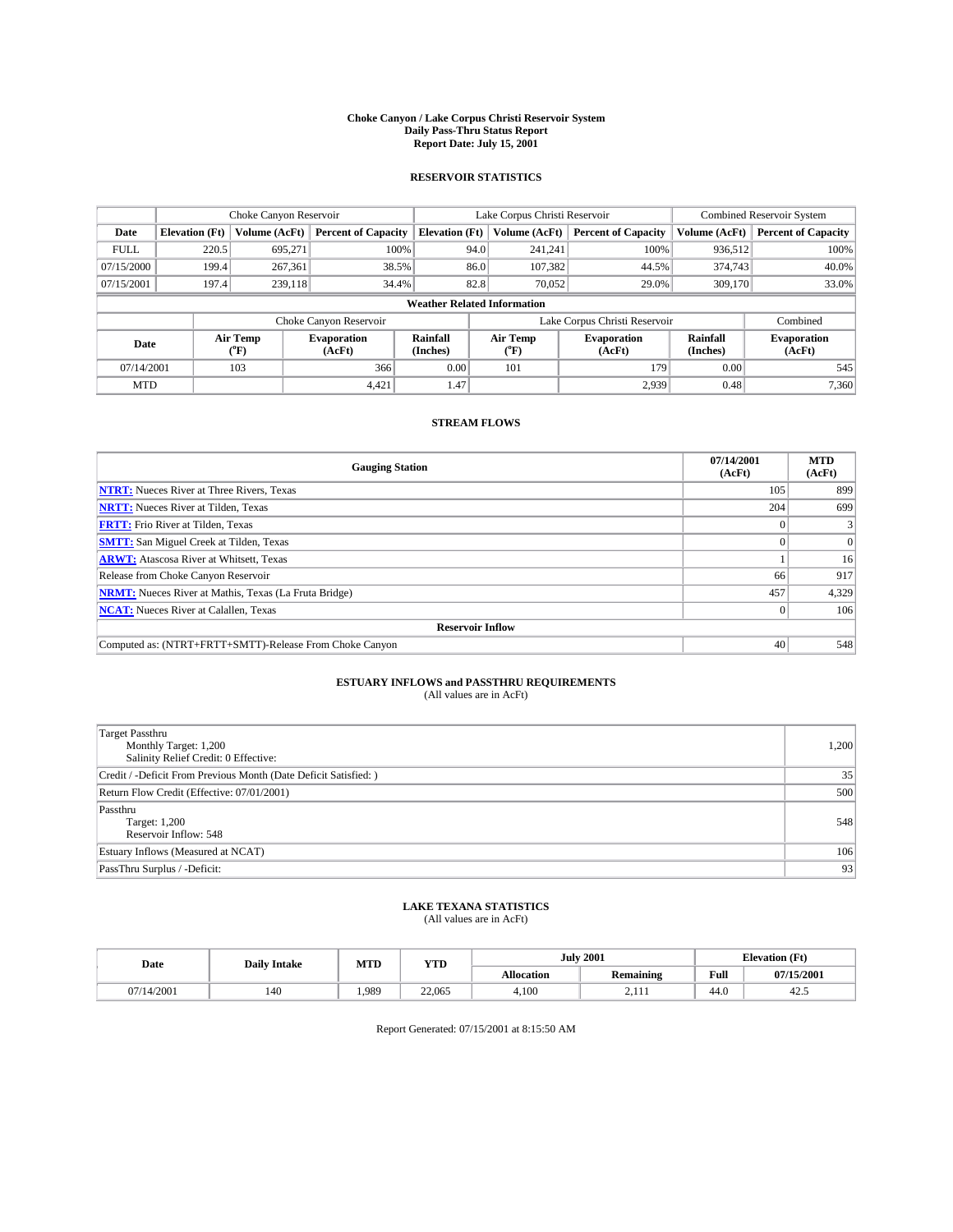#### **Choke Canyon / Lake Corpus Christi Reservoir System Daily Pass-Thru Status Report Report Date: July 15, 2001**

### **RESERVOIR STATISTICS**

|                                    | Choke Canyon Reservoir                                              |                      |                              |                       | Lake Corpus Christi Reservoir |                  |                              |                      | <b>Combined Reservoir System</b> |  |
|------------------------------------|---------------------------------------------------------------------|----------------------|------------------------------|-----------------------|-------------------------------|------------------|------------------------------|----------------------|----------------------------------|--|
| Date                               | <b>Elevation</b> (Ft)                                               | <b>Volume (AcFt)</b> | <b>Percent of Capacity</b>   | <b>Elevation</b> (Ft) |                               | Volume (AcFt)    | <b>Percent of Capacity</b>   | Volume (AcFt)        | <b>Percent of Capacity</b>       |  |
| <b>FULL</b>                        | 220.5                                                               | 695,271              |                              | 100%                  | 94.0                          | 241,241          | 100%                         | 936.512              | 100%                             |  |
| 07/15/2000                         | 199.4                                                               | 267.361              | 38.5%                        |                       | 86.0                          | 107,382          | 44.5%                        | 374,743              | 40.0%                            |  |
| 07/15/2001                         | 197.4                                                               | 239.118              | 34.4%                        |                       | 82.8                          | 70,052           | 29.0%                        | 309,170              | 33.0%                            |  |
| <b>Weather Related Information</b> |                                                                     |                      |                              |                       |                               |                  |                              |                      |                                  |  |
|                                    | Lake Corpus Christi Reservoir<br>Choke Canyon Reservoir<br>Combined |                      |                              |                       |                               |                  |                              |                      |                                  |  |
| Date                               |                                                                     | Air Temp<br>(°F)     | <b>Evaporation</b><br>(AcFt) | Rainfall<br>(Inches)  |                               | Air Temp<br>("F) | <b>Evaporation</b><br>(AcFt) | Rainfall<br>(Inches) | <b>Evaporation</b><br>(AcFt)     |  |
| 07/14/2001                         |                                                                     | 103                  | 366                          | 0.00                  |                               | 101              | 179                          | 0.00                 | 545                              |  |
| <b>MTD</b>                         |                                                                     |                      | 4,421                        | 1.47                  |                               |                  | 2,939                        | 0.48                 | 7,360                            |  |

## **STREAM FLOWS**

| <b>Gauging Station</b>                                       | 07/14/2001<br>(AcFt) | <b>MTD</b><br>(AcFt) |  |  |  |  |
|--------------------------------------------------------------|----------------------|----------------------|--|--|--|--|
| <b>NTRT:</b> Nueces River at Three Rivers, Texas             | 105                  | 899                  |  |  |  |  |
| <b>NRTT:</b> Nueces River at Tilden, Texas                   | 204                  | 699                  |  |  |  |  |
| <b>FRTT:</b> Frio River at Tilden, Texas                     |                      |                      |  |  |  |  |
| <b>SMTT:</b> San Miguel Creek at Tilden, Texas               |                      |                      |  |  |  |  |
| <b>ARWT:</b> Atascosa River at Whitsett, Texas               |                      | 16 <sup>1</sup>      |  |  |  |  |
| Release from Choke Canyon Reservoir                          | 66                   | 917                  |  |  |  |  |
| <b>NRMT:</b> Nueces River at Mathis, Texas (La Fruta Bridge) | 457                  | 4,329                |  |  |  |  |
| <b>NCAT:</b> Nueces River at Calallen, Texas                 |                      | 106                  |  |  |  |  |
| <b>Reservoir Inflow</b>                                      |                      |                      |  |  |  |  |
| Computed as: (NTRT+FRTT+SMTT)-Release From Choke Canyon      | 40                   | 548                  |  |  |  |  |

## **ESTUARY INFLOWS and PASSTHRU REQUIREMENTS**<br>(All values are in AcFt)

| Target Passthru<br>Monthly Target: 1,200<br>Salinity Relief Credit: 0 Effective: | 1,200 |
|----------------------------------------------------------------------------------|-------|
| Credit / -Deficit From Previous Month (Date Deficit Satisfied: )                 | 35    |
| Return Flow Credit (Effective: 07/01/2001)                                       | 500   |
| Passthru<br>Target: 1,200<br>Reservoir Inflow: 548                               | 548   |
| Estuary Inflows (Measured at NCAT)                                               | 106   |
| PassThru Surplus / -Deficit:                                                     | 93    |

## **LAKE TEXANA STATISTICS** (All values are in AcFt)

| Date               | <b>Daily Intake</b> | MTD   | VTT<br>1 I D | <b>July 2001</b>  |                  | <b>Elevation</b> (Ft) |            |
|--------------------|---------------------|-------|--------------|-------------------|------------------|-----------------------|------------|
|                    |                     |       |              | <b>Allocation</b> | <b>Remaining</b> | Full                  | 07/15/2001 |
| /14/2001<br>$\sim$ | 140                 | 1.989 | 22,065       | 4,100             | 2.111            | 44.0                  | 42.3       |

Report Generated: 07/15/2001 at 8:15:50 AM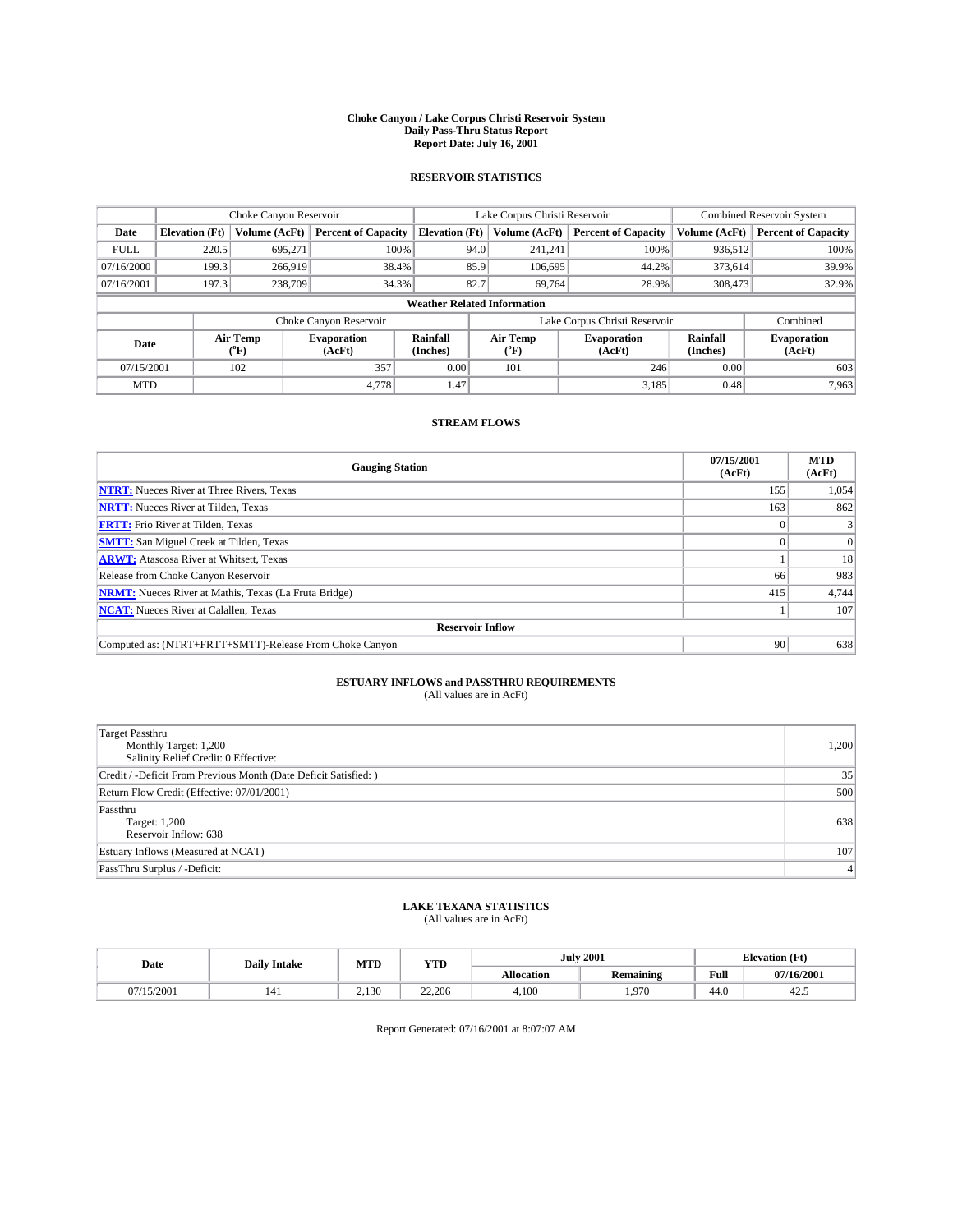#### **Choke Canyon / Lake Corpus Christi Reservoir System Daily Pass-Thru Status Report Report Date: July 16, 2001**

### **RESERVOIR STATISTICS**

|                                    | Choke Canyon Reservoir |                  |                              |                       | Lake Corpus Christi Reservoir | <b>Combined Reservoir System</b> |                      |                              |
|------------------------------------|------------------------|------------------|------------------------------|-----------------------|-------------------------------|----------------------------------|----------------------|------------------------------|
| Date                               | <b>Elevation</b> (Ft)  | Volume (AcFt)    | <b>Percent of Capacity</b>   | <b>Elevation</b> (Ft) | Volume (AcFt)                 | <b>Percent of Capacity</b>       | Volume (AcFt)        | <b>Percent of Capacity</b>   |
| <b>FULL</b>                        | 220.5                  | 695,271          | 100%                         | 94.0                  | 241,241                       | 100%                             | 936,512              | 100%                         |
| 07/16/2000                         | 199.3                  | 266,919          | 38.4%                        | 85.9                  | 106,695                       | 44.2%                            | 373,614              | 39.9%                        |
| 07/16/2001                         | 197.3                  | 238,709          | 34.3%                        | 82.7                  | 69,764                        | 28.9%                            | 308,473              | 32.9%                        |
| <b>Weather Related Information</b> |                        |                  |                              |                       |                               |                                  |                      |                              |
|                                    |                        |                  | Choke Canyon Reservoir       |                       |                               | Lake Corpus Christi Reservoir    |                      | Combined                     |
| Date                               |                        | Air Temp<br>(°F) | <b>Evaporation</b><br>(AcFt) | Rainfall<br>(Inches)  | Air Temp<br>("F)              | <b>Evaporation</b><br>(AcFt)     | Rainfall<br>(Inches) | <b>Evaporation</b><br>(AcFt) |
| 07/15/2001                         |                        | 102              | 357                          | 0.00                  | 101                           | 246                              | 0.00                 | 603                          |
| <b>MTD</b>                         |                        |                  | 4.778                        | 1.47                  |                               | 3,185                            | 0.48                 | 7,963                        |

## **STREAM FLOWS**

| <b>Gauging Station</b>                                       | 07/15/2001<br>(AcFt) | <b>MTD</b><br>(AcFt) |  |  |  |  |
|--------------------------------------------------------------|----------------------|----------------------|--|--|--|--|
| <b>NTRT:</b> Nueces River at Three Rivers, Texas             | 155                  | 1,054                |  |  |  |  |
| <b>NRTT:</b> Nueces River at Tilden, Texas                   | 163                  | 862                  |  |  |  |  |
| <b>FRTT:</b> Frio River at Tilden, Texas                     |                      |                      |  |  |  |  |
| <b>SMTT:</b> San Miguel Creek at Tilden, Texas               |                      |                      |  |  |  |  |
| <b>ARWT:</b> Atascosa River at Whitsett, Texas               |                      | 18                   |  |  |  |  |
| Release from Choke Canyon Reservoir                          | 66                   | 983                  |  |  |  |  |
| <b>NRMT:</b> Nueces River at Mathis, Texas (La Fruta Bridge) | 415                  | 4,744                |  |  |  |  |
| <b>NCAT:</b> Nueces River at Calallen, Texas                 |                      | 107                  |  |  |  |  |
| <b>Reservoir Inflow</b>                                      |                      |                      |  |  |  |  |
| Computed as: (NTRT+FRTT+SMTT)-Release From Choke Canyon      | 90                   | 638                  |  |  |  |  |

## **ESTUARY INFLOWS and PASSTHRU REQUIREMENTS**<br>(All values are in AcFt)

| <b>Target Passthru</b><br>Monthly Target: 1,200<br>Salinity Relief Credit: 0 Effective: | 1,200            |
|-----------------------------------------------------------------------------------------|------------------|
| Credit / -Deficit From Previous Month (Date Deficit Satisfied: )                        | 35               |
| Return Flow Credit (Effective: 07/01/2001)                                              | 500              |
| Passthru<br>Target: 1,200<br>Reservoir Inflow: 638                                      | 638              |
| Estuary Inflows (Measured at NCAT)                                                      | 107              |
| PassThru Surplus / -Deficit:                                                            | $\left 4\right $ |

## **LAKE TEXANA STATISTICS** (All values are in AcFt)

| Date    | <b>Daily Intake</b> | MTD   | VTT<br>1 I D |                   | <b>July 2001</b> | <b>Elevation</b> (Ft) |            |
|---------|---------------------|-------|--------------|-------------------|------------------|-----------------------|------------|
|         |                     |       |              | <b>Allocation</b> | <b>Remaining</b> | Full                  | 07/16/2001 |
| 15/2001 | 141                 | 2.130 | 22,206       | 4,100             | . 970            | 44.0                  | 42.3       |

Report Generated: 07/16/2001 at 8:07:07 AM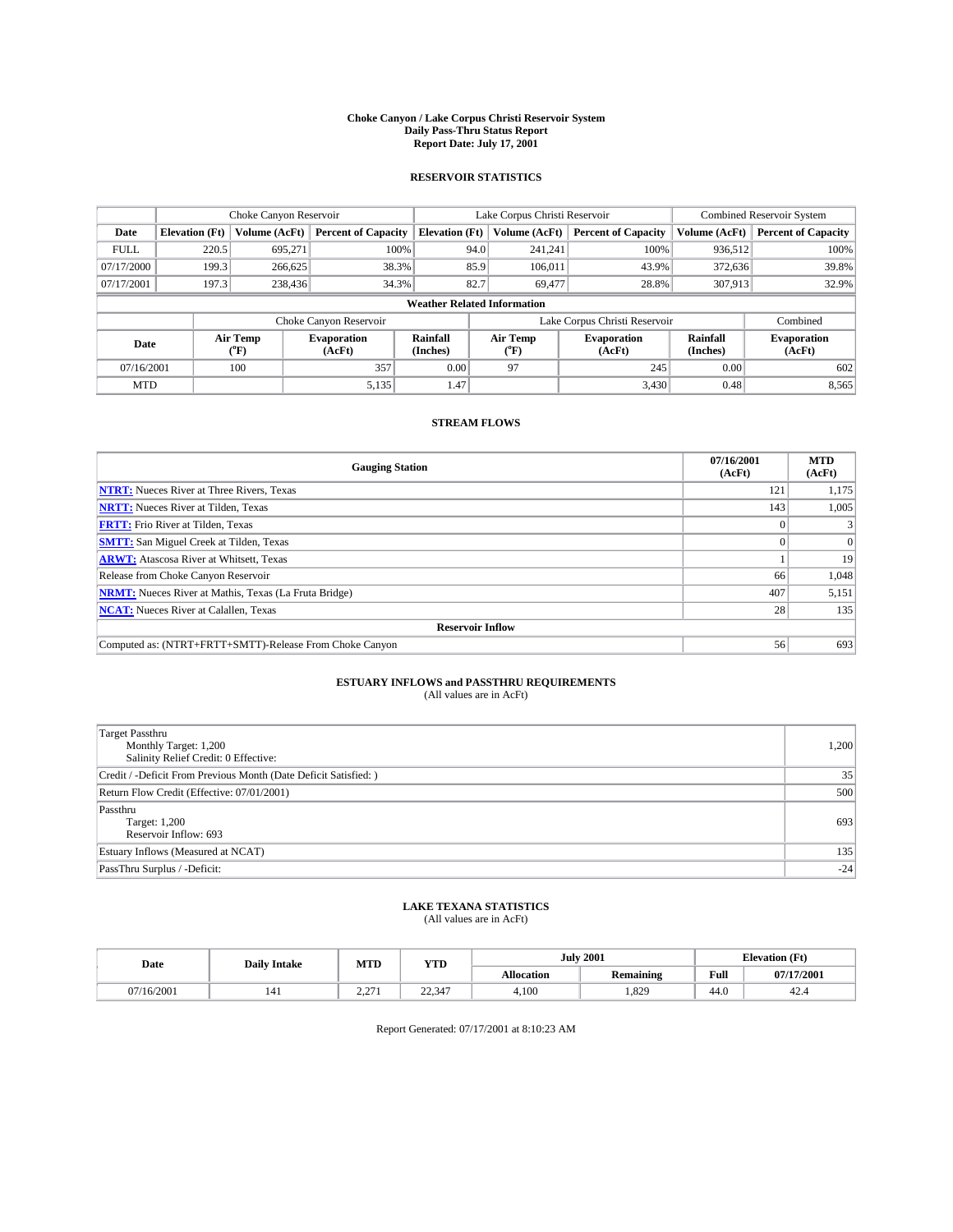#### **Choke Canyon / Lake Corpus Christi Reservoir System Daily Pass-Thru Status Report Report Date: July 17, 2001**

### **RESERVOIR STATISTICS**

|                                    | Choke Canyon Reservoir |                             |                              |                       | Lake Corpus Christi Reservoir |         |                               |                      | Combined Reservoir System    |  |
|------------------------------------|------------------------|-----------------------------|------------------------------|-----------------------|-------------------------------|---------|-------------------------------|----------------------|------------------------------|--|
| Date                               | <b>Elevation</b> (Ft)  | Volume (AcFt)               | <b>Percent of Capacity</b>   | <b>Elevation</b> (Ft) | Volume (AcFt)                 |         | <b>Percent of Capacity</b>    | Volume (AcFt)        | <b>Percent of Capacity</b>   |  |
| <b>FULL</b>                        | 220.5                  | 695,271                     | 100%                         |                       | 94.0                          | 241,241 | 100%                          | 936,512              | 100%                         |  |
| 07/17/2000                         | 199.3                  | 266,625                     | 38.3%                        |                       | 85.9                          | 106.011 | 43.9%                         | 372,636              | 39.8%                        |  |
| 07/17/2001                         | 197.3                  | 238,436                     | 34.3%                        |                       | 82.7                          | 69,477  | 28.8%                         | 307.913              | 32.9%                        |  |
| <b>Weather Related Information</b> |                        |                             |                              |                       |                               |         |                               |                      |                              |  |
|                                    |                        |                             | Choke Canyon Reservoir       |                       |                               |         | Lake Corpus Christi Reservoir |                      | Combined                     |  |
| Date                               |                        | Air Temp<br>${}^{\circ}$ F) | <b>Evaporation</b><br>(AcFt) | Rainfall<br>(Inches)  | Air Temp<br>("F)              |         | <b>Evaporation</b><br>(AcFt)  | Rainfall<br>(Inches) | <b>Evaporation</b><br>(AcFt) |  |
| 07/16/2001                         |                        | 100                         | 357                          | 0.00                  | 97                            |         | 245                           | 0.00                 | 602                          |  |
| <b>MTD</b>                         |                        |                             | 5,135                        | 1.47                  |                               |         | 3,430                         | 0.48                 | 8,565                        |  |

## **STREAM FLOWS**

| <b>Gauging Station</b>                                       | 07/16/2001<br>(AcFt) | <b>MTD</b><br>(AcFt) |  |  |  |  |
|--------------------------------------------------------------|----------------------|----------------------|--|--|--|--|
| <b>NTRT:</b> Nueces River at Three Rivers, Texas             | 121                  | 1,175                |  |  |  |  |
| <b>NRTT:</b> Nueces River at Tilden, Texas                   | 143                  | 1,005                |  |  |  |  |
| <b>FRTT:</b> Frio River at Tilden, Texas                     |                      |                      |  |  |  |  |
| <b>SMTT:</b> San Miguel Creek at Tilden, Texas               |                      |                      |  |  |  |  |
| <b>ARWT:</b> Atascosa River at Whitsett, Texas               |                      | 19                   |  |  |  |  |
| Release from Choke Canyon Reservoir                          | 66                   | 1,048                |  |  |  |  |
| <b>NRMT:</b> Nueces River at Mathis, Texas (La Fruta Bridge) | 407                  | 5,151                |  |  |  |  |
| <b>NCAT:</b> Nueces River at Calallen, Texas                 | 28 <sub>1</sub>      | 135                  |  |  |  |  |
| <b>Reservoir Inflow</b>                                      |                      |                      |  |  |  |  |
| Computed as: (NTRT+FRTT+SMTT)-Release From Choke Canyon      | 56                   | 693                  |  |  |  |  |

## **ESTUARY INFLOWS and PASSTHRU REQUIREMENTS**<br>(All values are in AcFt)

| Target Passthru<br>Monthly Target: 1,200<br>Salinity Relief Credit: 0 Effective: | 1,200 |
|----------------------------------------------------------------------------------|-------|
| Credit / -Deficit From Previous Month (Date Deficit Satisfied: )                 | 35    |
| Return Flow Credit (Effective: 07/01/2001)                                       | 500   |
| Passthru<br>Target: 1,200<br>Reservoir Inflow: 693                               | 693   |
| Estuary Inflows (Measured at NCAT)                                               | 135   |
| PassThru Surplus / -Deficit:                                                     | $-24$ |

## **LAKE TEXANA STATISTICS** (All values are in AcFt)

| Date     | <b>Daily Intake</b> | MTD | VTT<br>1 I D    |                   | <b>July 2001</b> | <b>Elevation</b> (Ft) |            |
|----------|---------------------|-----|-----------------|-------------------|------------------|-----------------------|------------|
|          |                     |     |                 | <b>Allocation</b> | <b>Remaining</b> | Full                  | 07/17/2001 |
| /16/2001 | 141                 | 27  | 22.247<br>22.34 | 4,100             | .329             | 44.0                  | 42.4       |

Report Generated: 07/17/2001 at 8:10:23 AM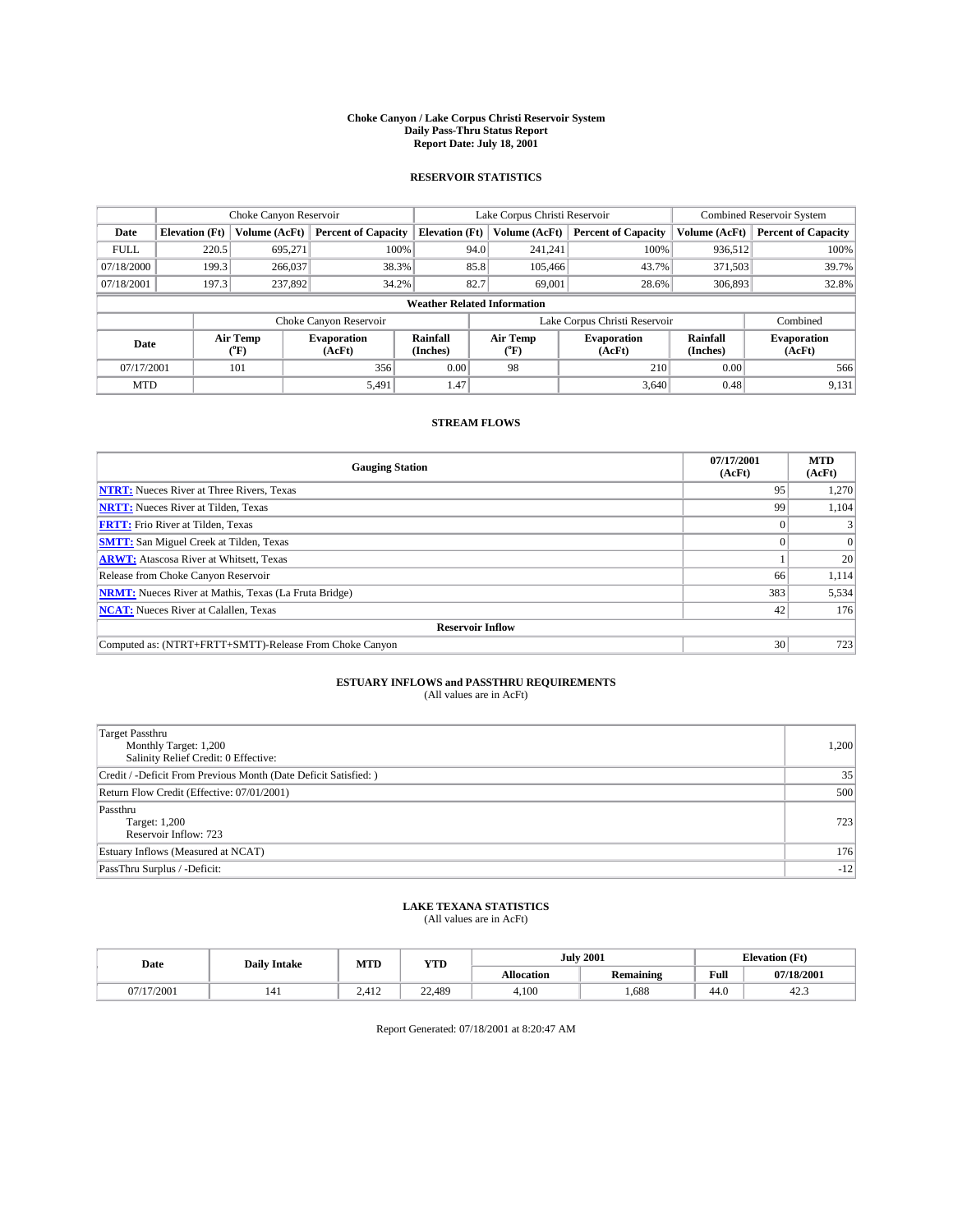#### **Choke Canyon / Lake Corpus Christi Reservoir System Daily Pass-Thru Status Report Report Date: July 18, 2001**

### **RESERVOIR STATISTICS**

|                                    | Choke Canyon Reservoir |                      |                              |                       | Lake Corpus Christi Reservoir |               |                               |                      | <b>Combined Reservoir System</b> |  |
|------------------------------------|------------------------|----------------------|------------------------------|-----------------------|-------------------------------|---------------|-------------------------------|----------------------|----------------------------------|--|
| Date                               | <b>Elevation</b> (Ft)  | <b>Volume (AcFt)</b> | <b>Percent of Capacity</b>   | <b>Elevation</b> (Ft) |                               | Volume (AcFt) | <b>Percent of Capacity</b>    | Volume (AcFt)        | <b>Percent of Capacity</b>       |  |
| <b>FULL</b>                        | 220.5                  | 695,271              | 100%                         |                       | 94.0                          | 241,241       | 100%                          | 936.512              | 100%                             |  |
| 07/18/2000                         | 199.3                  | 266,037              | 38.3%                        |                       | 85.8                          | 105,466       | 43.7%                         | 371,503              | 39.7%                            |  |
| 07/18/2001                         | 197.3                  | 237,892              | 34.2%                        |                       | 82.7                          | 69,001        | 28.6%                         | 306,893              | 32.8%                            |  |
| <b>Weather Related Information</b> |                        |                      |                              |                       |                               |               |                               |                      |                                  |  |
|                                    |                        |                      | Choke Canyon Reservoir       |                       |                               |               | Lake Corpus Christi Reservoir |                      | Combined                         |  |
| Date                               |                        | Air Temp<br>(°F)     | <b>Evaporation</b><br>(AcFt) | Rainfall<br>(Inches)  | Air Temp<br>("F)              |               | <b>Evaporation</b><br>(AcFt)  | Rainfall<br>(Inches) | <b>Evaporation</b><br>(AcFt)     |  |
| 07/17/2001                         |                        | 101                  | 356                          | 0.00                  | 98                            |               | 210                           | 0.00                 | 566                              |  |
| <b>MTD</b>                         |                        |                      | 5,491                        | 1.47                  |                               |               | 3,640                         | 0.48                 | 9,131                            |  |

## **STREAM FLOWS**

| <b>Gauging Station</b>                                       | 07/17/2001<br>(AcFt) | <b>MTD</b><br>(AcFt) |  |  |  |  |
|--------------------------------------------------------------|----------------------|----------------------|--|--|--|--|
| <b>NTRT:</b> Nueces River at Three Rivers, Texas             | 95                   | 1,270                |  |  |  |  |
| <b>NRTT:</b> Nueces River at Tilden, Texas                   | 99                   | 1.104                |  |  |  |  |
| <b>FRTT:</b> Frio River at Tilden, Texas                     |                      |                      |  |  |  |  |
| <b>SMTT:</b> San Miguel Creek at Tilden, Texas               |                      |                      |  |  |  |  |
| <b>ARWT:</b> Atascosa River at Whitsett, Texas               |                      | 20                   |  |  |  |  |
| Release from Choke Canyon Reservoir                          | 66                   | 1,114                |  |  |  |  |
| <b>NRMT:</b> Nueces River at Mathis, Texas (La Fruta Bridge) | 383                  | 5,534                |  |  |  |  |
| <b>NCAT:</b> Nueces River at Calallen, Texas                 | 42                   | 176                  |  |  |  |  |
| <b>Reservoir Inflow</b>                                      |                      |                      |  |  |  |  |
| Computed as: (NTRT+FRTT+SMTT)-Release From Choke Canyon      | 30 <sup>1</sup>      | 723                  |  |  |  |  |

## **ESTUARY INFLOWS and PASSTHRU REQUIREMENTS**<br>(All values are in AcFt)

| <b>Target Passthru</b><br>Monthly Target: 1,200<br>Salinity Relief Credit: 0 Effective: | 1,200 |
|-----------------------------------------------------------------------------------------|-------|
| Credit / -Deficit From Previous Month (Date Deficit Satisfied: )                        | 35    |
| Return Flow Credit (Effective: 07/01/2001)                                              | 500   |
| Passthru<br>Target: 1,200<br>Reservoir Inflow: 723                                      | 723   |
| Estuary Inflows (Measured at NCAT)                                                      | 176   |
| PassThru Surplus / -Deficit:                                                            | $-12$ |

## **LAKE TEXANA STATISTICS** (All values are in AcFt)

| Date     | <b>Daily Intake</b> | MTD           | <b>VTT</b><br>1 I D |                   | <b>July 2001</b> | <b>Elevation</b> (Ft) |            |
|----------|---------------------|---------------|---------------------|-------------------|------------------|-----------------------|------------|
|          |                     |               |                     | <b>Allocation</b> | <b>Remaining</b> | Full                  | 07/18/2001 |
| '17/2001 | 141                 | 412<br>4.41 L | 22.489              | 4,100             | .688             | 44.0                  | 42.3       |

Report Generated: 07/18/2001 at 8:20:47 AM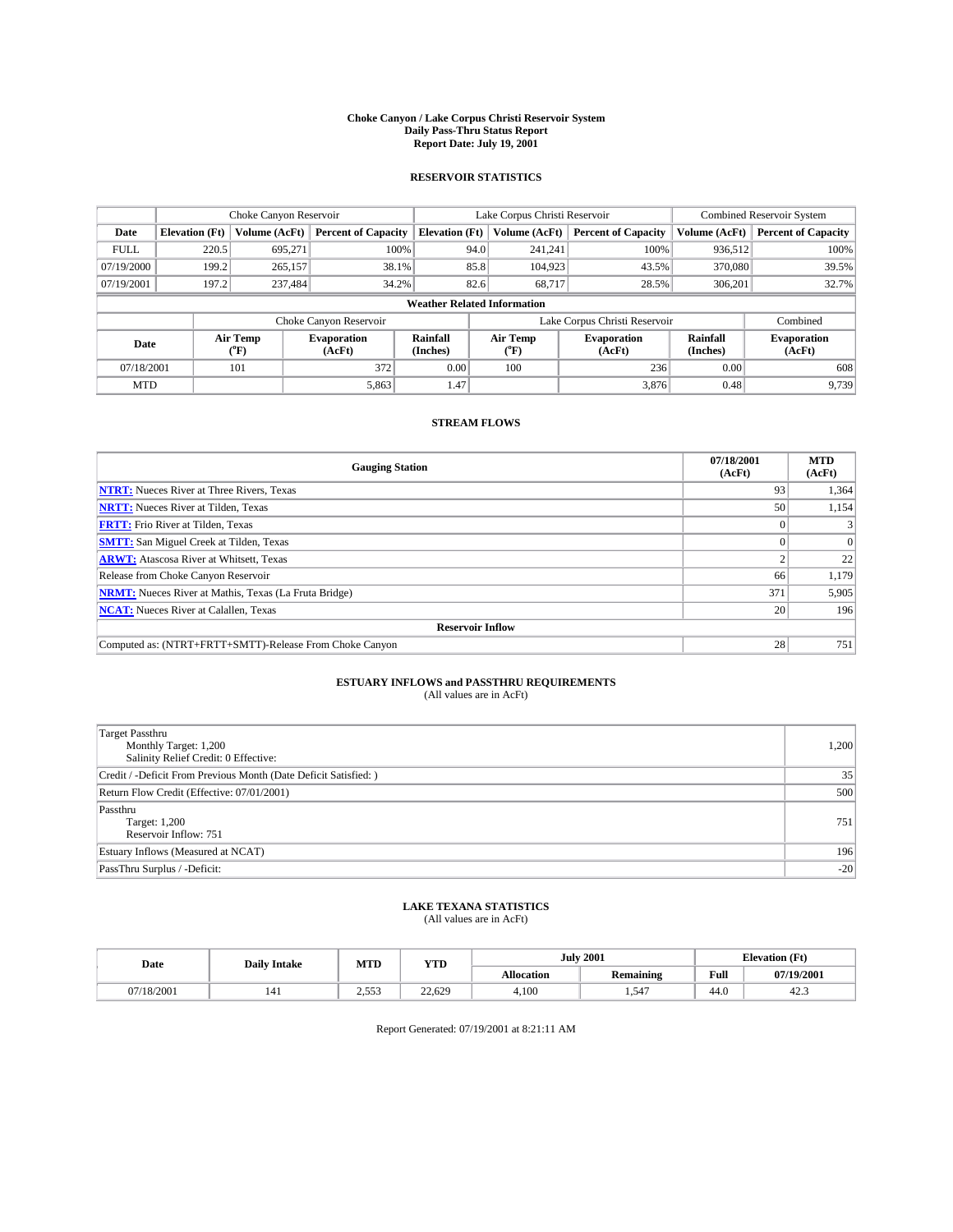#### **Choke Canyon / Lake Corpus Christi Reservoir System Daily Pass-Thru Status Report Report Date: July 19, 2001**

### **RESERVOIR STATISTICS**

|                                    | Choke Canyon Reservoir                                              |                             | Lake Corpus Christi Reservoir |                       |      |                  | Combined Reservoir System    |                      |                              |
|------------------------------------|---------------------------------------------------------------------|-----------------------------|-------------------------------|-----------------------|------|------------------|------------------------------|----------------------|------------------------------|
| Date                               | <b>Elevation</b> (Ft)                                               | Volume (AcFt)               | <b>Percent of Capacity</b>    | <b>Elevation</b> (Ft) |      | Volume (AcFt)    | <b>Percent of Capacity</b>   | Volume (AcFt)        | <b>Percent of Capacity</b>   |
| <b>FULL</b>                        | 220.5                                                               | 695,271                     | 100%                          |                       | 94.0 | 241,241          | 100%                         | 936,512              | 100%                         |
| 07/19/2000                         | 199.2                                                               | 265,157                     | 38.1%                         |                       | 85.8 | 104,923          | 43.5%                        | 370,080              | 39.5%                        |
| 07/19/2001                         | 197.2                                                               | 237.484                     | 34.2%                         |                       | 82.6 | 68.717           | 28.5%                        | 306.201              | 32.7%                        |
| <b>Weather Related Information</b> |                                                                     |                             |                               |                       |      |                  |                              |                      |                              |
|                                    | Lake Corpus Christi Reservoir<br>Combined<br>Choke Canyon Reservoir |                             |                               |                       |      |                  |                              |                      |                              |
| Date                               |                                                                     | Air Temp<br>${}^{\circ}$ F) | <b>Evaporation</b><br>(AcFt)  | Rainfall<br>(Inches)  |      | Air Temp<br>("F) | <b>Evaporation</b><br>(AcFt) | Rainfall<br>(Inches) | <b>Evaporation</b><br>(AcFt) |
| 07/18/2001                         |                                                                     | 101                         | 372                           | 0.00                  |      | 100              | 236                          | 0.00                 | 608                          |
| <b>MTD</b>                         |                                                                     |                             | 5,863                         | 1.47                  |      |                  | 3,876                        | 0.48                 | 9,739                        |

## **STREAM FLOWS**

| <b>Gauging Station</b>                                       | 07/18/2001<br>(AcFt) | <b>MTD</b><br>(AcFt) |  |  |  |  |
|--------------------------------------------------------------|----------------------|----------------------|--|--|--|--|
| <b>NTRT:</b> Nueces River at Three Rivers, Texas             | 93                   | 1,364                |  |  |  |  |
| <b>NRTT:</b> Nueces River at Tilden, Texas                   | 50                   | 1,154                |  |  |  |  |
| <b>FRTT:</b> Frio River at Tilden, Texas                     |                      |                      |  |  |  |  |
| <b>SMTT:</b> San Miguel Creek at Tilden, Texas               |                      |                      |  |  |  |  |
| <b>ARWT:</b> Atascosa River at Whitsett, Texas               |                      | 22                   |  |  |  |  |
| Release from Choke Canyon Reservoir                          | 66                   | 1,179                |  |  |  |  |
| <b>NRMT:</b> Nueces River at Mathis, Texas (La Fruta Bridge) | 371                  | 5,905                |  |  |  |  |
| <b>NCAT:</b> Nueces River at Calallen, Texas                 | 20 <sub>1</sub>      | 196                  |  |  |  |  |
| <b>Reservoir Inflow</b>                                      |                      |                      |  |  |  |  |
| Computed as: (NTRT+FRTT+SMTT)-Release From Choke Canyon      | 28 <sub>1</sub>      | 751                  |  |  |  |  |

## **ESTUARY INFLOWS and PASSTHRU REQUIREMENTS**<br>(All values are in AcFt)

| <b>Target Passthru</b><br>Monthly Target: 1,200<br>Salinity Relief Credit: 0 Effective: | 1,200 |
|-----------------------------------------------------------------------------------------|-------|
| Credit / -Deficit From Previous Month (Date Deficit Satisfied: )                        | 35    |
| Return Flow Credit (Effective: 07/01/2001)                                              | 500   |
| Passthru<br>Target: 1,200<br>Reservoir Inflow: 751                                      | 751   |
| Estuary Inflows (Measured at NCAT)                                                      | 196   |
| PassThru Surplus / -Deficit:                                                            | $-20$ |

## **LAKE TEXANA STATISTICS** (All values are in AcFt)

| Date     | <b>Daily Intake</b> | MTD          | <b>VTT</b><br>1 I D |                   | <b>July 2001</b> | <b>Elevation</b> (Ft) |            |
|----------|---------------------|--------------|---------------------|-------------------|------------------|-----------------------|------------|
|          |                     |              |                     | <b>Allocation</b> | <b>Remaining</b> | Full                  | 07/19/2001 |
| /18/2001 | 141                 | 552<br>ن ن ب | 22,629              | 4,100             | 1.547            | 44.0                  | 42.3       |

Report Generated: 07/19/2001 at 8:21:11 AM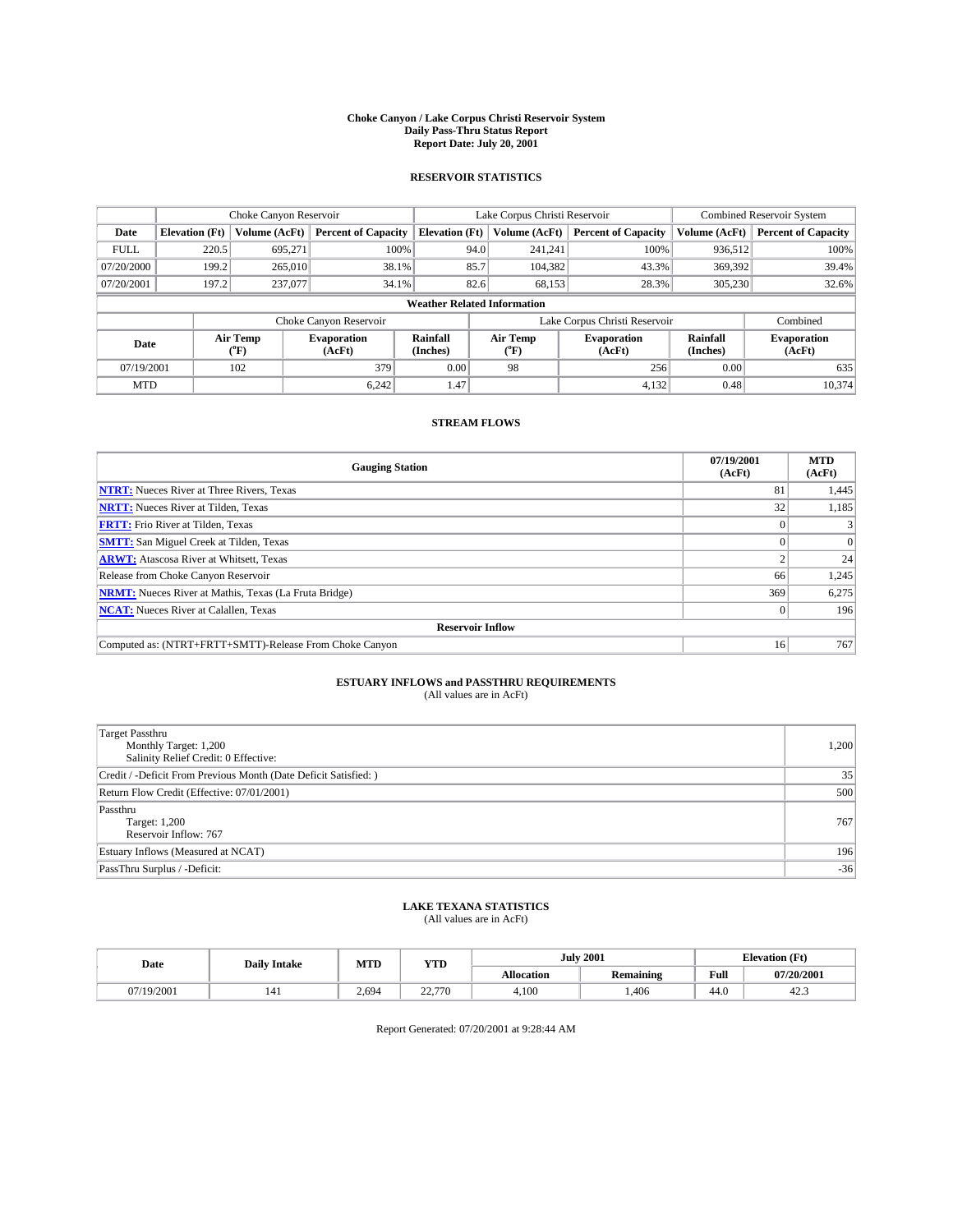#### **Choke Canyon / Lake Corpus Christi Reservoir System Daily Pass-Thru Status Report Report Date: July 20, 2001**

### **RESERVOIR STATISTICS**

|             |                                                                     | Choke Canyon Reservoir |                              |                       | Lake Corpus Christi Reservoir | <b>Combined Reservoir System</b> |                      |                              |  |
|-------------|---------------------------------------------------------------------|------------------------|------------------------------|-----------------------|-------------------------------|----------------------------------|----------------------|------------------------------|--|
| Date        | <b>Elevation</b> (Ft)                                               | Volume (AcFt)          | <b>Percent of Capacity</b>   | <b>Elevation</b> (Ft) | Volume (AcFt)                 | <b>Percent of Capacity</b>       | Volume (AcFt)        | <b>Percent of Capacity</b>   |  |
| <b>FULL</b> | 220.5                                                               | 695,271                | 100%                         | 94.0                  | 241,241                       | 100%                             | 936,512              | 100%                         |  |
| 07/20/2000  | 199.2                                                               | 265,010                | 38.1%                        | 85.7                  | 104,382                       | 43.3%                            | 369,392              | 39.4%                        |  |
| 07/20/2001  | 197.2                                                               | 237,077                | 34.1%                        | 82.6                  | 68,153                        | 28.3%                            | 305,230              | 32.6%                        |  |
|             | <b>Weather Related Information</b>                                  |                        |                              |                       |                               |                                  |                      |                              |  |
|             | Lake Corpus Christi Reservoir<br>Combined<br>Choke Canyon Reservoir |                        |                              |                       |                               |                                  |                      |                              |  |
| Date        |                                                                     | Air Temp<br>(°F)       | <b>Evaporation</b><br>(AcFt) | Rainfall<br>(Inches)  | Air Temp<br>("F)              | <b>Evaporation</b><br>(AcFt)     | Rainfall<br>(Inches) | <b>Evaporation</b><br>(AcFt) |  |
| 07/19/2001  |                                                                     | 102                    | 379                          | 0.00                  | 98                            | 256                              | 0.00                 | 635                          |  |
| <b>MTD</b>  |                                                                     |                        | 6.242                        | 1.47                  |                               | 4,132                            | 0.48                 | 10.374                       |  |

## **STREAM FLOWS**

| <b>Gauging Station</b>                                       | 07/19/2001<br>(AcFt) | <b>MTD</b><br>(AcFt) |  |  |  |  |
|--------------------------------------------------------------|----------------------|----------------------|--|--|--|--|
| <b>NTRT:</b> Nueces River at Three Rivers, Texas             | 81                   | 1,445                |  |  |  |  |
| <b>NRTT:</b> Nueces River at Tilden, Texas                   | 32                   | 1,185                |  |  |  |  |
| <b>FRTT:</b> Frio River at Tilden, Texas                     |                      |                      |  |  |  |  |
| <b>SMTT:</b> San Miguel Creek at Tilden, Texas               |                      |                      |  |  |  |  |
| <b>ARWT:</b> Atascosa River at Whitsett, Texas               |                      | 24                   |  |  |  |  |
| Release from Choke Canyon Reservoir                          | 66                   | 1,245                |  |  |  |  |
| <b>NRMT:</b> Nueces River at Mathis, Texas (La Fruta Bridge) | 369                  | 6,275                |  |  |  |  |
| <b>NCAT:</b> Nueces River at Calallen, Texas                 |                      | 196                  |  |  |  |  |
| <b>Reservoir Inflow</b>                                      |                      |                      |  |  |  |  |
| Computed as: (NTRT+FRTT+SMTT)-Release From Choke Canyon      | 16                   | 767                  |  |  |  |  |

## **ESTUARY INFLOWS and PASSTHRU REQUIREMENTS**<br>(All values are in AcFt)

| Target Passthru<br>Monthly Target: 1,200<br>Salinity Relief Credit: 0 Effective: | 1,200 |
|----------------------------------------------------------------------------------|-------|
| Credit / -Deficit From Previous Month (Date Deficit Satisfied: )                 | 35    |
| Return Flow Credit (Effective: 07/01/2001)                                       | 500   |
| Passthru<br>Target: 1,200<br>Reservoir Inflow: 767                               | 767   |
| Estuary Inflows (Measured at NCAT)                                               | 196   |
| PassThru Surplus / -Deficit:                                                     | $-36$ |

## **LAKE TEXANA STATISTICS** (All values are in AcFt)

| Date     | <b>Daily Intake</b> | MTD   | <b>VTT</b><br>1 I D      |                   | <b>July 2001</b> | <b>Elevation (Ft)</b><br>$\mathbf{r}$ |            |
|----------|---------------------|-------|--------------------------|-------------------|------------------|---------------------------------------|------------|
|          |                     |       |                          | <b>Allocation</b> | <b>Remaining</b> | Full                                  | 07/20/2001 |
| (19/2001 | 141                 | 2.694 | 22.770<br>70<br><u>_</u> | 4,100             | ,406             | 44.0                                  | 42.3       |

Report Generated: 07/20/2001 at 9:28:44 AM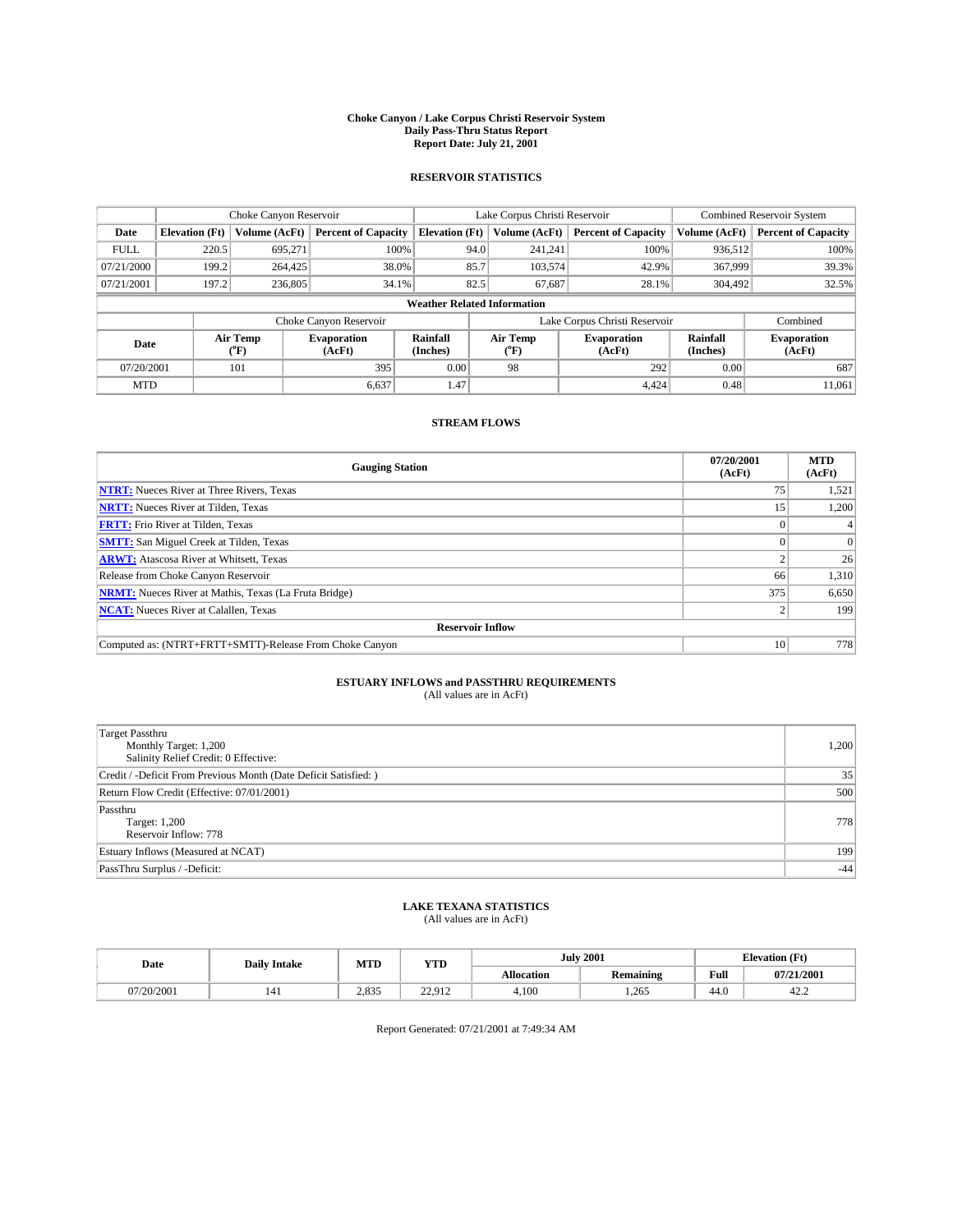#### **Choke Canyon / Lake Corpus Christi Reservoir System Daily Pass-Thru Status Report Report Date: July 21, 2001**

### **RESERVOIR STATISTICS**

|                                    |                                                                     | Choke Canyon Reservoir |                              |                       | Lake Corpus Christi Reservoir | <b>Combined Reservoir System</b> |                      |                              |  |
|------------------------------------|---------------------------------------------------------------------|------------------------|------------------------------|-----------------------|-------------------------------|----------------------------------|----------------------|------------------------------|--|
| Date                               | <b>Elevation</b> (Ft)                                               | Volume (AcFt)          | <b>Percent of Capacity</b>   | <b>Elevation</b> (Ft) | Volume (AcFt)                 | <b>Percent of Capacity</b>       | Volume (AcFt)        | <b>Percent of Capacity</b>   |  |
| <b>FULL</b>                        | 220.5                                                               | 695,271                | 100%                         | 94.0                  | 241,241                       | 100%                             | 936,512              | 100%                         |  |
| 07/21/2000                         | 199.2                                                               | 264,425                | 38.0%                        | 85.7                  | 103,574                       | 42.9%                            | 367,999              | 39.3%                        |  |
| 07/21/2001                         | 197.2                                                               | 236,805                | 34.1%                        | 82.5                  | 67,687                        | 28.1%                            | 304,492              | 32.5%                        |  |
| <b>Weather Related Information</b> |                                                                     |                        |                              |                       |                               |                                  |                      |                              |  |
|                                    | Combined<br>Choke Canyon Reservoir<br>Lake Corpus Christi Reservoir |                        |                              |                       |                               |                                  |                      |                              |  |
| Date                               |                                                                     | Air Temp<br>(°F)       | <b>Evaporation</b><br>(AcFt) | Rainfall<br>(Inches)  | Air Temp<br>("F)              | <b>Evaporation</b><br>(AcFt)     | Rainfall<br>(Inches) | <b>Evaporation</b><br>(AcFt) |  |
| 07/20/2001                         |                                                                     | 101                    | 395                          | 0.00                  | 98                            | 292                              | 0.00                 | 687                          |  |
| <b>MTD</b>                         |                                                                     |                        | 6.637                        | 1.47                  |                               | 4.424                            | 0.48                 | 11.061                       |  |

## **STREAM FLOWS**

| <b>Gauging Station</b>                                       | 07/20/2001<br>(AcFt) | <b>MTD</b><br>(AcFt) |  |  |  |  |
|--------------------------------------------------------------|----------------------|----------------------|--|--|--|--|
| <b>NTRT:</b> Nueces River at Three Rivers, Texas             | 75                   | 1,521                |  |  |  |  |
| <b>NRTT:</b> Nueces River at Tilden, Texas                   | 15                   | 1.200                |  |  |  |  |
| <b>FRTT:</b> Frio River at Tilden, Texas                     |                      |                      |  |  |  |  |
| <b>SMTT:</b> San Miguel Creek at Tilden, Texas               |                      |                      |  |  |  |  |
| <b>ARWT:</b> Atascosa River at Whitsett, Texas               |                      | 26                   |  |  |  |  |
| Release from Choke Canyon Reservoir                          | 66                   | 1,310                |  |  |  |  |
| <b>NRMT:</b> Nueces River at Mathis, Texas (La Fruta Bridge) | 375                  | 6,650                |  |  |  |  |
| <b>NCAT:</b> Nueces River at Calallen, Texas                 |                      | 199                  |  |  |  |  |
| <b>Reservoir Inflow</b>                                      |                      |                      |  |  |  |  |
| Computed as: (NTRT+FRTT+SMTT)-Release From Choke Canyon      | 10                   | 778                  |  |  |  |  |

## **ESTUARY INFLOWS and PASSTHRU REQUIREMENTS**<br>(All values are in AcFt)

| <b>Target Passthru</b><br>Monthly Target: 1,200<br>Salinity Relief Credit: 0 Effective: | 1,200 |
|-----------------------------------------------------------------------------------------|-------|
| Credit / -Deficit From Previous Month (Date Deficit Satisfied: )                        | 35    |
| Return Flow Credit (Effective: 07/01/2001)                                              | 500   |
| Passthru<br>Target: 1,200<br>Reservoir Inflow: 778                                      | 778   |
| Estuary Inflows (Measured at NCAT)                                                      | 199   |
| PassThru Surplus / -Deficit:                                                            | $-44$ |

## **LAKE TEXANA STATISTICS** (All values are in AcFt)

| Date       | <b>Daily Intake</b> | MTD   | VTT<br>1 I D    | <b>July 2001</b>  |                  | <b>Elevation</b> (Ft) |            |
|------------|---------------------|-------|-----------------|-------------------|------------------|-----------------------|------------|
|            |                     |       |                 | <b>Allocation</b> | <b>Remaining</b> | Full                  | 07/21/2001 |
| 07/20/2001 | 141                 | 2.835 | 22.012<br>----- | 4,100             | 1,265            | 44.0                  | 42.2       |

Report Generated: 07/21/2001 at 7:49:34 AM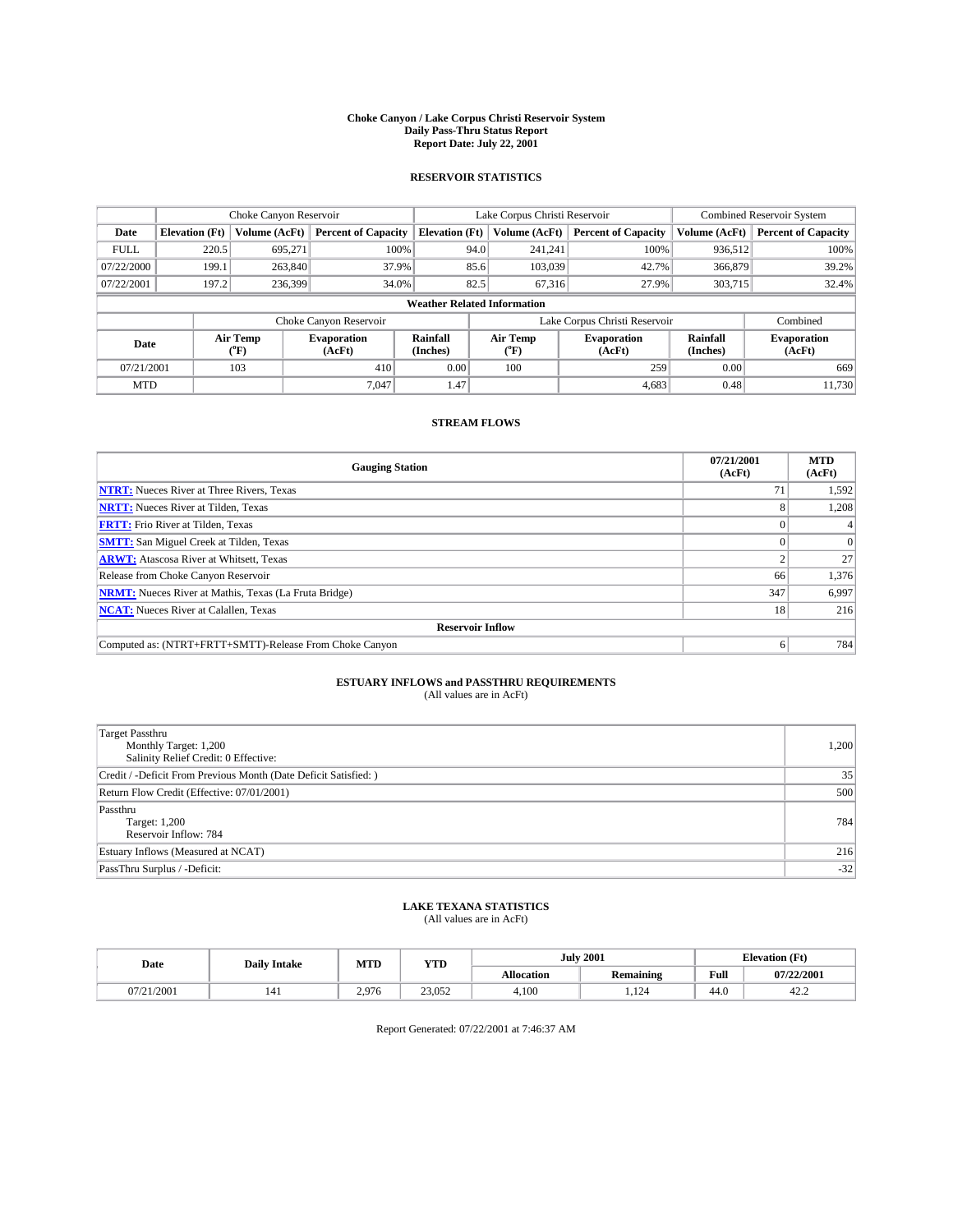#### **Choke Canyon / Lake Corpus Christi Reservoir System Daily Pass-Thru Status Report Report Date: July 22, 2001**

### **RESERVOIR STATISTICS**

|                                    | Choke Canyon Reservoir                                              |                  |                              |                       | Lake Corpus Christi Reservoir | <b>Combined Reservoir System</b> |                      |                              |
|------------------------------------|---------------------------------------------------------------------|------------------|------------------------------|-----------------------|-------------------------------|----------------------------------|----------------------|------------------------------|
| Date                               | <b>Elevation</b> (Ft)                                               | Volume (AcFt)    | <b>Percent of Capacity</b>   | <b>Elevation</b> (Ft) | Volume (AcFt)                 | <b>Percent of Capacity</b>       | Volume (AcFt)        | <b>Percent of Capacity</b>   |
| <b>FULL</b>                        | 220.5                                                               | 695,271          | 100%                         | 94.0                  | 241,241                       | 100%                             | 936,512              | 100%                         |
| 07/22/2000                         | 199.1                                                               | 263,840          | 37.9%                        | 85.6                  | 103,039                       | 42.7%                            | 366,879              | 39.2%                        |
| 07/22/2001                         | 197.2                                                               | 236,399          | 34.0%                        | 82.5                  | 67.316                        | 27.9%                            | 303,715              | 32.4%                        |
| <b>Weather Related Information</b> |                                                                     |                  |                              |                       |                               |                                  |                      |                              |
|                                    | Combined<br>Choke Canyon Reservoir<br>Lake Corpus Christi Reservoir |                  |                              |                       |                               |                                  |                      |                              |
| Date                               |                                                                     | Air Temp<br>(°F) | <b>Evaporation</b><br>(AcFt) | Rainfall<br>(Inches)  | Air Temp<br>("F)              | <b>Evaporation</b><br>(AcFt)     | Rainfall<br>(Inches) | <b>Evaporation</b><br>(AcFt) |
| 07/21/2001                         |                                                                     | 103              | 410                          | 0.00                  | 100                           | 259                              | 0.00                 | 669                          |
| <b>MTD</b>                         |                                                                     |                  | 7.047                        | 1.47                  |                               | 4,683                            | 0.48                 | 11.730                       |

## **STREAM FLOWS**

| <b>Gauging Station</b>                                       | 07/21/2001<br>(AcFt) | <b>MTD</b><br>(AcFt) |  |  |  |  |
|--------------------------------------------------------------|----------------------|----------------------|--|--|--|--|
| <b>NTRT:</b> Nueces River at Three Rivers, Texas             |                      | 1,592                |  |  |  |  |
| <b>NRTT:</b> Nueces River at Tilden, Texas                   |                      | 1,208                |  |  |  |  |
| <b>FRTT:</b> Frio River at Tilden, Texas                     |                      |                      |  |  |  |  |
| <b>SMTT:</b> San Miguel Creek at Tilden, Texas               |                      |                      |  |  |  |  |
| <b>ARWT:</b> Atascosa River at Whitsett, Texas               |                      | 27                   |  |  |  |  |
| Release from Choke Canyon Reservoir                          | 66                   | 1,376                |  |  |  |  |
| <b>NRMT:</b> Nueces River at Mathis, Texas (La Fruta Bridge) | 347                  | 6,997                |  |  |  |  |
| <b>NCAT:</b> Nueces River at Calallen, Texas                 | 18                   | 216                  |  |  |  |  |
| <b>Reservoir Inflow</b>                                      |                      |                      |  |  |  |  |
| Computed as: (NTRT+FRTT+SMTT)-Release From Choke Canyon      | h.                   | 784                  |  |  |  |  |

## **ESTUARY INFLOWS and PASSTHRU REQUIREMENTS**<br>(All values are in AcFt)

| <b>Target Passthru</b><br>Monthly Target: 1,200<br>Salinity Relief Credit: 0 Effective: | 1,200 |
|-----------------------------------------------------------------------------------------|-------|
| Credit / -Deficit From Previous Month (Date Deficit Satisfied: )                        | 35    |
| Return Flow Credit (Effective: 07/01/2001)                                              | 500   |
| Passthru<br>Target: 1,200<br>Reservoir Inflow: 784                                      | 784   |
| Estuary Inflows (Measured at NCAT)                                                      | 216   |
| PassThru Surplus / -Deficit:                                                            | $-32$ |

## **LAKE TEXANA STATISTICS** (All values are in AcFt)

| Date             | <b>Daily Intake</b> | MTD   | <b>VTT</b><br>1 I D |                   | <b>July 2001</b>       | <b>Elevation</b> (Ft) |            |
|------------------|---------------------|-------|---------------------|-------------------|------------------------|-----------------------|------------|
|                  |                     |       |                     | <b>Allocation</b> | <b>Remaining</b>       | Full                  | 07/22/2001 |
| 1/2001<br>0772 L | 141                 | 2.976 | 23.052              | 4,100             | 12 <sub>1</sub><br>.12 | 44.0                  | 42.2       |

Report Generated: 07/22/2001 at 7:46:37 AM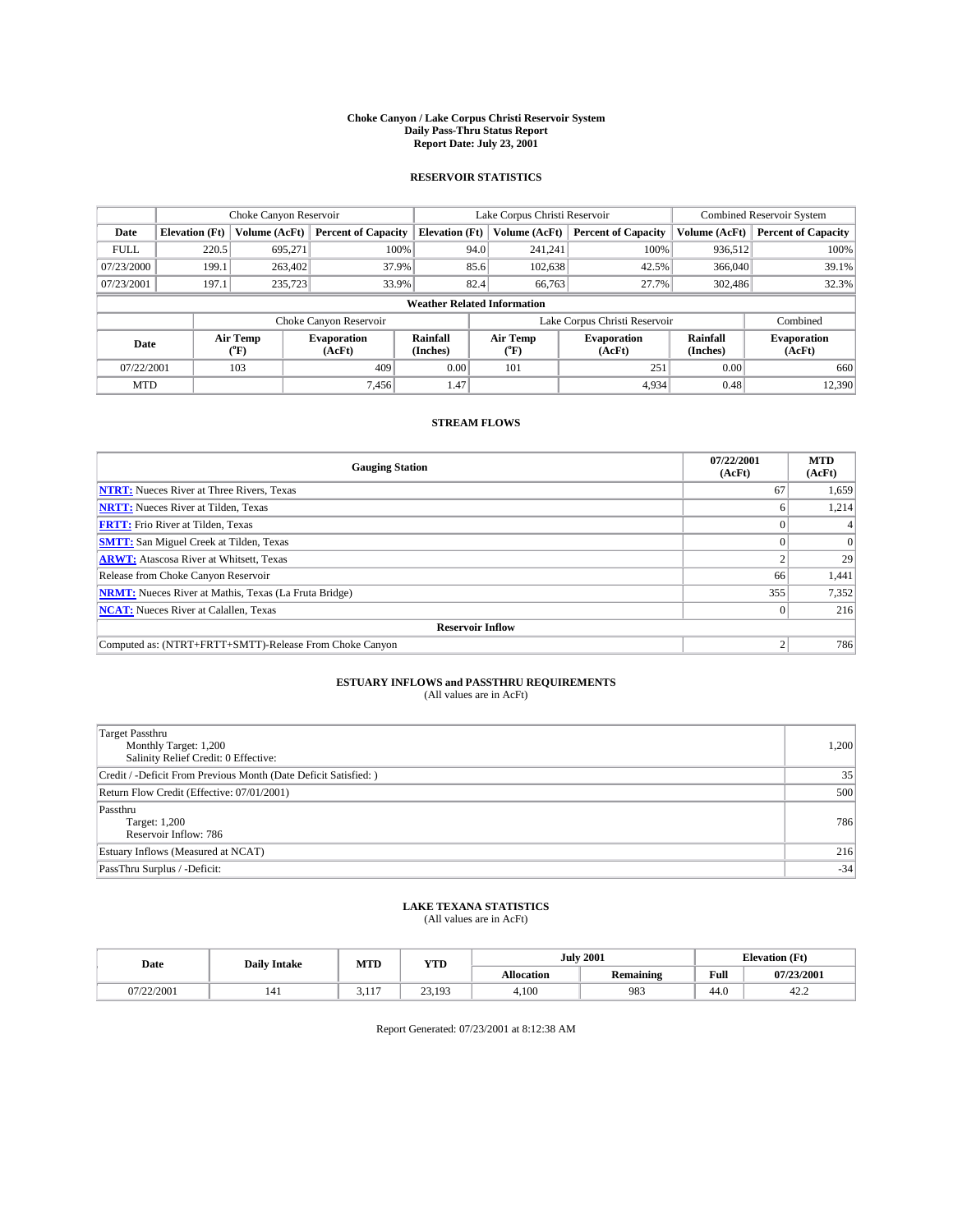#### **Choke Canyon / Lake Corpus Christi Reservoir System Daily Pass-Thru Status Report Report Date: July 23, 2001**

### **RESERVOIR STATISTICS**

|             | Choke Canyon Reservoir             |                      |                              |                       | Lake Corpus Christi Reservoir |                  |                               |                      | <b>Combined Reservoir System</b> |  |
|-------------|------------------------------------|----------------------|------------------------------|-----------------------|-------------------------------|------------------|-------------------------------|----------------------|----------------------------------|--|
| Date        | <b>Elevation</b> (Ft)              | <b>Volume (AcFt)</b> | <b>Percent of Capacity</b>   | <b>Elevation</b> (Ft) |                               | Volume (AcFt)    | <b>Percent of Capacity</b>    | Volume (AcFt)        | <b>Percent of Capacity</b>       |  |
| <b>FULL</b> | 220.5                              | 695,271              | 100%                         |                       | 94.0                          | 241,241          | 100%                          | 936.512              | 100%                             |  |
| 07/23/2000  | 199.1                              | 263,402              | 37.9%                        |                       | 85.6                          | 102,638          | 42.5%                         | 366,040              | 39.1%                            |  |
| 07/23/2001  | 197.1                              | 235,723              | 33.9%                        |                       | 82.4                          | 66,763           | 27.7%                         | 302.486              | 32.3%                            |  |
|             | <b>Weather Related Information</b> |                      |                              |                       |                               |                  |                               |                      |                                  |  |
|             |                                    |                      | Choke Canyon Reservoir       |                       |                               |                  | Lake Corpus Christi Reservoir |                      | Combined                         |  |
| Date        |                                    | Air Temp<br>(°F)     | <b>Evaporation</b><br>(AcFt) | Rainfall<br>(Inches)  |                               | Air Temp<br>("F) | <b>Evaporation</b><br>(AcFt)  | Rainfall<br>(Inches) | <b>Evaporation</b><br>(AcFt)     |  |
| 07/22/2001  |                                    | 103                  | 409                          | 0.00                  |                               | 101              | 251                           | 0.00                 | 660                              |  |
| <b>MTD</b>  |                                    |                      | 7.456                        | 1.47                  |                               |                  | 4.934                         | 0.48                 | 12.390                           |  |

## **STREAM FLOWS**

| <b>Gauging Station</b>                                       | 07/22/2001<br>(AcFt) | <b>MTD</b><br>(AcFt) |  |  |  |  |
|--------------------------------------------------------------|----------------------|----------------------|--|--|--|--|
| <b>NTRT:</b> Nueces River at Three Rivers, Texas             | 67                   | 1,659                |  |  |  |  |
| <b>NRTT:</b> Nueces River at Tilden, Texas                   |                      | 1.214                |  |  |  |  |
| <b>FRTT:</b> Frio River at Tilden, Texas                     |                      |                      |  |  |  |  |
| <b>SMTT:</b> San Miguel Creek at Tilden, Texas               |                      |                      |  |  |  |  |
| <b>ARWT:</b> Atascosa River at Whitsett, Texas               |                      | 29                   |  |  |  |  |
| Release from Choke Canyon Reservoir                          | 66                   | 1,441                |  |  |  |  |
| <b>NRMT:</b> Nueces River at Mathis, Texas (La Fruta Bridge) | 355                  | 7,352                |  |  |  |  |
| <b>NCAT:</b> Nueces River at Calallen, Texas                 |                      | 216                  |  |  |  |  |
| <b>Reservoir Inflow</b>                                      |                      |                      |  |  |  |  |
| Computed as: (NTRT+FRTT+SMTT)-Release From Choke Canyon      |                      | 786                  |  |  |  |  |

## **ESTUARY INFLOWS and PASSTHRU REQUIREMENTS**<br>(All values are in AcFt)

| Target Passthru<br>Monthly Target: 1,200<br>Salinity Relief Credit: 0 Effective: | 1,200 |
|----------------------------------------------------------------------------------|-------|
| Credit / -Deficit From Previous Month (Date Deficit Satisfied: )                 | 35    |
| Return Flow Credit (Effective: 07/01/2001)                                       | 500   |
| Passthru<br>Target: 1,200<br>Reservoir Inflow: 786                               | 786   |
| Estuary Inflows (Measured at NCAT)                                               | 216   |
| PassThru Surplus / -Deficit:                                                     | $-34$ |

## **LAKE TEXANA STATISTICS** (All values are in AcFt)

| Date       | <b>Daily Intake</b> | MTD                   | <b>VTT</b><br>1 I D            |                   | <b>July 2001</b> | <b>Elevation</b> (Ft) |            |
|------------|---------------------|-----------------------|--------------------------------|-------------------|------------------|-----------------------|------------|
|            |                     |                       |                                | <b>Allocation</b> | <b>Remaining</b> | Full                  | 07/23/2001 |
| 07/22/2001 | 141                 | 1.1 <sub>7</sub><br>. | $\sim$<br>103<br><i>__</i> ___ | 4,100             | 983              | 44.0                  | 42.2       |

Report Generated: 07/23/2001 at 8:12:38 AM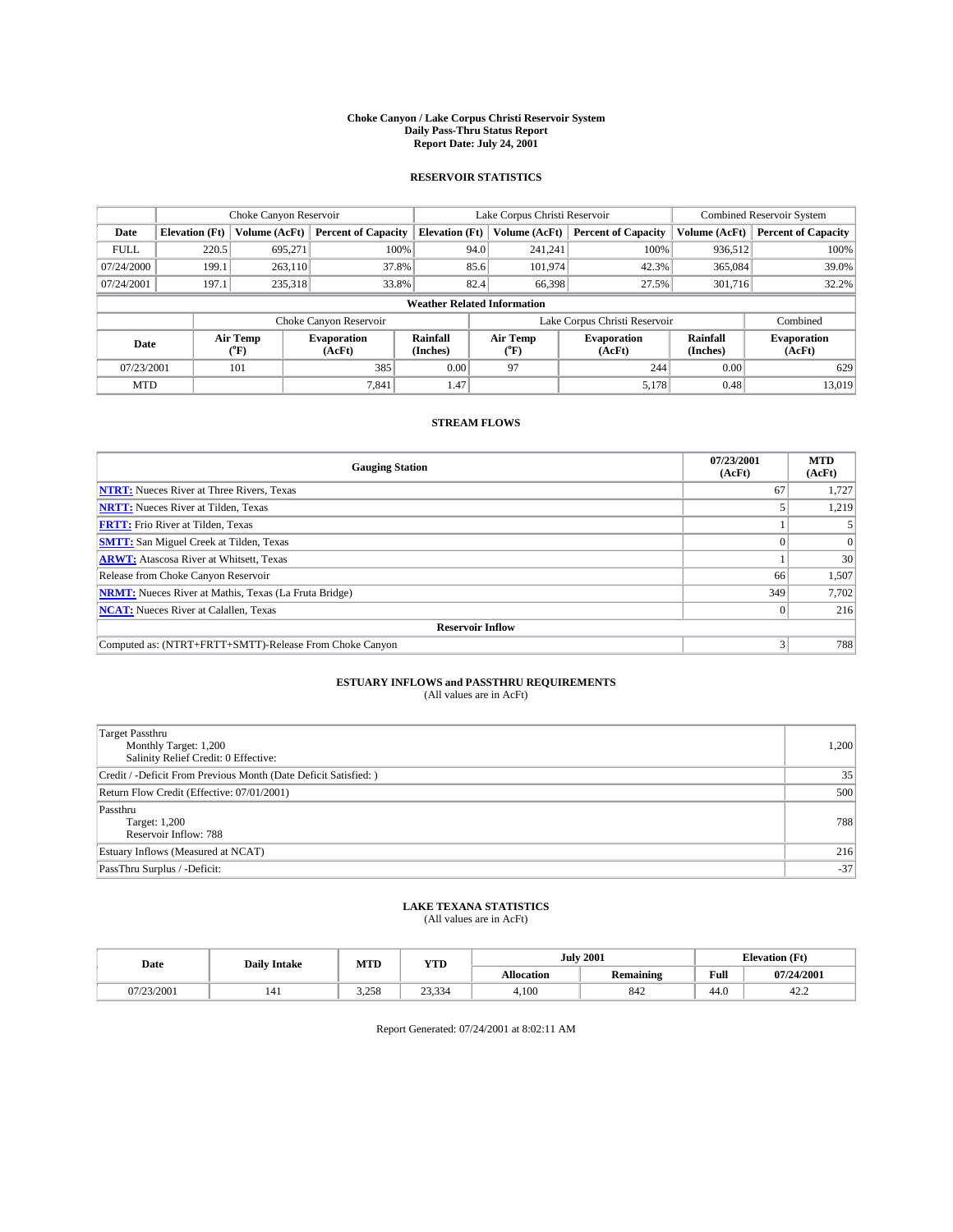#### **Choke Canyon / Lake Corpus Christi Reservoir System Daily Pass-Thru Status Report Report Date: July 24, 2001**

### **RESERVOIR STATISTICS**

|                                    | Choke Canyon Reservoir |                  |                              |                       | Lake Corpus Christi Reservoir | <b>Combined Reservoir System</b> |                             |                              |
|------------------------------------|------------------------|------------------|------------------------------|-----------------------|-------------------------------|----------------------------------|-----------------------------|------------------------------|
| Date                               | <b>Elevation</b> (Ft)  | Volume (AcFt)    | <b>Percent of Capacity</b>   | <b>Elevation</b> (Ft) | Volume (AcFt)                 | <b>Percent of Capacity</b>       | Volume (AcFt)               | <b>Percent of Capacity</b>   |
| <b>FULL</b>                        | 220.5                  | 695,271          | 100%                         | 94.0                  | 241,241                       | 100%                             | 936,512                     | 100%                         |
| 07/24/2000                         | 199.1                  | 263,110          | 37.8%                        | 85.6                  | 101,974                       | 42.3%                            | 365,084                     | 39.0%                        |
| 07/24/2001                         | 197.1                  | 235,318          | 33.8%                        | 82.4                  | 66,398                        | 27.5%                            | 301.716                     | 32.2%                        |
| <b>Weather Related Information</b> |                        |                  |                              |                       |                               |                                  |                             |                              |
|                                    |                        |                  | Choke Canyon Reservoir       |                       |                               | Lake Corpus Christi Reservoir    |                             | Combined                     |
| Date                               |                        | Air Temp<br>(°F) | <b>Evaporation</b><br>(AcFt) | Rainfall<br>(Inches)  | Air Temp<br>("F)              | <b>Evaporation</b><br>(AcFt)     | <b>Rainfall</b><br>(Inches) | <b>Evaporation</b><br>(AcFt) |
| 07/23/2001                         |                        | 101              | 385                          | 0.00                  | 97                            | 244                              | 0.00                        | 629                          |
| <b>MTD</b>                         |                        |                  | 7.841                        | 1.47                  |                               | 5,178                            | 0.48                        | 13.019                       |

## **STREAM FLOWS**

| <b>Gauging Station</b>                                       | 07/23/2001<br>(AcFt) | <b>MTD</b><br>(AcFt) |  |  |  |  |
|--------------------------------------------------------------|----------------------|----------------------|--|--|--|--|
| <b>NTRT:</b> Nueces River at Three Rivers, Texas             | 67                   | 1,727                |  |  |  |  |
| <b>NRTT:</b> Nueces River at Tilden, Texas                   |                      | 1,219                |  |  |  |  |
| <b>FRTT:</b> Frio River at Tilden, Texas                     |                      |                      |  |  |  |  |
| <b>SMTT:</b> San Miguel Creek at Tilden, Texas               |                      |                      |  |  |  |  |
| <b>ARWT:</b> Atascosa River at Whitsett, Texas               |                      | 30                   |  |  |  |  |
| Release from Choke Canyon Reservoir                          | 66                   | 1,507                |  |  |  |  |
| <b>NRMT:</b> Nueces River at Mathis, Texas (La Fruta Bridge) | 349                  | 7,702                |  |  |  |  |
| <b>NCAT:</b> Nueces River at Calallen, Texas                 |                      | 216                  |  |  |  |  |
| <b>Reservoir Inflow</b>                                      |                      |                      |  |  |  |  |
| Computed as: (NTRT+FRTT+SMTT)-Release From Choke Canyon      |                      | 788                  |  |  |  |  |

## **ESTUARY INFLOWS and PASSTHRU REQUIREMENTS**<br>(All values are in AcFt)

| <b>Target Passthru</b><br>Monthly Target: 1,200<br>Salinity Relief Credit: 0 Effective: | 1,200 |
|-----------------------------------------------------------------------------------------|-------|
| Credit / -Deficit From Previous Month (Date Deficit Satisfied: )                        | 35    |
| Return Flow Credit (Effective: 07/01/2001)                                              | 500   |
| Passthru<br>Target: 1,200<br>Reservoir Inflow: 788                                      | 788   |
| Estuary Inflows (Measured at NCAT)                                                      | 216   |
| PassThru Surplus / -Deficit:                                                            | $-37$ |

## **LAKE TEXANA STATISTICS** (All values are in AcFt)

| Date       | <b>Daily Intake</b> | MTD           | <b>VTT</b><br>1 I D |                   | <b>July 2001</b> | <b>Elevation</b> (Ft) |            |
|------------|---------------------|---------------|---------------------|-------------------|------------------|-----------------------|------------|
|            |                     |               |                     | <b>Allocation</b> | <b>Remaining</b> | Full                  | 07/24/2001 |
| 07/23/2001 | 141                 | 2750<br>0 ر∠د | 22.22<br>23.334     | 4,100             | 842              | 44.0                  | 42.2       |

Report Generated: 07/24/2001 at 8:02:11 AM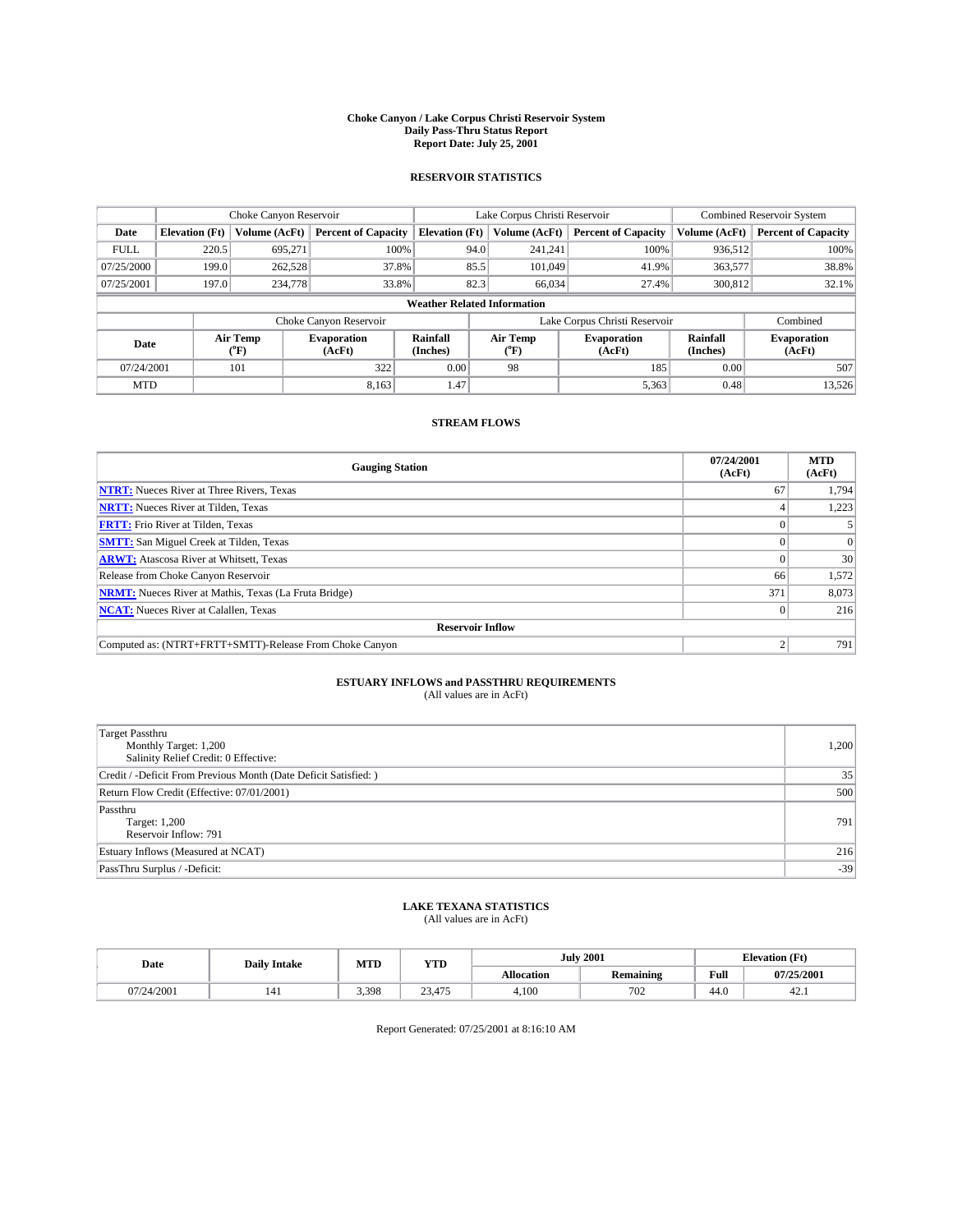#### **Choke Canyon / Lake Corpus Christi Reservoir System Daily Pass-Thru Status Report Report Date: July 25, 2001**

### **RESERVOIR STATISTICS**

|                                    |                       | Choke Canyon Reservoir |                              |                       | Lake Corpus Christi Reservoir | <b>Combined Reservoir System</b> |                      |                              |
|------------------------------------|-----------------------|------------------------|------------------------------|-----------------------|-------------------------------|----------------------------------|----------------------|------------------------------|
| Date                               | <b>Elevation</b> (Ft) | Volume (AcFt)          | <b>Percent of Capacity</b>   | <b>Elevation</b> (Ft) | Volume (AcFt)                 | <b>Percent of Capacity</b>       | Volume (AcFt)        | <b>Percent of Capacity</b>   |
| <b>FULL</b>                        | 220.5                 | 695,271                | 100%                         | 94.0                  | 241,241                       | 100%                             | 936,512              | 100%                         |
| 07/25/2000                         | 199.0                 | 262,528                | 37.8%                        | 85.5                  | 101.049                       | 41.9%                            | 363,577              | 38.8%                        |
| 07/25/2001                         | 197.0                 | 234,778                | 33.8%                        | 82.3                  | 66,034                        | 27.4%                            | 300,812              | 32.1%                        |
| <b>Weather Related Information</b> |                       |                        |                              |                       |                               |                                  |                      |                              |
|                                    |                       |                        | Choke Canyon Reservoir       |                       |                               | Lake Corpus Christi Reservoir    |                      | Combined                     |
| Date                               |                       | Air Temp<br>(°F)       | <b>Evaporation</b><br>(AcFt) | Rainfall<br>(Inches)  | Air Temp<br>("F)              | <b>Evaporation</b><br>(AcFt)     | Rainfall<br>(Inches) | <b>Evaporation</b><br>(AcFt) |
| 07/24/2001                         |                       | 101                    | 322                          | 0.00                  | 98                            | 185                              | 0.00                 | 507                          |
| <b>MTD</b>                         |                       |                        | 8.163                        | 1.47                  |                               | 5,363                            | 0.48                 | 13,526                       |

## **STREAM FLOWS**

| <b>Gauging Station</b>                                       | 07/24/2001<br>(AcFt) | <b>MTD</b><br>(AcFt) |  |  |  |  |
|--------------------------------------------------------------|----------------------|----------------------|--|--|--|--|
| <b>NTRT:</b> Nueces River at Three Rivers, Texas             | 67                   | 1,794                |  |  |  |  |
| <b>NRTT:</b> Nueces River at Tilden, Texas                   |                      | 1,223                |  |  |  |  |
| <b>FRTT:</b> Frio River at Tilden, Texas                     |                      |                      |  |  |  |  |
| <b>SMTT:</b> San Miguel Creek at Tilden, Texas               |                      |                      |  |  |  |  |
| <b>ARWT:</b> Atascosa River at Whitsett, Texas               |                      | 30                   |  |  |  |  |
| Release from Choke Canyon Reservoir                          | 66                   | 1,572                |  |  |  |  |
| <b>NRMT:</b> Nueces River at Mathis, Texas (La Fruta Bridge) | 371                  | 8,073                |  |  |  |  |
| <b>NCAT:</b> Nueces River at Calallen, Texas                 |                      | 216                  |  |  |  |  |
| <b>Reservoir Inflow</b>                                      |                      |                      |  |  |  |  |
| Computed as: (NTRT+FRTT+SMTT)-Release From Choke Canyon      |                      | 791                  |  |  |  |  |

## **ESTUARY INFLOWS and PASSTHRU REQUIREMENTS**<br>(All values are in AcFt)

| <b>Target Passthru</b><br>Monthly Target: 1,200<br>Salinity Relief Credit: 0 Effective: | 1,200 |
|-----------------------------------------------------------------------------------------|-------|
| Credit / -Deficit From Previous Month (Date Deficit Satisfied: )                        | 35    |
| Return Flow Credit (Effective: 07/01/2001)                                              | 500   |
| Passthru<br>Target: 1,200<br>Reservoir Inflow: 791                                      | 791   |
| Estuary Inflows (Measured at NCAT)                                                      | 216   |
| PassThru Surplus / -Deficit:                                                            | $-39$ |

## **LAKE TEXANA STATISTICS** (All values are in AcFt)

| Date       | <b>Daily Intake</b> | MTD   | <b>VTT</b><br>1 I D              | <b>July 2001</b>  |                  | <b>Elevation</b> (Ft) |            |
|------------|---------------------|-------|----------------------------------|-------------------|------------------|-----------------------|------------|
|            |                     |       |                                  | <b>Allocation</b> | <b>Remaining</b> | Full                  | 07/25/2001 |
| 07/24/2001 | 141                 | 3.398 | 23<br>4.77<br>23,41 <sub>2</sub> | 4,100             | 702              | 44.0                  | 44.1       |

Report Generated: 07/25/2001 at 8:16:10 AM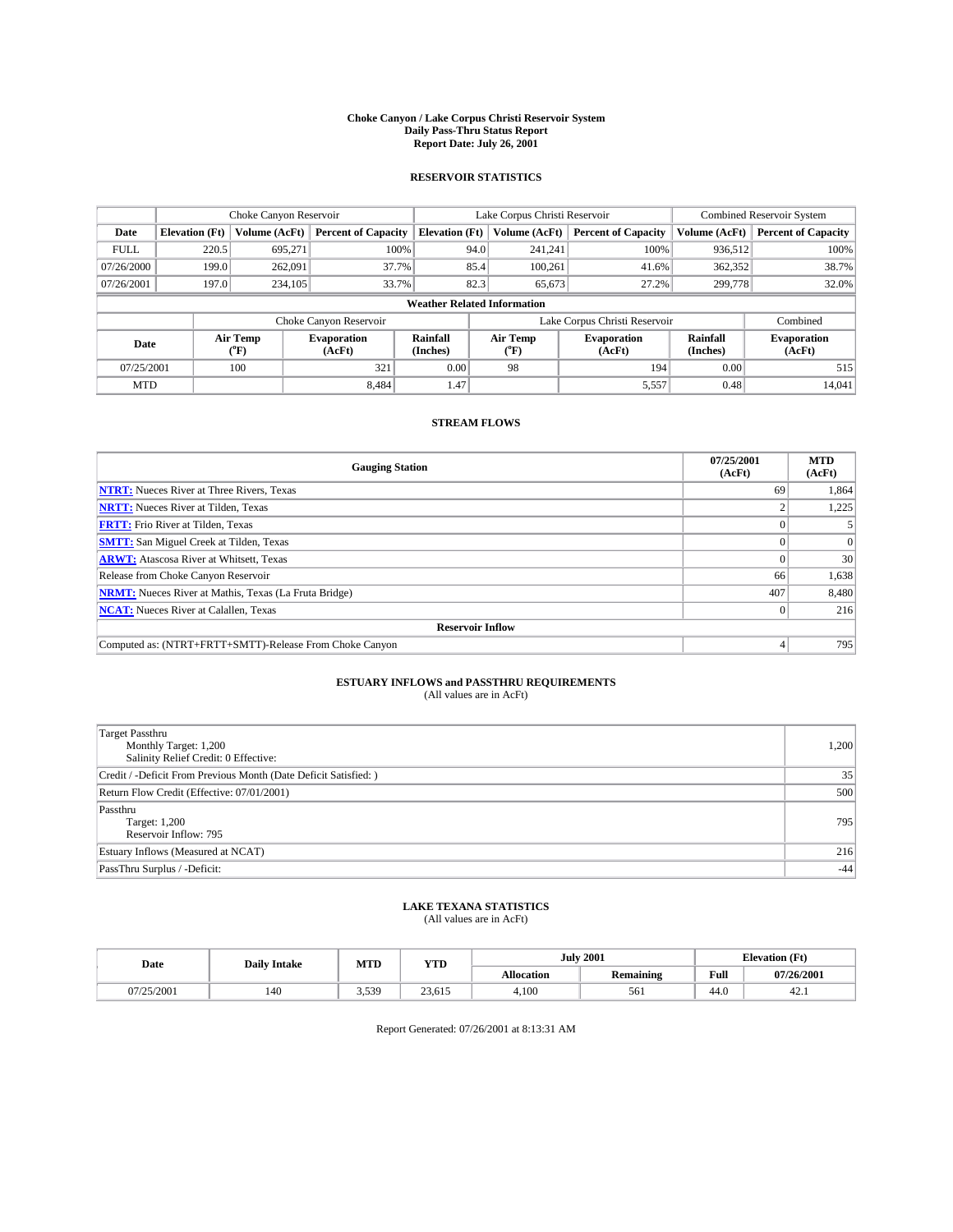#### **Choke Canyon / Lake Corpus Christi Reservoir System Daily Pass-Thru Status Report Report Date: July 26, 2001**

### **RESERVOIR STATISTICS**

|                                    |                       | Choke Canyon Reservoir |                              |                       | Lake Corpus Christi Reservoir | <b>Combined Reservoir System</b> |                             |                              |  |
|------------------------------------|-----------------------|------------------------|------------------------------|-----------------------|-------------------------------|----------------------------------|-----------------------------|------------------------------|--|
| Date                               | <b>Elevation</b> (Ft) | Volume (AcFt)          | <b>Percent of Capacity</b>   | <b>Elevation</b> (Ft) | Volume (AcFt)                 | <b>Percent of Capacity</b>       | Volume (AcFt)               | <b>Percent of Capacity</b>   |  |
| <b>FULL</b>                        | 220.5                 | 695,271                | 100%                         | 94.0                  | 241,241                       | 100%                             | 936,512                     | 100%                         |  |
| 07/26/2000                         | 199.0                 | 262,091                | 37.7%                        | 85.4                  | 100.261                       | 41.6%                            | 362,352                     | 38.7%                        |  |
| 07/26/2001                         | 197.0                 | 234,105                | 33.7%                        | 82.3                  | 65,673                        | 27.2%                            | 299,778                     | 32.0%                        |  |
| <b>Weather Related Information</b> |                       |                        |                              |                       |                               |                                  |                             |                              |  |
|                                    |                       |                        | Choke Canyon Reservoir       |                       |                               | Lake Corpus Christi Reservoir    |                             | Combined                     |  |
| Date                               |                       | Air Temp<br>(°F)       | <b>Evaporation</b><br>(AcFt) | Rainfall<br>(Inches)  | Air Temp<br>("F)              | <b>Evaporation</b><br>(AcFt)     | <b>Rainfall</b><br>(Inches) | <b>Evaporation</b><br>(AcFt) |  |
| 07/25/2001                         |                       | 100                    | 321                          | 0.00                  | 98                            | 194                              | 0.00                        | 515                          |  |
| <b>MTD</b>                         |                       |                        | 8.484                        | 1.47                  |                               | 5,557                            | 0.48                        | 14,041                       |  |

## **STREAM FLOWS**

| <b>Gauging Station</b>                                       | 07/25/2001<br>(AcFt) | <b>MTD</b><br>(AcFt) |  |  |  |  |  |
|--------------------------------------------------------------|----------------------|----------------------|--|--|--|--|--|
| <b>NTRT:</b> Nueces River at Three Rivers, Texas             | 69                   | 1,864                |  |  |  |  |  |
| <b>NRTT:</b> Nueces River at Tilden, Texas                   |                      | 1,225                |  |  |  |  |  |
| <b>FRTT:</b> Frio River at Tilden, Texas                     |                      |                      |  |  |  |  |  |
| <b>SMTT:</b> San Miguel Creek at Tilden, Texas               |                      |                      |  |  |  |  |  |
| <b>ARWT:</b> Atascosa River at Whitsett, Texas               |                      | 30                   |  |  |  |  |  |
| Release from Choke Canyon Reservoir                          | 66                   | 1,638                |  |  |  |  |  |
| <b>NRMT:</b> Nueces River at Mathis, Texas (La Fruta Bridge) | 407                  | 8,480                |  |  |  |  |  |
| <b>NCAT:</b> Nueces River at Calallen, Texas                 |                      | 216                  |  |  |  |  |  |
| <b>Reservoir Inflow</b>                                      |                      |                      |  |  |  |  |  |
| Computed as: (NTRT+FRTT+SMTT)-Release From Choke Canyon      |                      | 795                  |  |  |  |  |  |

## **ESTUARY INFLOWS and PASSTHRU REQUIREMENTS**<br>(All values are in AcFt)

| <b>Target Passthru</b><br>Monthly Target: 1,200<br>Salinity Relief Credit: 0 Effective: | 1,200 |
|-----------------------------------------------------------------------------------------|-------|
| Credit / -Deficit From Previous Month (Date Deficit Satisfied: )                        | 35    |
| Return Flow Credit (Effective: 07/01/2001)                                              | 500   |
| Passthru<br>Target: 1,200<br>Reservoir Inflow: 795                                      | 795   |
| Estuary Inflows (Measured at NCAT)                                                      | 216   |
| PassThru Surplus / -Deficit:                                                            | $-44$ |

## **LAKE TEXANA STATISTICS** (All values are in AcFt)

| Date    | <b>Daily Intake</b> | MTD   | <b>VTT</b><br>1 I.D | <b>July 2001</b>  |                  | <b>Elevation (Ft)</b><br>$\mathbf{r}$ |            |
|---------|---------------------|-------|---------------------|-------------------|------------------|---------------------------------------|------------|
|         |                     |       |                     | <b>Allocation</b> | <b>Remaining</b> | Full                                  | 07/26/2001 |
| 25/2001 | 140                 | 3,539 | 23.615              | 4,100             | 561              | 44.0                                  | 44.1       |

Report Generated: 07/26/2001 at 8:13:31 AM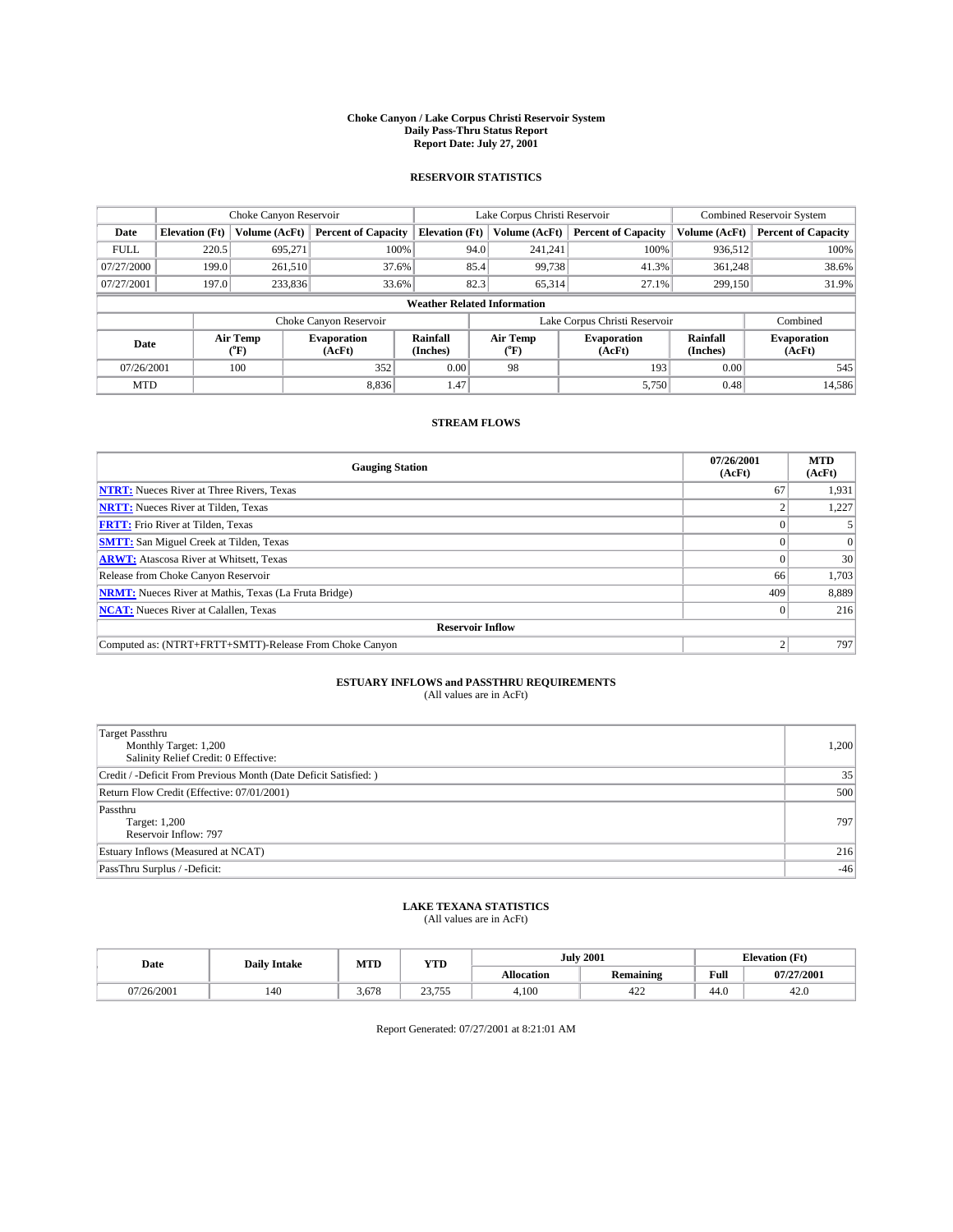#### **Choke Canyon / Lake Corpus Christi Reservoir System Daily Pass-Thru Status Report Report Date: July 27, 2001**

### **RESERVOIR STATISTICS**

|                                    | Choke Canyon Reservoir |                  | Lake Corpus Christi Reservoir |                       |      |                  | <b>Combined Reservoir System</b> |                             |                              |
|------------------------------------|------------------------|------------------|-------------------------------|-----------------------|------|------------------|----------------------------------|-----------------------------|------------------------------|
| Date                               | <b>Elevation</b> (Ft)  | Volume (AcFt)    | <b>Percent of Capacity</b>    | <b>Elevation</b> (Ft) |      | Volume (AcFt)    | <b>Percent of Capacity</b>       | Volume (AcFt)               | <b>Percent of Capacity</b>   |
| <b>FULL</b>                        | 220.5                  | 695,271          | 100%                          |                       | 94.0 | 241,241          | 100%                             | 936,512                     | 100%                         |
| 07/27/2000                         | 199.0                  | 261,510          | 37.6%                         |                       | 85.4 | 99,738           | 41.3%                            | 361.248                     | 38.6%                        |
| 07/27/2001                         | 197.0                  | 233,836          | 33.6%                         |                       | 82.3 | 65,314           | 27.1%                            | 299,150                     | 31.9%                        |
| <b>Weather Related Information</b> |                        |                  |                               |                       |      |                  |                                  |                             |                              |
|                                    |                        |                  | Choke Canyon Reservoir        |                       |      |                  | Lake Corpus Christi Reservoir    |                             | Combined                     |
| Date                               |                        | Air Temp<br>(°F) | <b>Evaporation</b><br>(AcFt)  | Rainfall<br>(Inches)  |      | Air Temp<br>("F) | <b>Evaporation</b><br>(AcFt)     | <b>Rainfall</b><br>(Inches) | <b>Evaporation</b><br>(AcFt) |
| 07/26/2001                         |                        | 100              | 352                           | 0.00                  |      | 98               | 193                              | 0.00                        | 545                          |
| <b>MTD</b>                         |                        |                  | 8.836                         | 1.47                  |      |                  | 5,750                            | 0.48                        | 14,586                       |

## **STREAM FLOWS**

| <b>Gauging Station</b>                                       | 07/26/2001<br>(AcFt) | <b>MTD</b><br>(AcFt) |  |  |  |  |  |
|--------------------------------------------------------------|----------------------|----------------------|--|--|--|--|--|
| <b>NTRT:</b> Nueces River at Three Rivers, Texas             | 67                   | 1,931                |  |  |  |  |  |
| <b>NRTT:</b> Nueces River at Tilden, Texas                   |                      | 1.227                |  |  |  |  |  |
| <b>FRTT:</b> Frio River at Tilden, Texas                     |                      |                      |  |  |  |  |  |
| <b>SMTT:</b> San Miguel Creek at Tilden, Texas               |                      |                      |  |  |  |  |  |
| <b>ARWT:</b> Atascosa River at Whitsett, Texas               | $^{\circ}$           | 30                   |  |  |  |  |  |
| Release from Choke Canyon Reservoir                          | 66                   | 1,703                |  |  |  |  |  |
| <b>NRMT:</b> Nueces River at Mathis, Texas (La Fruta Bridge) | 409                  | 8,889                |  |  |  |  |  |
| <b>NCAT:</b> Nueces River at Calallen, Texas                 |                      | 216                  |  |  |  |  |  |
| <b>Reservoir Inflow</b>                                      |                      |                      |  |  |  |  |  |
| Computed as: (NTRT+FRTT+SMTT)-Release From Choke Canyon      |                      | 797                  |  |  |  |  |  |

## **ESTUARY INFLOWS and PASSTHRU REQUIREMENTS**<br>(All values are in AcFt)

| Target Passthru<br>Monthly Target: 1,200<br>Salinity Relief Credit: 0 Effective: | 1,200 |
|----------------------------------------------------------------------------------|-------|
| Credit / -Deficit From Previous Month (Date Deficit Satisfied: )                 | 35    |
| Return Flow Credit (Effective: 07/01/2001)                                       | 500   |
| Passthru<br>Target: 1,200<br>Reservoir Inflow: 797                               | 797   |
| Estuary Inflows (Measured at NCAT)                                               | 216   |
| PassThru Surplus / -Deficit:                                                     | $-46$ |

## **LAKE TEXANA STATISTICS** (All values are in AcFt)

| Date     | <b>Daily Intake</b> | MTD   | VTT<br>1 I D     | <b>July 2001</b>  |                  | <b>Elevation</b> (Ft) |            |
|----------|---------------------|-------|------------------|-------------------|------------------|-----------------------|------------|
|          |                     |       |                  | <b>Allocation</b> | <b>Remaining</b> | Full                  | 07/27/2001 |
| /26/2001 | 140                 | 5.678 | 22.755<br>23.133 | 4,100             | $\sim$<br>422    | 44.0                  | 42.G       |

Report Generated: 07/27/2001 at 8:21:01 AM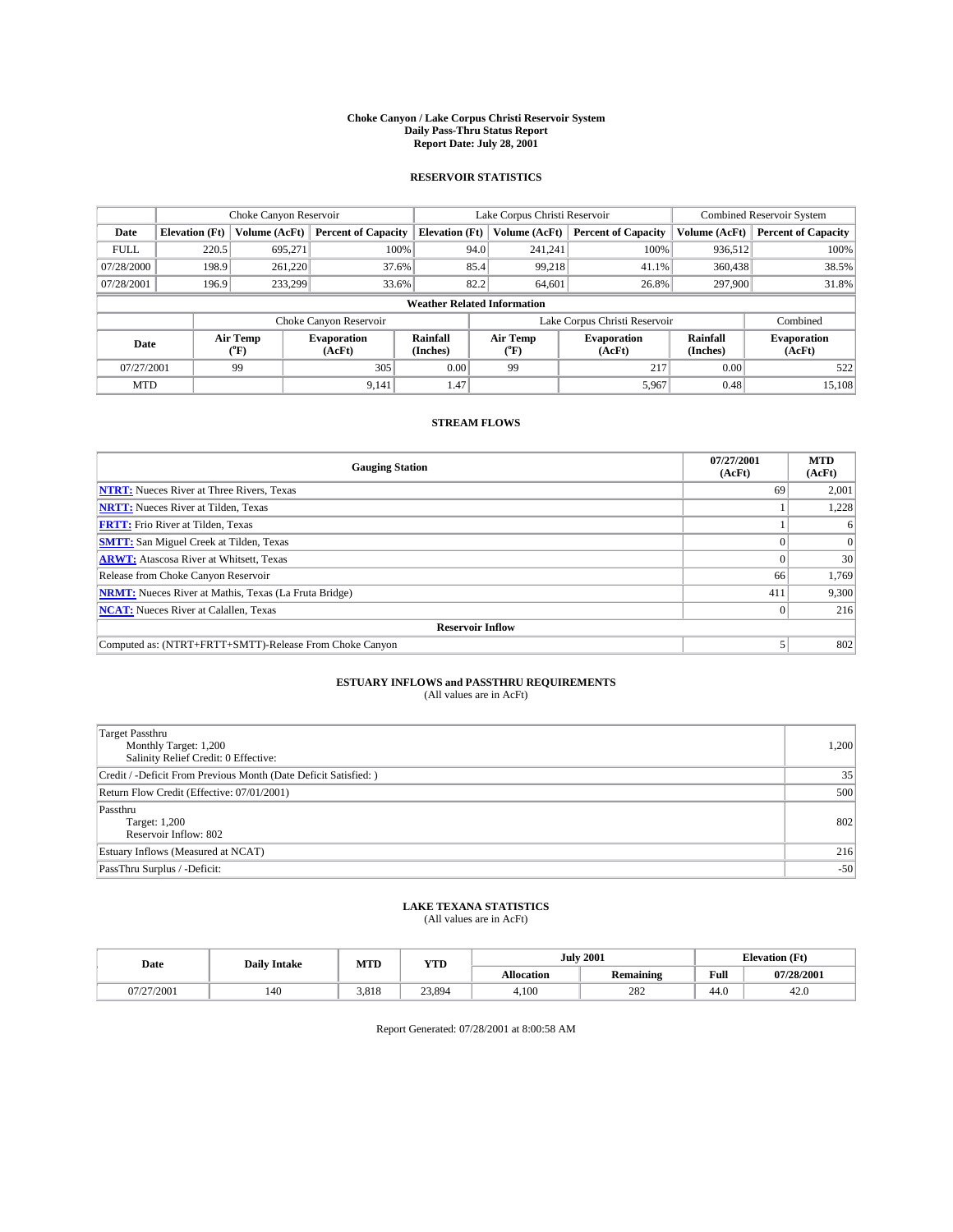#### **Choke Canyon / Lake Corpus Christi Reservoir System Daily Pass-Thru Status Report Report Date: July 28, 2001**

### **RESERVOIR STATISTICS**

|                                    | Choke Canyon Reservoir |                  | Lake Corpus Christi Reservoir |                       |      |                  | <b>Combined Reservoir System</b> |                      |                              |
|------------------------------------|------------------------|------------------|-------------------------------|-----------------------|------|------------------|----------------------------------|----------------------|------------------------------|
| Date                               | <b>Elevation</b> (Ft)  | Volume (AcFt)    | <b>Percent of Capacity</b>    | <b>Elevation</b> (Ft) |      | Volume (AcFt)    | <b>Percent of Capacity</b>       | Volume (AcFt)        | <b>Percent of Capacity</b>   |
| <b>FULL</b>                        | 220.5                  | 695,271          | 100%                          |                       | 94.0 | 241,241          | 100%                             | 936,512              | 100%                         |
| 07/28/2000                         | 198.9                  | 261.220          | 37.6%                         |                       | 85.4 | 99,218           | 41.1%                            | 360,438              | 38.5%                        |
| 07/28/2001                         | 196.9                  | 233.299          | 33.6%                         |                       | 82.2 | 64,601           | 26.8%                            | 297,900              | 31.8%                        |
| <b>Weather Related Information</b> |                        |                  |                               |                       |      |                  |                                  |                      |                              |
|                                    |                        |                  | Choke Canyon Reservoir        |                       |      |                  | Lake Corpus Christi Reservoir    |                      | Combined                     |
| Date                               |                        | Air Temp<br>(°F) | <b>Evaporation</b><br>(AcFt)  | Rainfall<br>(Inches)  |      | Air Temp<br>("F) | <b>Evaporation</b><br>(AcFt)     | Rainfall<br>(Inches) | <b>Evaporation</b><br>(AcFt) |
| 07/27/2001                         |                        | 99               | 305                           | 0.00                  |      | 99               | 217                              | 0.00                 | 522                          |
| <b>MTD</b>                         |                        |                  | 9,141                         | 1.47                  |      |                  | 5,967                            | 0.48                 | 15,108                       |

## **STREAM FLOWS**

| <b>Gauging Station</b>                                       | 07/27/2001<br>(AcFt) | <b>MTD</b><br>(AcFt) |  |  |  |  |  |
|--------------------------------------------------------------|----------------------|----------------------|--|--|--|--|--|
| <b>NTRT:</b> Nueces River at Three Rivers, Texas             | 69                   | 2,001                |  |  |  |  |  |
| <b>NRTT:</b> Nueces River at Tilden, Texas                   |                      | 1.228                |  |  |  |  |  |
| <b>FRTT:</b> Frio River at Tilden, Texas                     |                      |                      |  |  |  |  |  |
| <b>SMTT:</b> San Miguel Creek at Tilden, Texas               |                      |                      |  |  |  |  |  |
| <b>ARWT:</b> Atascosa River at Whitsett, Texas               | $^{\circ}$           | 30                   |  |  |  |  |  |
| Release from Choke Canyon Reservoir                          | 66                   | 1,769                |  |  |  |  |  |
| <b>NRMT:</b> Nueces River at Mathis, Texas (La Fruta Bridge) | 411                  | 9,300                |  |  |  |  |  |
| <b>NCAT:</b> Nueces River at Calallen, Texas                 |                      | 216                  |  |  |  |  |  |
| <b>Reservoir Inflow</b>                                      |                      |                      |  |  |  |  |  |
| Computed as: (NTRT+FRTT+SMTT)-Release From Choke Canyon      |                      | 802                  |  |  |  |  |  |

## **ESTUARY INFLOWS and PASSTHRU REQUIREMENTS**<br>(All values are in AcFt)

| <b>Target Passthru</b><br>Monthly Target: 1,200<br>Salinity Relief Credit: 0 Effective: | 1,200 |
|-----------------------------------------------------------------------------------------|-------|
| Credit / -Deficit From Previous Month (Date Deficit Satisfied: )                        | 35    |
| Return Flow Credit (Effective: 07/01/2001)                                              | 500   |
| Passthru<br>Target: 1,200<br>Reservoir Inflow: 802                                      | 802   |
| Estuary Inflows (Measured at NCAT)                                                      | 216   |
| PassThru Surplus / -Deficit:                                                            | $-50$ |

## **LAKE TEXANA STATISTICS** (All values are in AcFt)

| Date                          | <b>Daily Intake</b> | MTD   | <b>VTT</b><br>1 I.D | <b>July 2001</b>  |                  | <b>Elevation (Ft)</b><br>$\mathbf{r}$ |            |
|-------------------------------|---------------------|-------|---------------------|-------------------|------------------|---------------------------------------|------------|
|                               |                     |       |                     | <b>Allocation</b> | <b>Remaining</b> | Full                                  | 07/28/2001 |
| '27/2001<br>11 <i>1 1 2 1</i> | 140                 | 3.818 | 23,894              | 4,100             | 282              | 44.0                                  | 42.U       |

Report Generated: 07/28/2001 at 8:00:58 AM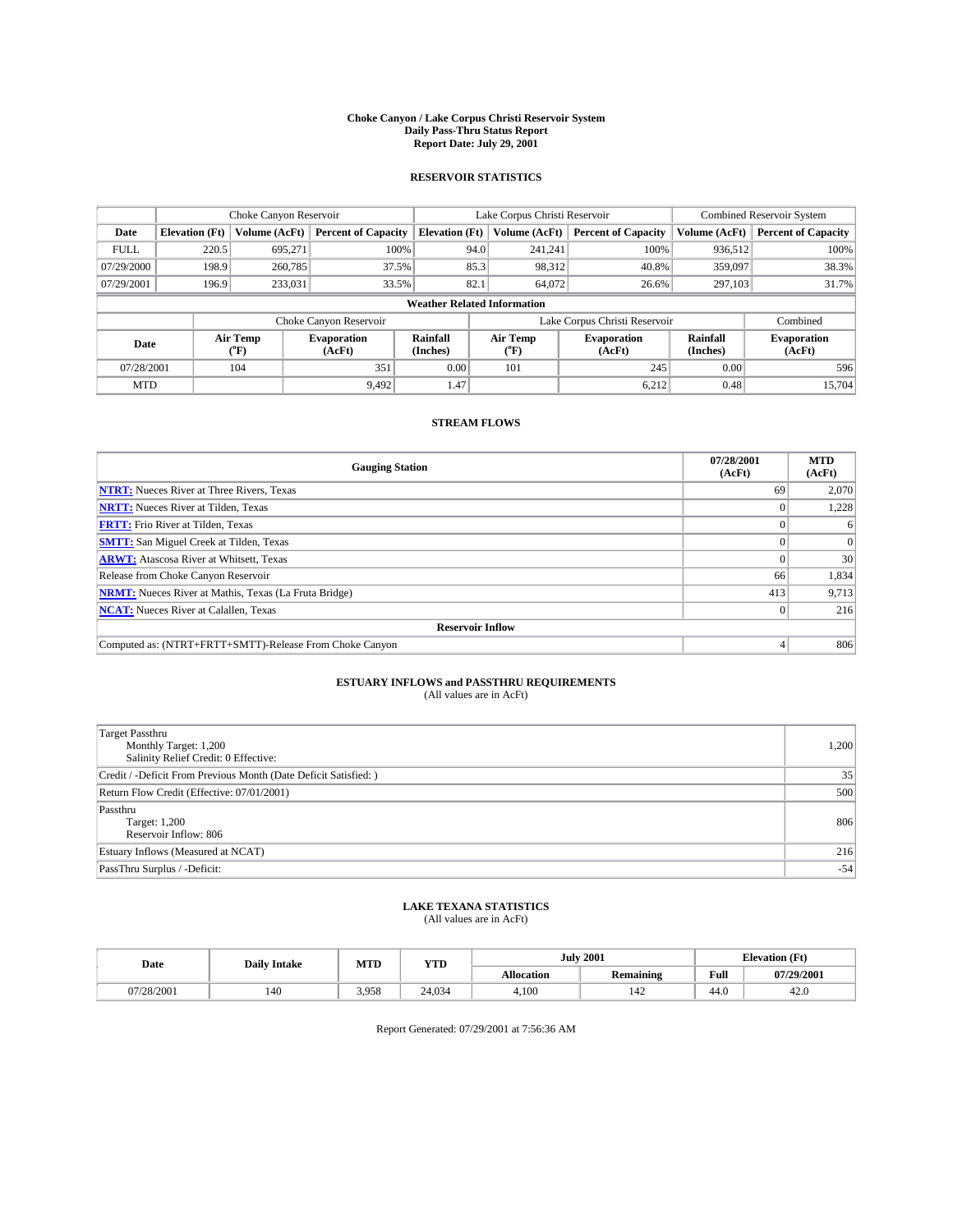#### **Choke Canyon / Lake Corpus Christi Reservoir System Daily Pass-Thru Status Report Report Date: July 29, 2001**

### **RESERVOIR STATISTICS**

|                                    |                                                                     | Choke Canyon Reservoir |                              |                       | Lake Corpus Christi Reservoir | <b>Combined Reservoir System</b> |                      |                              |
|------------------------------------|---------------------------------------------------------------------|------------------------|------------------------------|-----------------------|-------------------------------|----------------------------------|----------------------|------------------------------|
| Date                               | <b>Elevation</b> (Ft)                                               | Volume (AcFt)          | <b>Percent of Capacity</b>   | <b>Elevation</b> (Ft) | Volume (AcFt)                 | <b>Percent of Capacity</b>       | Volume (AcFt)        | <b>Percent of Capacity</b>   |
| <b>FULL</b>                        | 220.5                                                               | 695,271                | 100%                         | 94.0                  | 241,241                       | 100%                             | 936,512              | 100%                         |
| 07/29/2000                         | 198.9                                                               | 260,785                | 37.5%                        | 85.3                  | 98,312                        | 40.8%                            | 359,097              | 38.3%                        |
| 07/29/2001                         | 196.9                                                               | 233,031                | 33.5%                        | 82.1                  | 64,072                        | 26.6%                            | 297,103              | 31.7%                        |
| <b>Weather Related Information</b> |                                                                     |                        |                              |                       |                               |                                  |                      |                              |
|                                    | Combined<br>Choke Canyon Reservoir<br>Lake Corpus Christi Reservoir |                        |                              |                       |                               |                                  |                      |                              |
| Date                               |                                                                     | Air Temp<br>(°F)       | <b>Evaporation</b><br>(AcFt) | Rainfall<br>(Inches)  | Air Temp<br>("F)              | <b>Evaporation</b><br>(AcFt)     | Rainfall<br>(Inches) | <b>Evaporation</b><br>(AcFt) |
| 07/28/2001                         |                                                                     | 104                    | 351                          | 0.00                  | 101                           | 245                              | 0.00                 | 596                          |
| <b>MTD</b>                         |                                                                     |                        | 9,492                        | 1.47                  |                               | 6.212                            | 0.48                 | 15.704                       |

## **STREAM FLOWS**

| <b>Gauging Station</b>                                       | 07/28/2001<br>(AcFt) | <b>MTD</b><br>(AcFt) |  |  |  |  |
|--------------------------------------------------------------|----------------------|----------------------|--|--|--|--|
| <b>NTRT:</b> Nueces River at Three Rivers, Texas             | 69                   | 2,070                |  |  |  |  |
| <b>NRTT:</b> Nueces River at Tilden, Texas                   |                      | 1.228                |  |  |  |  |
| <b>FRTT:</b> Frio River at Tilden, Texas                     |                      |                      |  |  |  |  |
| <b>SMTT:</b> San Miguel Creek at Tilden, Texas               |                      |                      |  |  |  |  |
| <b>ARWT:</b> Atascosa River at Whitsett, Texas               |                      | 30                   |  |  |  |  |
| Release from Choke Canyon Reservoir                          | 66                   | 1,834                |  |  |  |  |
| <b>NRMT:</b> Nueces River at Mathis, Texas (La Fruta Bridge) | 413                  | 9,713                |  |  |  |  |
| <b>NCAT:</b> Nueces River at Calallen, Texas                 |                      | 216                  |  |  |  |  |
| <b>Reservoir Inflow</b>                                      |                      |                      |  |  |  |  |
| Computed as: (NTRT+FRTT+SMTT)-Release From Choke Canyon      |                      | 806                  |  |  |  |  |

## **ESTUARY INFLOWS and PASSTHRU REQUIREMENTS**<br>(All values are in AcFt)

| Target Passthru<br>Monthly Target: 1,200<br>Salinity Relief Credit: 0 Effective: | 1,200 |
|----------------------------------------------------------------------------------|-------|
| Credit / -Deficit From Previous Month (Date Deficit Satisfied: )                 | 35    |
| Return Flow Credit (Effective: 07/01/2001)                                       | 500   |
| Passthru<br>Target: 1,200<br>Reservoir Inflow: 806                               | 806   |
| Estuary Inflows (Measured at NCAT)                                               | 216   |
| PassThru Surplus / -Deficit:                                                     | $-54$ |

## **LAKE TEXANA STATISTICS** (All values are in AcFt)

| Date     | <b>Daily Intake</b> | MTD   | <b>VTT</b><br>1 I D |                   | <b>July 2001</b>      | <b>Elevation (Ft)</b><br>$\mathbf{r}$ |            |
|----------|---------------------|-------|---------------------|-------------------|-----------------------|---------------------------------------|------------|
|          |                     |       |                     | <b>Allocation</b> | <b>Remaining</b>      | Full                                  | 07/29/2001 |
| /28/2001 | 140                 | 3.958 | 24.034              | 4,100             | $\overline{A}$<br>142 | 44.0                                  | 42.U       |

Report Generated: 07/29/2001 at 7:56:36 AM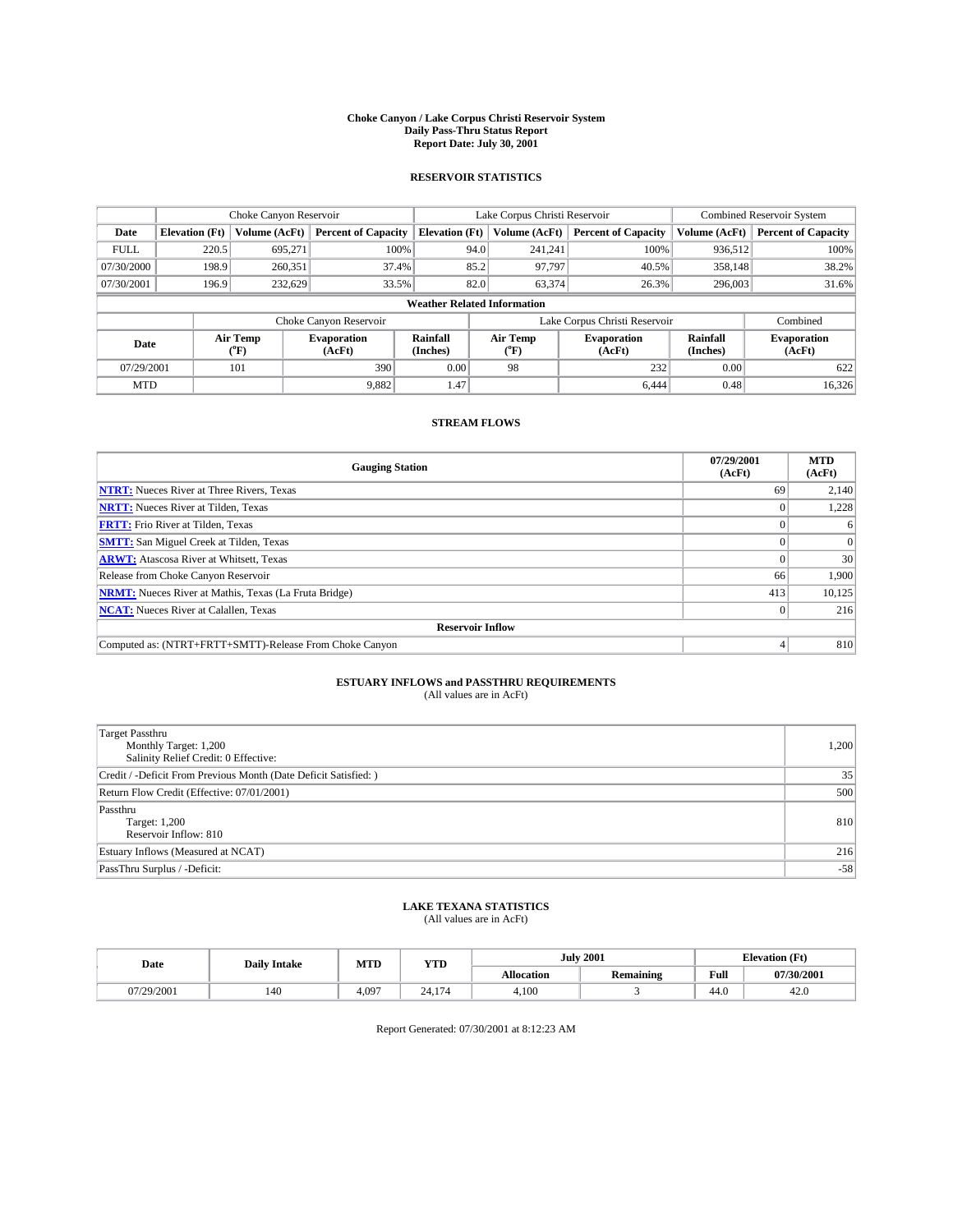#### **Choke Canyon / Lake Corpus Christi Reservoir System Daily Pass-Thru Status Report Report Date: July 30, 2001**

### **RESERVOIR STATISTICS**

|                                    | Choke Canyon Reservoir |                  |                              |                       | Lake Corpus Christi Reservoir | <b>Combined Reservoir System</b> |                             |                              |
|------------------------------------|------------------------|------------------|------------------------------|-----------------------|-------------------------------|----------------------------------|-----------------------------|------------------------------|
| Date                               | <b>Elevation</b> (Ft)  | Volume (AcFt)    | <b>Percent of Capacity</b>   | <b>Elevation</b> (Ft) | Volume (AcFt)                 | <b>Percent of Capacity</b>       | Volume (AcFt)               | <b>Percent of Capacity</b>   |
| <b>FULL</b>                        | 220.5                  | 695,271          | 100%                         | 94.0                  | 241,241                       | 100%                             | 936,512                     | 100%                         |
| 07/30/2000                         | 198.9                  | 260,351          | 37.4%                        | 85.2                  | 97,797                        | 40.5%                            | 358,148                     | 38.2%                        |
| 07/30/2001                         | 196.9                  | 232.629          | 33.5%                        | 82.0                  | 63,374                        | 26.3%                            | 296,003                     | 31.6%                        |
| <b>Weather Related Information</b> |                        |                  |                              |                       |                               |                                  |                             |                              |
|                                    |                        |                  | Choke Canyon Reservoir       |                       |                               | Lake Corpus Christi Reservoir    |                             | Combined                     |
| Date                               |                        | Air Temp<br>(°F) | <b>Evaporation</b><br>(AcFt) | Rainfall<br>(Inches)  | Air Temp<br>("F)              | <b>Evaporation</b><br>(AcFt)     | <b>Rainfall</b><br>(Inches) | <b>Evaporation</b><br>(AcFt) |
| 07/29/2001                         |                        | 101              | 390                          | 0.00                  | 98                            | 232                              | 0.00                        | 622                          |
| <b>MTD</b>                         |                        |                  | 9,882                        | 1.47                  |                               | 6.444                            | 0.48                        | 16,326                       |

## **STREAM FLOWS**

| <b>Gauging Station</b>                                       | 07/29/2001<br>(AcFt) | <b>MTD</b><br>(AcFt) |  |  |  |  |
|--------------------------------------------------------------|----------------------|----------------------|--|--|--|--|
| <b>NTRT:</b> Nueces River at Three Rivers, Texas             | 69                   | 2,140                |  |  |  |  |
| <b>NRTT:</b> Nueces River at Tilden, Texas                   |                      | 1.228                |  |  |  |  |
| <b>FRTT:</b> Frio River at Tilden, Texas                     |                      |                      |  |  |  |  |
| <b>SMTT:</b> San Miguel Creek at Tilden, Texas               |                      |                      |  |  |  |  |
| <b>ARWT:</b> Atascosa River at Whitsett, Texas               | $^{\circ}$           | 30                   |  |  |  |  |
| Release from Choke Canyon Reservoir                          | 66                   | 1.900                |  |  |  |  |
| <b>NRMT:</b> Nueces River at Mathis, Texas (La Fruta Bridge) | 413                  | 10,125               |  |  |  |  |
| <b>NCAT:</b> Nueces River at Calallen, Texas                 |                      | 216                  |  |  |  |  |
| <b>Reservoir Inflow</b>                                      |                      |                      |  |  |  |  |
| Computed as: (NTRT+FRTT+SMTT)-Release From Choke Canyon      |                      | 810                  |  |  |  |  |

## **ESTUARY INFLOWS and PASSTHRU REQUIREMENTS**<br>(All values are in AcFt)

| <b>Target Passthru</b><br>Monthly Target: 1,200<br>Salinity Relief Credit: 0 Effective: | 1,200 |
|-----------------------------------------------------------------------------------------|-------|
| Credit / -Deficit From Previous Month (Date Deficit Satisfied: )                        | 35    |
| Return Flow Credit (Effective: 07/01/2001)                                              | 500   |
| Passthru<br>Target: 1,200<br>Reservoir Inflow: 810                                      | 810   |
| Estuary Inflows (Measured at NCAT)                                                      | 216   |
| PassThru Surplus / -Deficit:                                                            | $-58$ |

## **LAKE TEXANA STATISTICS** (All values are in AcFt)

| Date       | <b>Daily Intake</b> | MTD   | <b>VTT</b><br>1 I D                          | <b>July 2001</b>  |                  | <b>Elevation</b> (Ft) |            |
|------------|---------------------|-------|----------------------------------------------|-------------------|------------------|-----------------------|------------|
|            |                     |       |                                              | <b>Allocation</b> | <b>Remaining</b> | Full                  | 07/30/2001 |
| 07/29/2001 | 140                 | 4.097 | $\sim$<br>$\bigcap$<br>24.<br>$\overline{ }$ | 4,100             |                  | 44.0                  | 42.U       |

Report Generated: 07/30/2001 at 8:12:23 AM